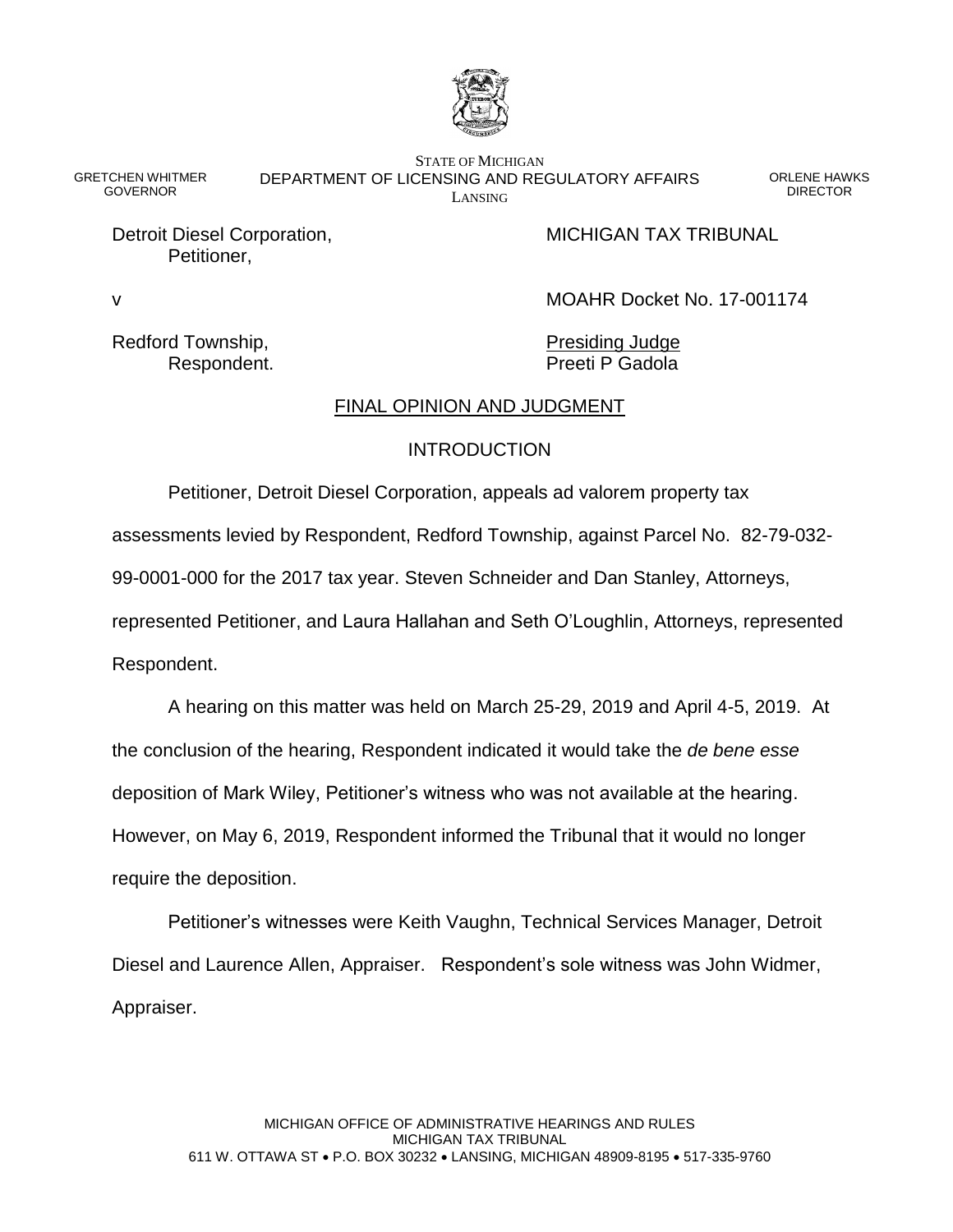

GRETCHEN WHITMER GOVERNOR

STATE OF MICHIGAN DEPARTMENT OF LICENSING AND REGULATORY AFFAIRS LANSING

ORLENE HAWKS **DIRECTOR** 

Petitioner,

Detroit Diesel Corporation, MICHIGAN TAX TRIBUNAL

v MOAHR Docket No. 17-001174

Redford Township, The Presiding Judge

Respondent. **Preeti P Gadola** 

# FINAL OPINION AND JUDGMENT

# **INTRODUCTION**

Petitioner, Detroit Diesel Corporation, appeals ad valorem property tax

assessments levied by Respondent, Redford Township, against Parcel No. 82-79-032-

99-0001-000 for the 2017 tax year. Steven Schneider and Dan Stanley, Attorneys,

represented Petitioner, and Laura Hallahan and Seth O'Loughlin, Attorneys, represented

Respondent.

A hearing on this matter was held on March 25-29, 2019 and April 4-5, 2019. At the conclusion of the hearing, Respondent indicated it would take the *de bene esse*  deposition of Mark Wiley, Petitioner's witness who was not available at the hearing. However, on May 6, 2019, Respondent informed the Tribunal that it would no longer require the deposition.

Petitioner's witnesses were Keith Vaughn, Technical Services Manager, Detroit Diesel and Laurence Allen, Appraiser. Respondent's sole witness was John Widmer, Appraiser.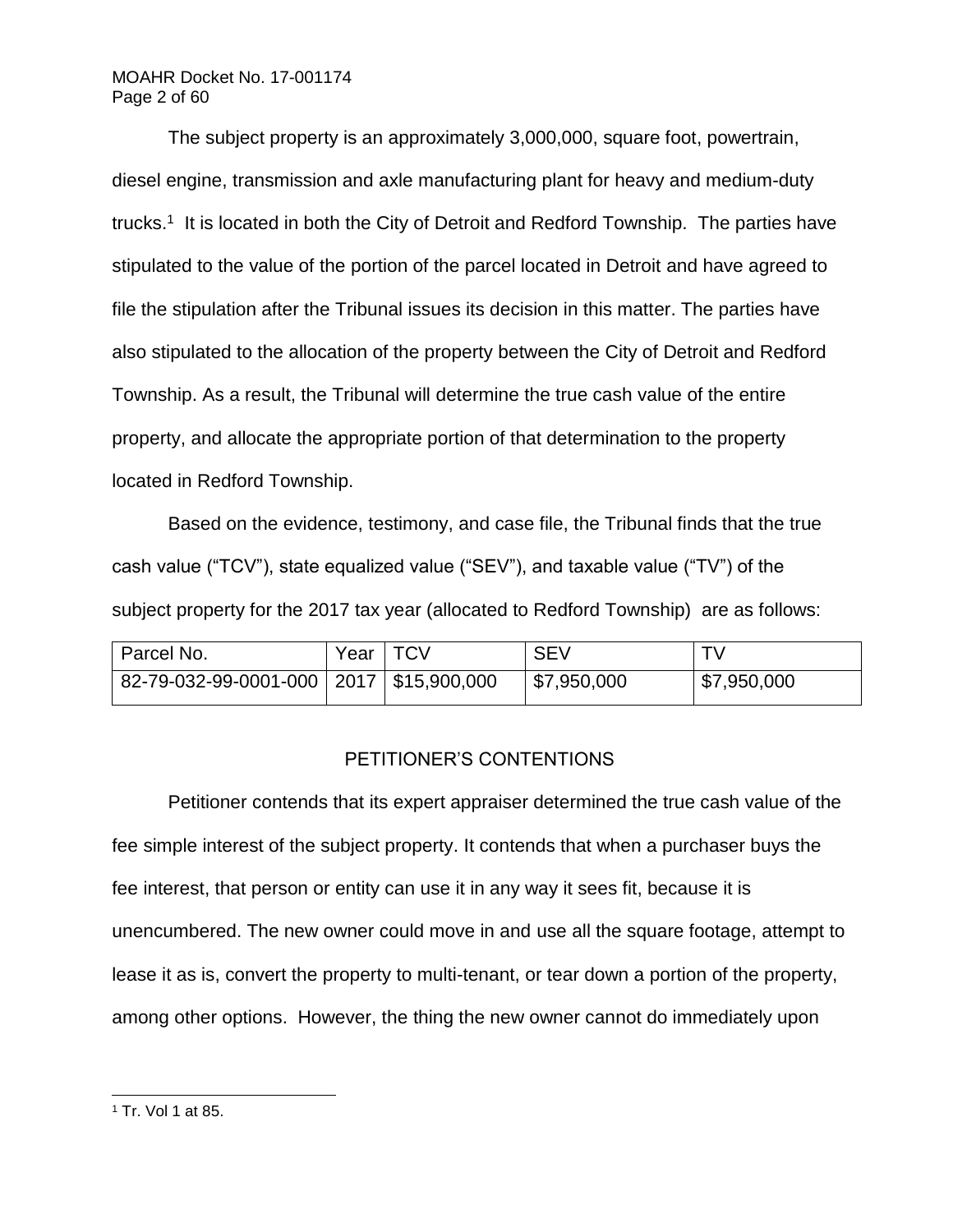# MOAHR Docket No. 17-001174 Page 2 of 60

The subject property is an approximately 3,000,000, square foot, powertrain, diesel engine, transmission and axle manufacturing plant for heavy and medium-duty trucks.<sup>1</sup> It is located in both the City of Detroit and Redford Township. The parties have stipulated to the value of the portion of the parcel located in Detroit and have agreed to file the stipulation after the Tribunal issues its decision in this matter. The parties have also stipulated to the allocation of the property between the City of Detroit and Redford Township. As a result, the Tribunal will determine the true cash value of the entire property, and allocate the appropriate portion of that determination to the property located in Redford Township.

Based on the evidence, testimony, and case file, the Tribunal finds that the true cash value ("TCV"), state equalized value ("SEV"), and taxable value ("TV") of the subject property for the 2017 tax year (allocated to Redford Township) are as follows:

| Parcel No.                                  | Year $\vert$ TCV | <b>SEV</b>  |             |
|---------------------------------------------|------------------|-------------|-------------|
| 82-79-032-99-0001-000   2017   \$15,900,000 |                  | \$7,950,000 | \$7,950,000 |

# PETITIONER'S CONTENTIONS

Petitioner contends that its expert appraiser determined the true cash value of the fee simple interest of the subject property. It contends that when a purchaser buys the fee interest, that person or entity can use it in any way it sees fit, because it is unencumbered. The new owner could move in and use all the square footage, attempt to lease it as is, convert the property to multi-tenant, or tear down a portion of the property, among other options. However, the thing the new owner cannot do immediately upon

l <sup>1</sup> Tr. Vol 1 at 85.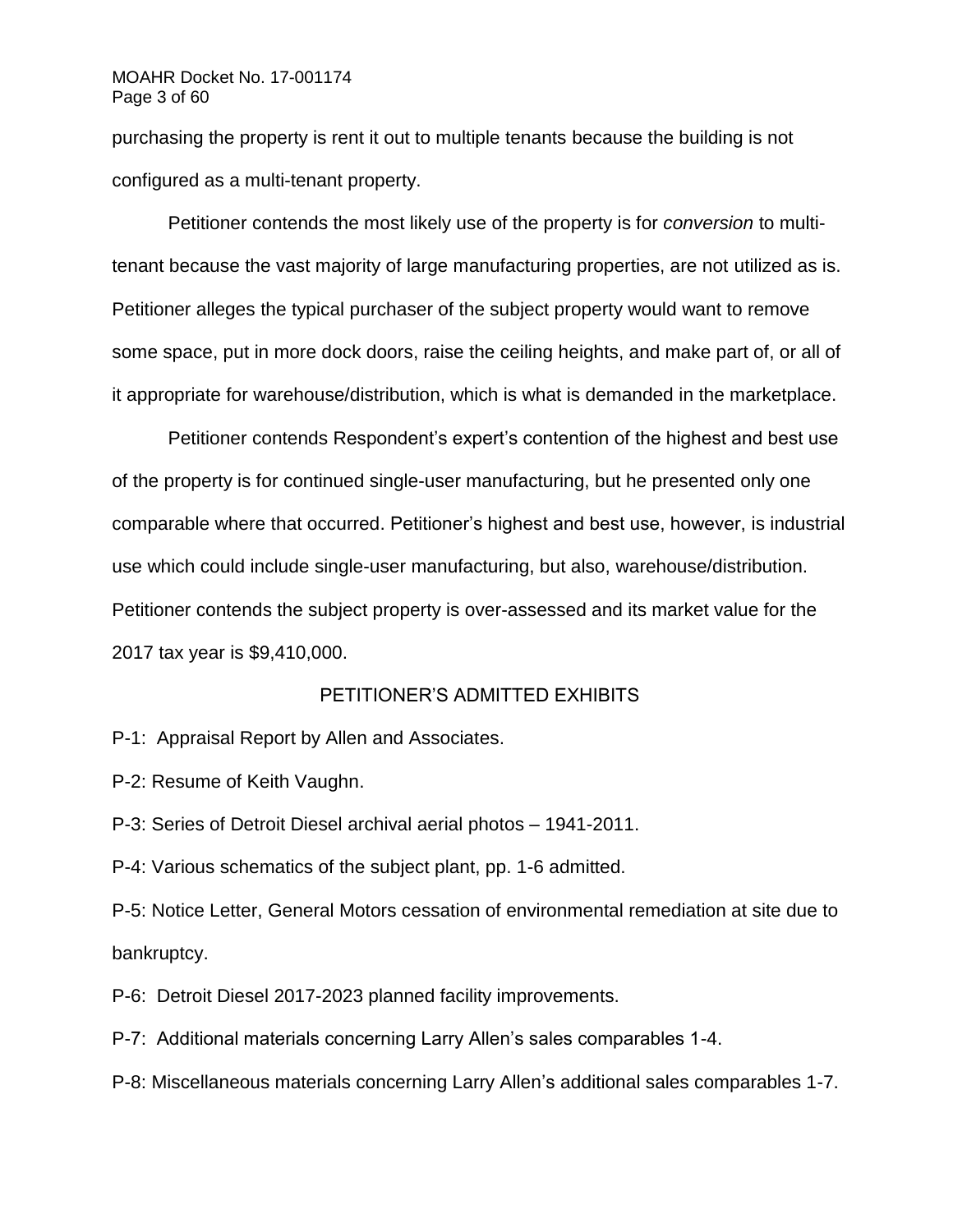## MOAHR Docket No. 17-001174 Page 3 of 60

purchasing the property is rent it out to multiple tenants because the building is not configured as a multi-tenant property.

Petitioner contends the most likely use of the property is for *conversion* to multitenant because the vast majority of large manufacturing properties, are not utilized as is. Petitioner alleges the typical purchaser of the subject property would want to remove some space, put in more dock doors, raise the ceiling heights, and make part of, or all of it appropriate for warehouse/distribution, which is what is demanded in the marketplace.

Petitioner contends Respondent's expert's contention of the highest and best use of the property is for continued single-user manufacturing, but he presented only one comparable where that occurred. Petitioner's highest and best use, however, is industrial use which could include single-user manufacturing, but also, warehouse/distribution. Petitioner contends the subject property is over-assessed and its market value for the 2017 tax year is \$9,410,000.

# PETITIONER'S ADMITTED EXHIBITS

P-1: Appraisal Report by Allen and Associates.

P-2: Resume of Keith Vaughn.

P-3: Series of Detroit Diesel archival aerial photos – 1941-2011.

P-4: Various schematics of the subject plant, pp. 1-6 admitted.

P-5: Notice Letter, General Motors cessation of environmental remediation at site due to bankruptcy.

P-6: Detroit Diesel 2017-2023 planned facility improvements.

P-7: Additional materials concerning Larry Allen's sales comparables 1-4.

P-8: Miscellaneous materials concerning Larry Allen's additional sales comparables 1-7.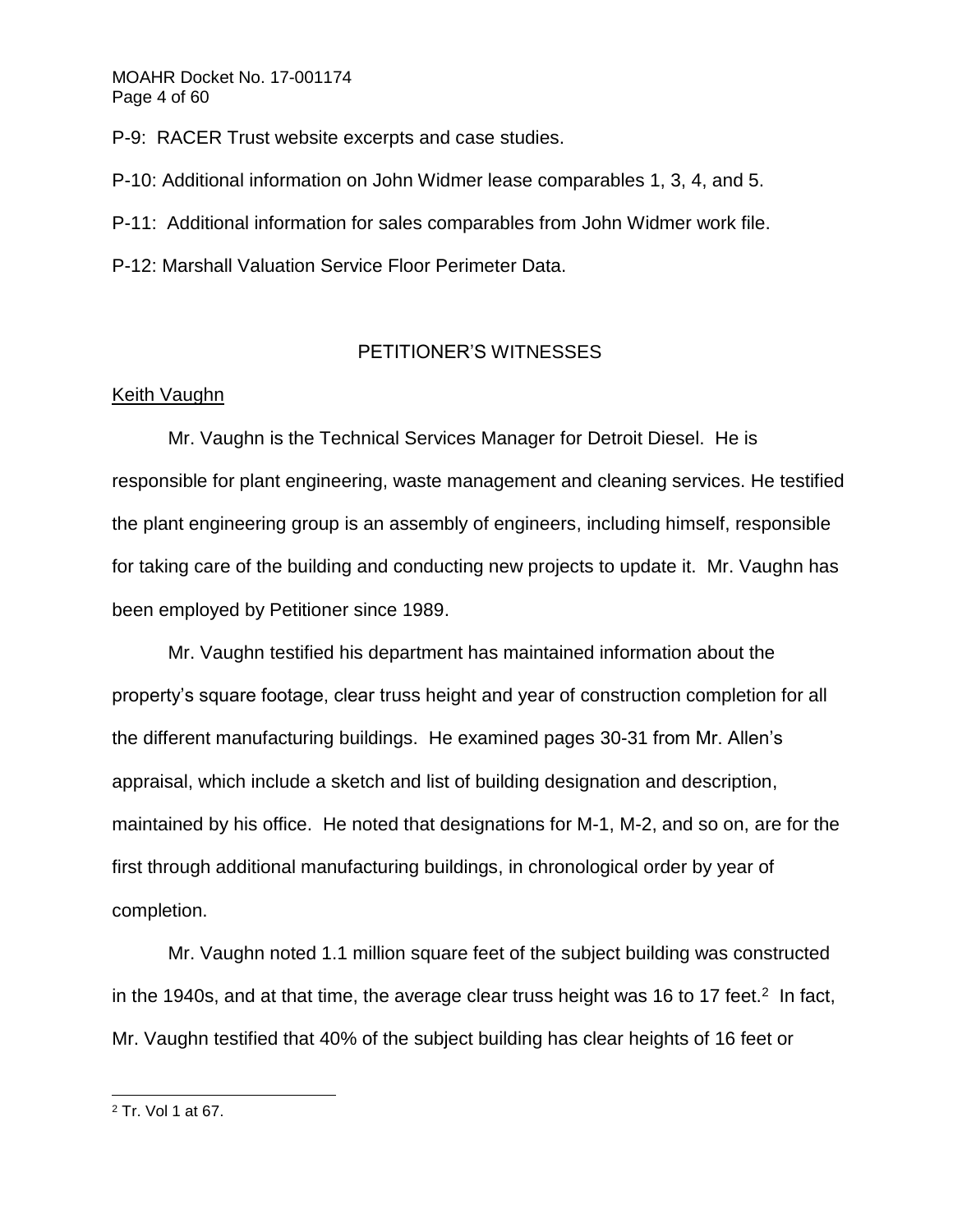P-9: RACER Trust website excerpts and case studies.

P-10: Additional information on John Widmer lease comparables 1, 3, 4, and 5.

P-11: Additional information for sales comparables from John Widmer work file.

P-12: Marshall Valuation Service Floor Perimeter Data.

# PETITIONER'S WITNESSES

# Keith Vaughn

Mr. Vaughn is the Technical Services Manager for Detroit Diesel. He is responsible for plant engineering, waste management and cleaning services. He testified the plant engineering group is an assembly of engineers, including himself, responsible for taking care of the building and conducting new projects to update it. Mr. Vaughn has been employed by Petitioner since 1989.

Mr. Vaughn testified his department has maintained information about the property's square footage, clear truss height and year of construction completion for all the different manufacturing buildings. He examined pages 30-31 from Mr. Allen's appraisal, which include a sketch and list of building designation and description, maintained by his office. He noted that designations for M-1, M-2, and so on, are for the first through additional manufacturing buildings, in chronological order by year of completion.

Mr. Vaughn noted 1.1 million square feet of the subject building was constructed in the 1940s, and at that time, the average clear truss height was 16 to 17 feet.<sup>2</sup> In fact, Mr. Vaughn testified that 40% of the subject building has clear heights of 16 feet or

l <sup>2</sup> Tr. Vol 1 at 67.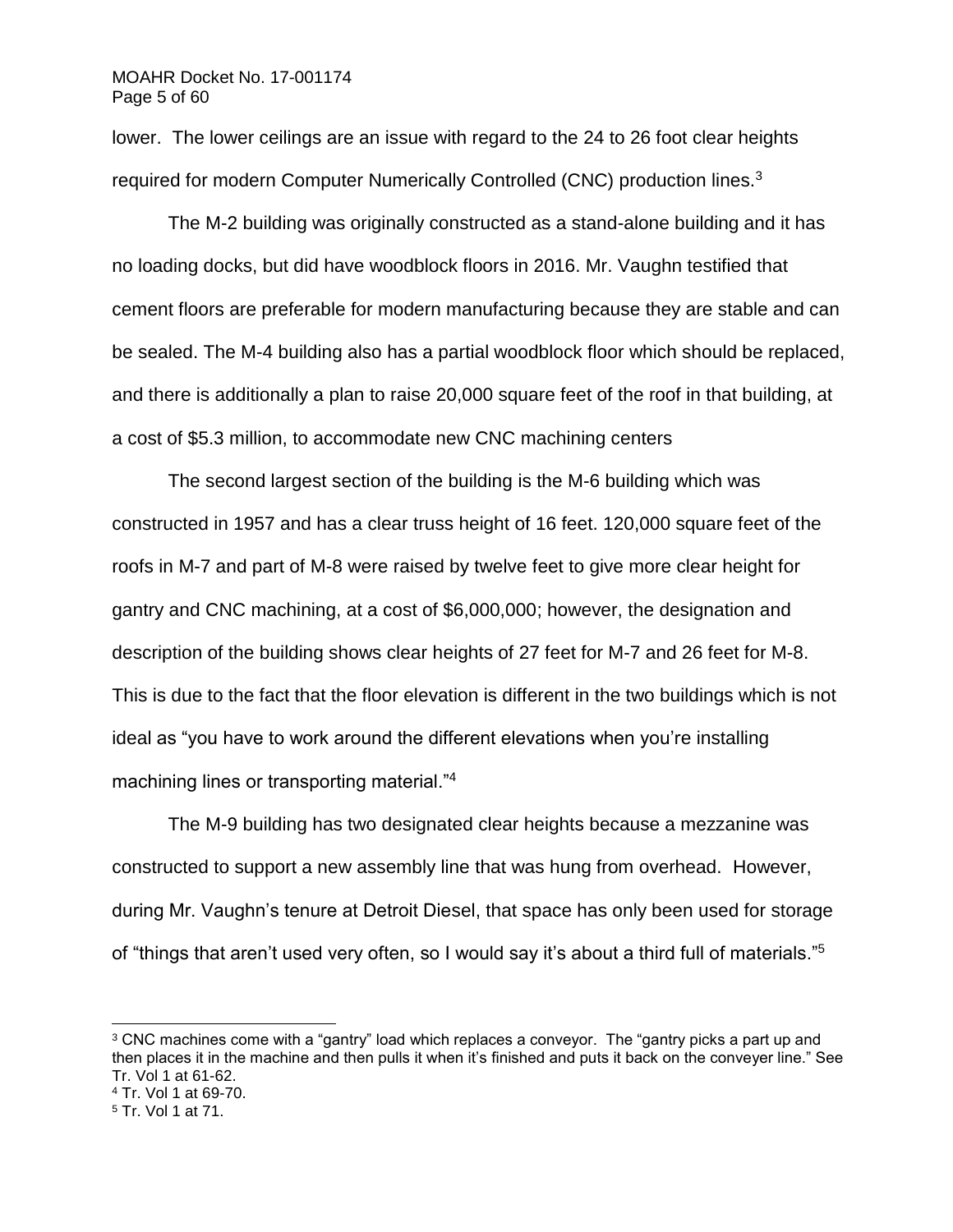lower. The lower ceilings are an issue with regard to the 24 to 26 foot clear heights required for modern Computer Numerically Controlled (CNC) production lines.<sup>3</sup>

The M-2 building was originally constructed as a stand-alone building and it has no loading docks, but did have woodblock floors in 2016. Mr. Vaughn testified that cement floors are preferable for modern manufacturing because they are stable and can be sealed. The M-4 building also has a partial woodblock floor which should be replaced, and there is additionally a plan to raise 20,000 square feet of the roof in that building, at a cost of \$5.3 million, to accommodate new CNC machining centers

The second largest section of the building is the M-6 building which was constructed in 1957 and has a clear truss height of 16 feet. 120,000 square feet of the roofs in M-7 and part of M-8 were raised by twelve feet to give more clear height for gantry and CNC machining, at a cost of \$6,000,000; however, the designation and description of the building shows clear heights of 27 feet for M-7 and 26 feet for M-8. This is due to the fact that the floor elevation is different in the two buildings which is not ideal as "you have to work around the different elevations when you're installing machining lines or transporting material."<sup>4</sup>

The M-9 building has two designated clear heights because a mezzanine was constructed to support a new assembly line that was hung from overhead. However, during Mr. Vaughn's tenure at Detroit Diesel, that space has only been used for storage of "things that aren't used very often, so I would say it's about a third full of materials."<sup>5</sup>

<sup>&</sup>lt;sup>3</sup> CNC machines come with a "gantry" load which replaces a conveyor. The "gantry picks a part up and then places it in the machine and then pulls it when it's finished and puts it back on the conveyer line." See Tr. Vol 1 at 61-62.

<sup>4</sup> Tr. Vol 1 at 69-70.

<sup>5</sup> Tr. Vol 1 at 71.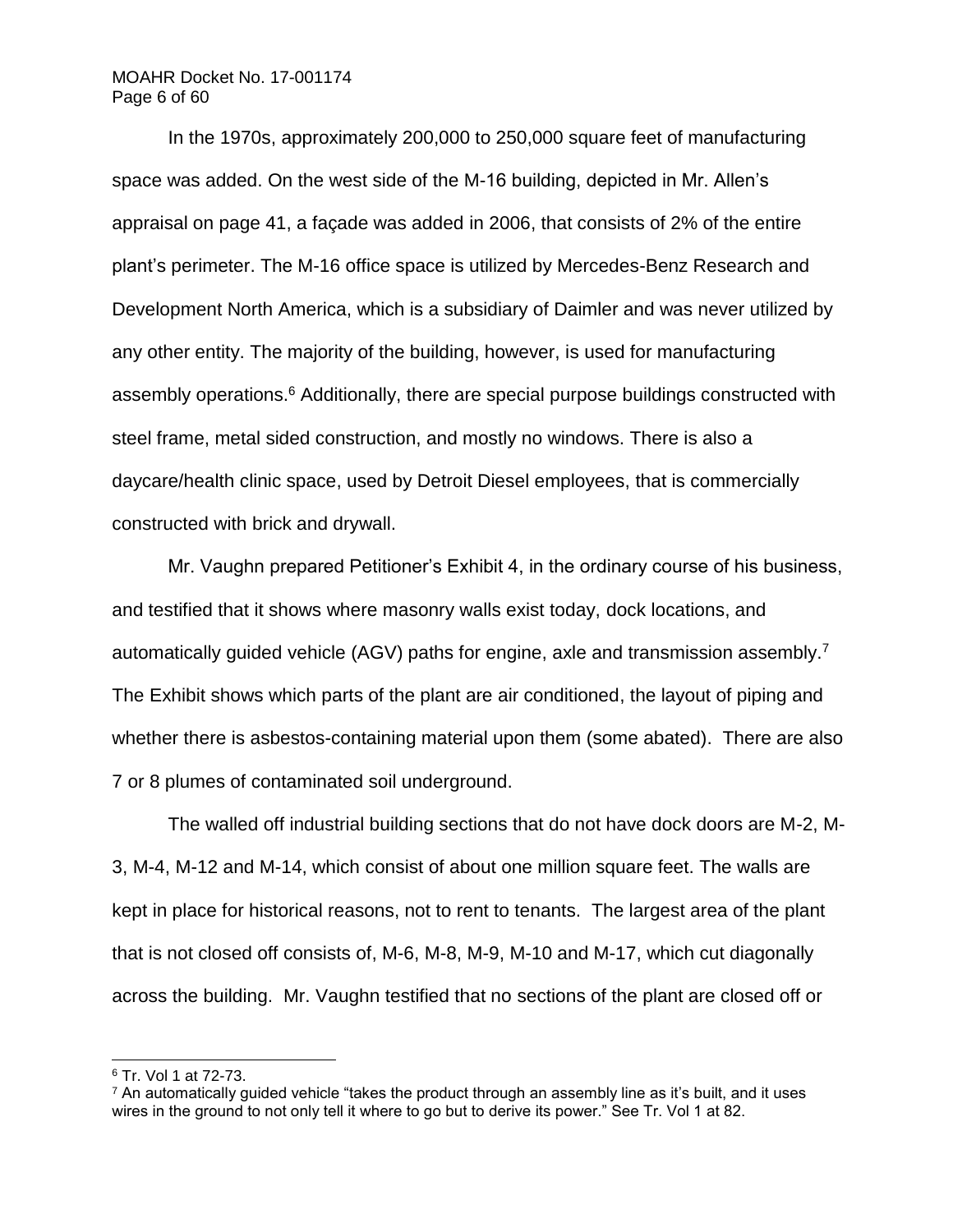## MOAHR Docket No. 17-001174 Page 6 of 60

In the 1970s, approximately 200,000 to 250,000 square feet of manufacturing space was added. On the west side of the M-16 building, depicted in Mr. Allen's appraisal on page 41, a façade was added in 2006, that consists of 2% of the entire plant's perimeter. The M-16 office space is utilized by Mercedes-Benz Research and Development North America, which is a subsidiary of Daimler and was never utilized by any other entity. The majority of the building, however, is used for manufacturing assembly operations.<sup>6</sup> Additionally, there are special purpose buildings constructed with steel frame, metal sided construction, and mostly no windows. There is also a daycare/health clinic space, used by Detroit Diesel employees, that is commercially constructed with brick and drywall.

Mr. Vaughn prepared Petitioner's Exhibit 4, in the ordinary course of his business, and testified that it shows where masonry walls exist today, dock locations, and automatically guided vehicle (AGV) paths for engine, axle and transmission assembly.<sup>7</sup> The Exhibit shows which parts of the plant are air conditioned, the layout of piping and whether there is asbestos-containing material upon them (some abated). There are also 7 or 8 plumes of contaminated soil underground.

The walled off industrial building sections that do not have dock doors are M-2, M-3, M-4, M-12 and M-14, which consist of about one million square feet. The walls are kept in place for historical reasons, not to rent to tenants. The largest area of the plant that is not closed off consists of, M-6, M-8, M-9, M-10 and M-17, which cut diagonally across the building. Mr. Vaughn testified that no sections of the plant are closed off or

<sup>6</sup> Tr. Vol 1 at 72-73.

 $<sup>7</sup>$  An automatically guided vehicle "takes the product through an assembly line as it's built, and it uses</sup> wires in the ground to not only tell it where to go but to derive its power." See Tr. Vol 1 at 82.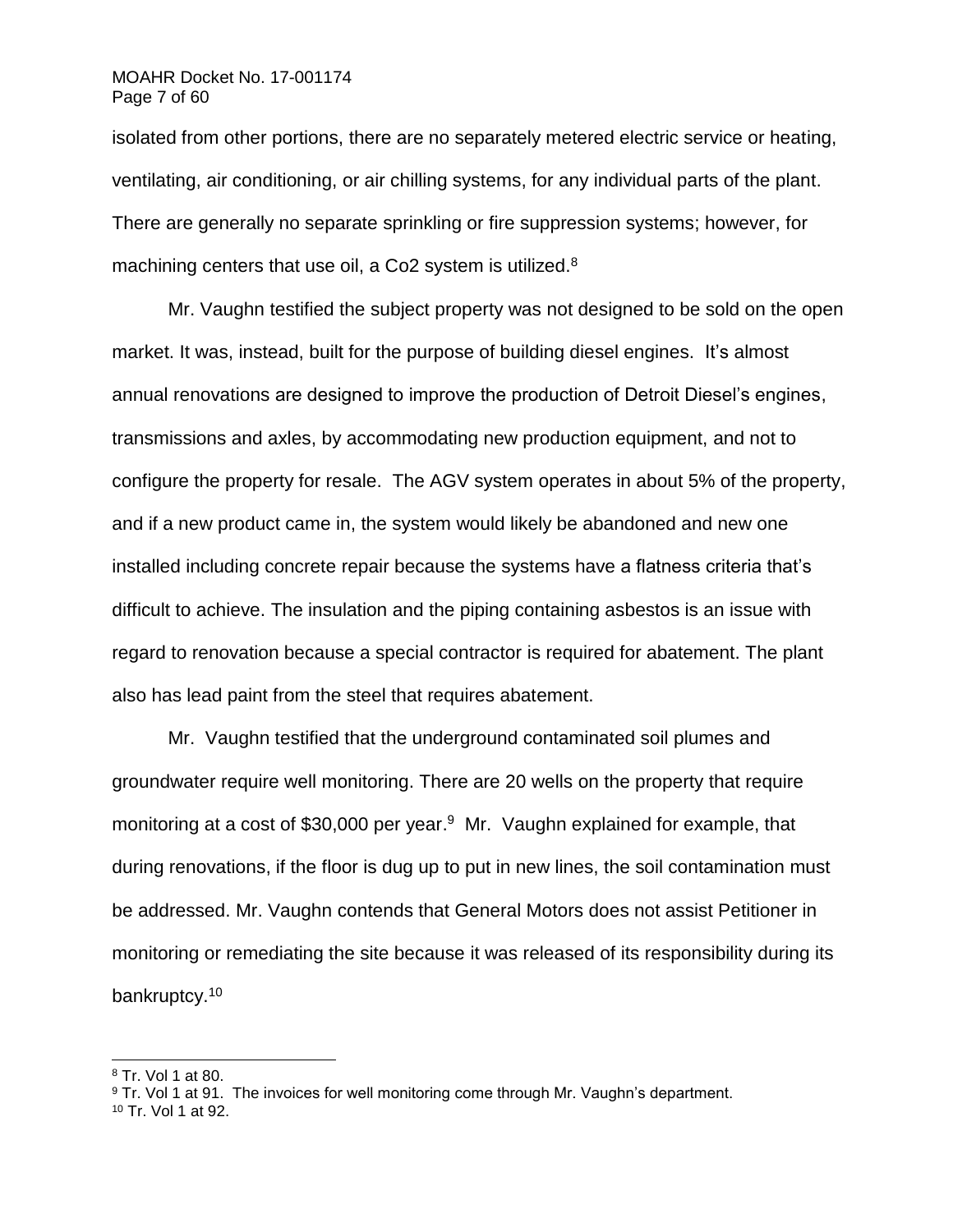# MOAHR Docket No. 17-001174 Page 7 of 60

isolated from other portions, there are no separately metered electric service or heating, ventilating, air conditioning, or air chilling systems, for any individual parts of the plant. There are generally no separate sprinkling or fire suppression systems; however, for machining centers that use oil, a Co<sub>2</sub> system is utilized.<sup>8</sup>

Mr. Vaughn testified the subject property was not designed to be sold on the open market. It was, instead, built for the purpose of building diesel engines. It's almost annual renovations are designed to improve the production of Detroit Diesel's engines, transmissions and axles, by accommodating new production equipment, and not to configure the property for resale. The AGV system operates in about 5% of the property, and if a new product came in, the system would likely be abandoned and new one installed including concrete repair because the systems have a flatness criteria that's difficult to achieve. The insulation and the piping containing asbestos is an issue with regard to renovation because a special contractor is required for abatement. The plant also has lead paint from the steel that requires abatement.

Mr. Vaughn testified that the underground contaminated soil plumes and groundwater require well monitoring. There are 20 wells on the property that require monitoring at a cost of \$30,000 per year.<sup>9</sup> Mr. Vaughn explained for example, that during renovations, if the floor is dug up to put in new lines, the soil contamination must be addressed. Mr. Vaughn contends that General Motors does not assist Petitioner in monitoring or remediating the site because it was released of its responsibility during its bankruptcy.<sup>10</sup>

<sup>8</sup> Tr. Vol 1 at 80.

<sup>9</sup> Tr. Vol 1 at 91. The invoices for well monitoring come through Mr. Vaughn's department.

<sup>10</sup> Tr. Vol 1 at 92.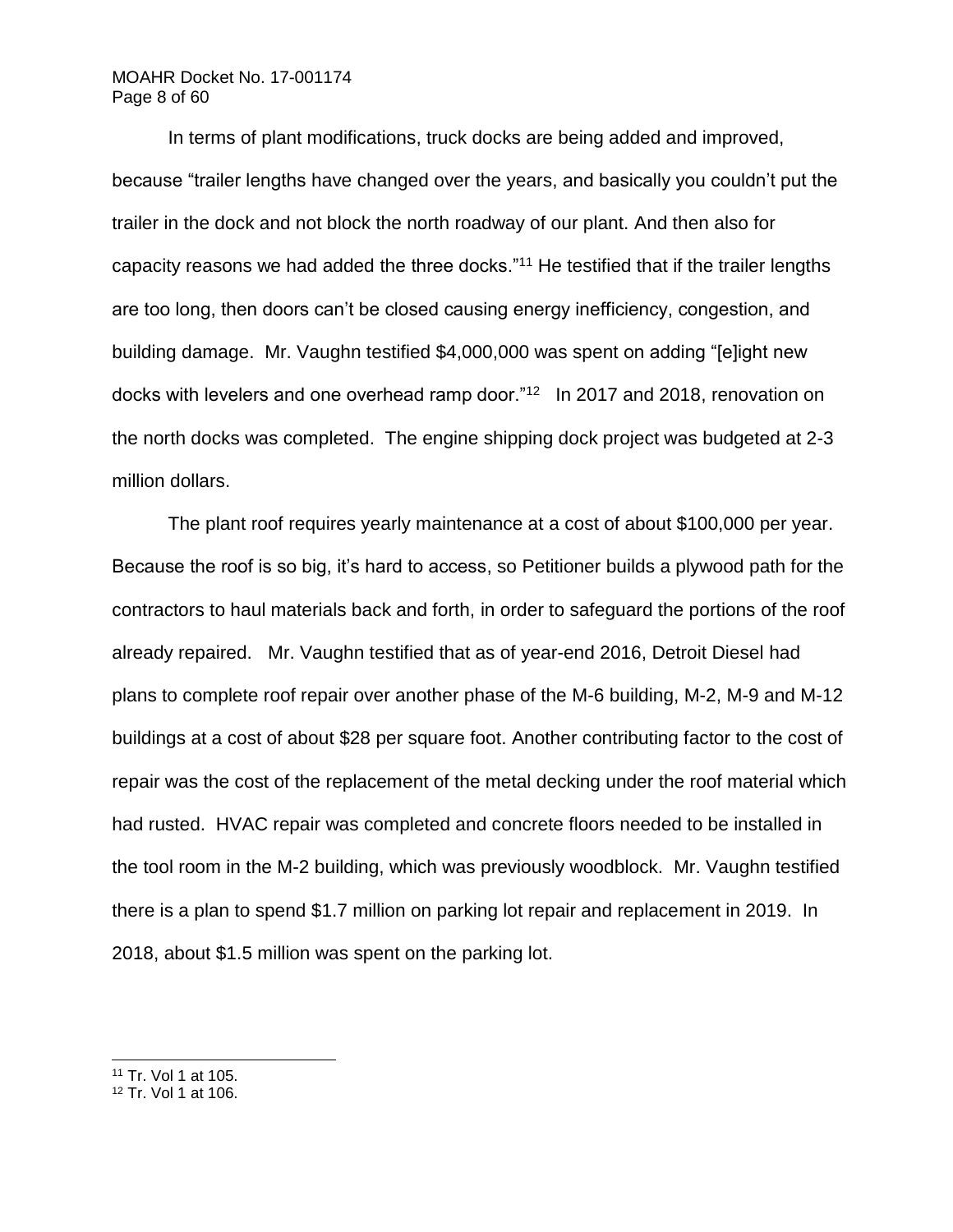# MOAHR Docket No. 17-001174 Page 8 of 60

In terms of plant modifications, truck docks are being added and improved, because "trailer lengths have changed over the years, and basically you couldn't put the trailer in the dock and not block the north roadway of our plant. And then also for capacity reasons we had added the three docks."<sup>11</sup> He testified that if the trailer lengths are too long, then doors can't be closed causing energy inefficiency, congestion, and building damage. Mr. Vaughn testified \$4,000,000 was spent on adding "[e]ight new docks with levelers and one overhead ramp door."<sup>12</sup> In 2017 and 2018, renovation on the north docks was completed. The engine shipping dock project was budgeted at 2-3 million dollars.

The plant roof requires yearly maintenance at a cost of about \$100,000 per year. Because the roof is so big, it's hard to access, so Petitioner builds a plywood path for the contractors to haul materials back and forth, in order to safeguard the portions of the roof already repaired. Mr. Vaughn testified that as of year-end 2016, Detroit Diesel had plans to complete roof repair over another phase of the M-6 building, M-2, M-9 and M-12 buildings at a cost of about \$28 per square foot. Another contributing factor to the cost of repair was the cost of the replacement of the metal decking under the roof material which had rusted. HVAC repair was completed and concrete floors needed to be installed in the tool room in the M-2 building, which was previously woodblock. Mr. Vaughn testified there is a plan to spend \$1.7 million on parking lot repair and replacement in 2019. In 2018, about \$1.5 million was spent on the parking lot.

<sup>11</sup> Tr. Vol 1 at 105.

<sup>12</sup> Tr. Vol 1 at 106.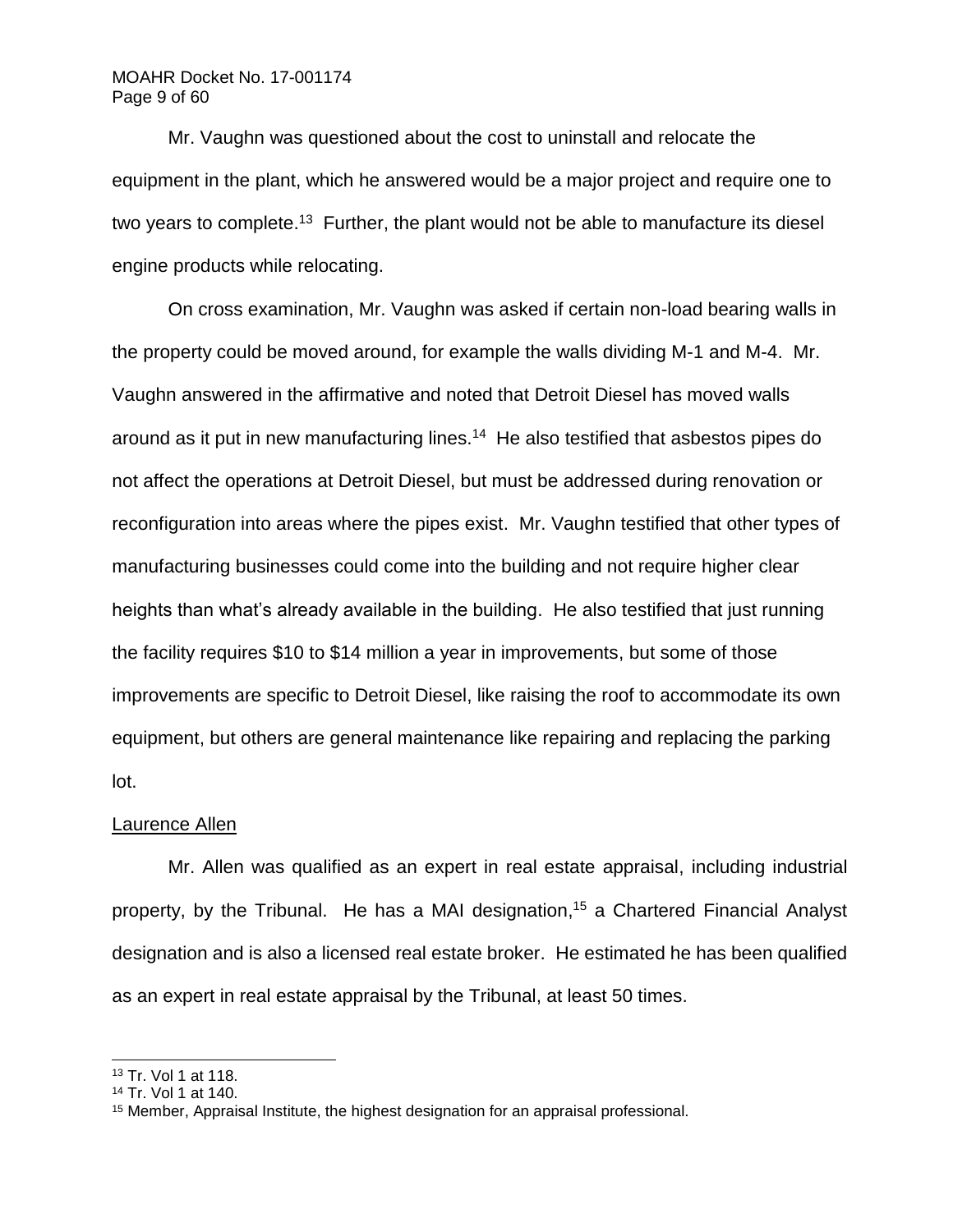# MOAHR Docket No. 17-001174 Page 9 of 60

Mr. Vaughn was questioned about the cost to uninstall and relocate the equipment in the plant, which he answered would be a major project and require one to two years to complete.<sup>13</sup> Further, the plant would not be able to manufacture its diesel engine products while relocating.

On cross examination, Mr. Vaughn was asked if certain non-load bearing walls in the property could be moved around, for example the walls dividing M-1 and M-4. Mr. Vaughn answered in the affirmative and noted that Detroit Diesel has moved walls around as it put in new manufacturing lines.<sup>14</sup> He also testified that asbestos pipes do not affect the operations at Detroit Diesel, but must be addressed during renovation or reconfiguration into areas where the pipes exist. Mr. Vaughn testified that other types of manufacturing businesses could come into the building and not require higher clear heights than what's already available in the building. He also testified that just running the facility requires \$10 to \$14 million a year in improvements, but some of those improvements are specific to Detroit Diesel, like raising the roof to accommodate its own equipment, but others are general maintenance like repairing and replacing the parking lot.

### Laurence Allen

Mr. Allen was qualified as an expert in real estate appraisal, including industrial property, by the Tribunal. He has a MAI designation, <sup>15</sup> a Chartered Financial Analyst designation and is also a licensed real estate broker. He estimated he has been qualified as an expert in real estate appraisal by the Tribunal, at least 50 times.

<sup>13</sup> Tr. Vol 1 at 118.

<sup>14</sup> Tr. Vol 1 at 140.

<sup>&</sup>lt;sup>15</sup> Member, Appraisal Institute, the highest designation for an appraisal professional.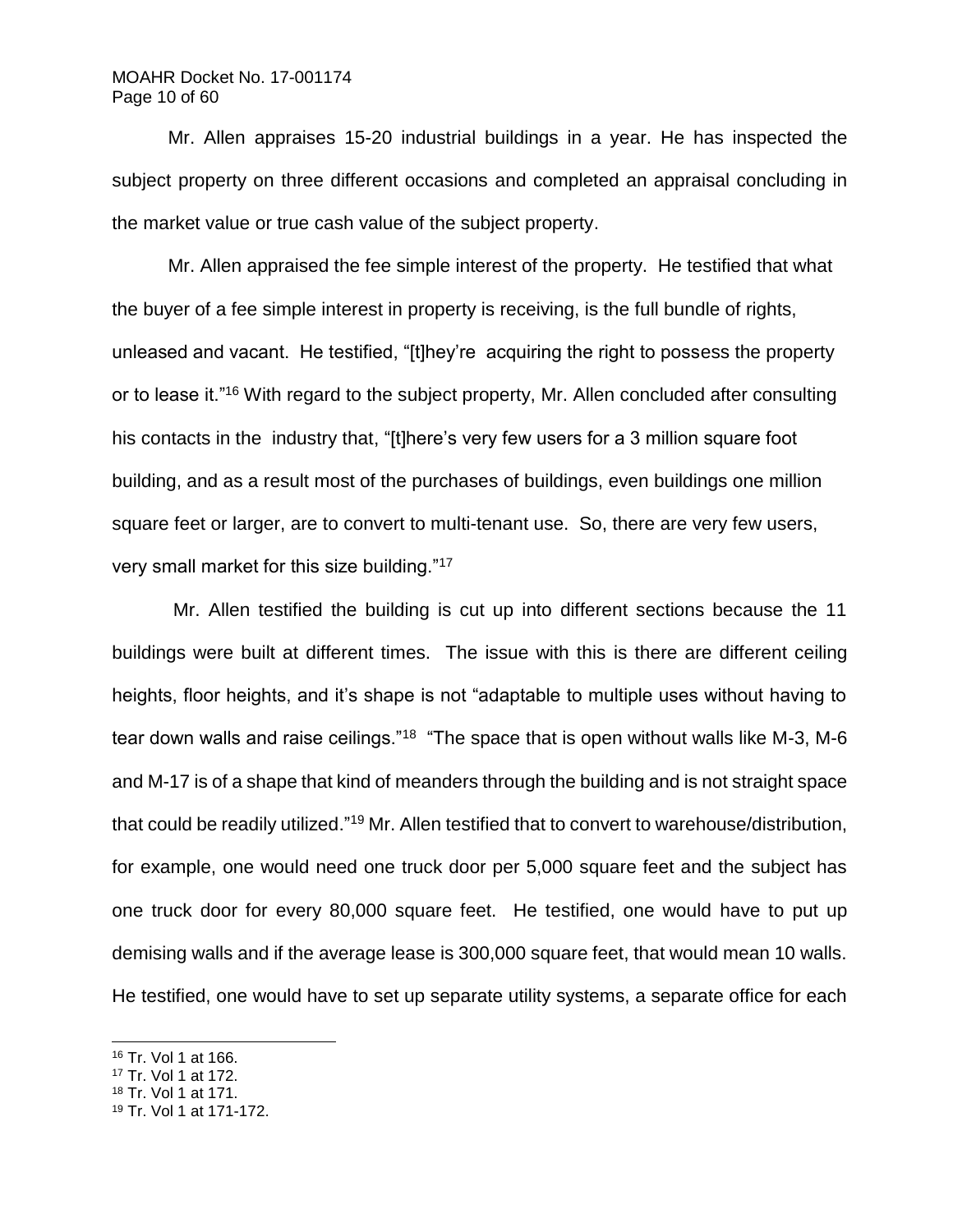## MOAHR Docket No. 17-001174 Page 10 of 60

Mr. Allen appraises 15-20 industrial buildings in a year. He has inspected the subject property on three different occasions and completed an appraisal concluding in the market value or true cash value of the subject property.

Mr. Allen appraised the fee simple interest of the property. He testified that what the buyer of a fee simple interest in property is receiving, is the full bundle of rights, unleased and vacant. He testified, "[t]hey're acquiring the right to possess the property or to lease it."<sup>16</sup> With regard to the subject property, Mr. Allen concluded after consulting his contacts in the industry that, "[t]here's very few users for a 3 million square foot building, and as a result most of the purchases of buildings, even buildings one million square feet or larger, are to convert to multi-tenant use. So, there are very few users, very small market for this size building."<sup>17</sup>

Mr. Allen testified the building is cut up into different sections because the 11 buildings were built at different times. The issue with this is there are different ceiling heights, floor heights, and it's shape is not "adaptable to multiple uses without having to tear down walls and raise ceilings."<sup>18</sup> "The space that is open without walls like M-3, M-6 and M-17 is of a shape that kind of meanders through the building and is not straight space that could be readily utilized."<sup>19</sup> Mr. Allen testified that to convert to warehouse/distribution, for example, one would need one truck door per 5,000 square feet and the subject has one truck door for every 80,000 square feet. He testified, one would have to put up demising walls and if the average lease is 300,000 square feet, that would mean 10 walls. He testified, one would have to set up separate utility systems, a separate office for each

- <sup>17</sup> Tr. Vol 1 at 172.
- <sup>18</sup> Tr. Vol 1 at 171.

<sup>16</sup> Tr. Vol 1 at 166.

<sup>19</sup> Tr. Vol 1 at 171-172.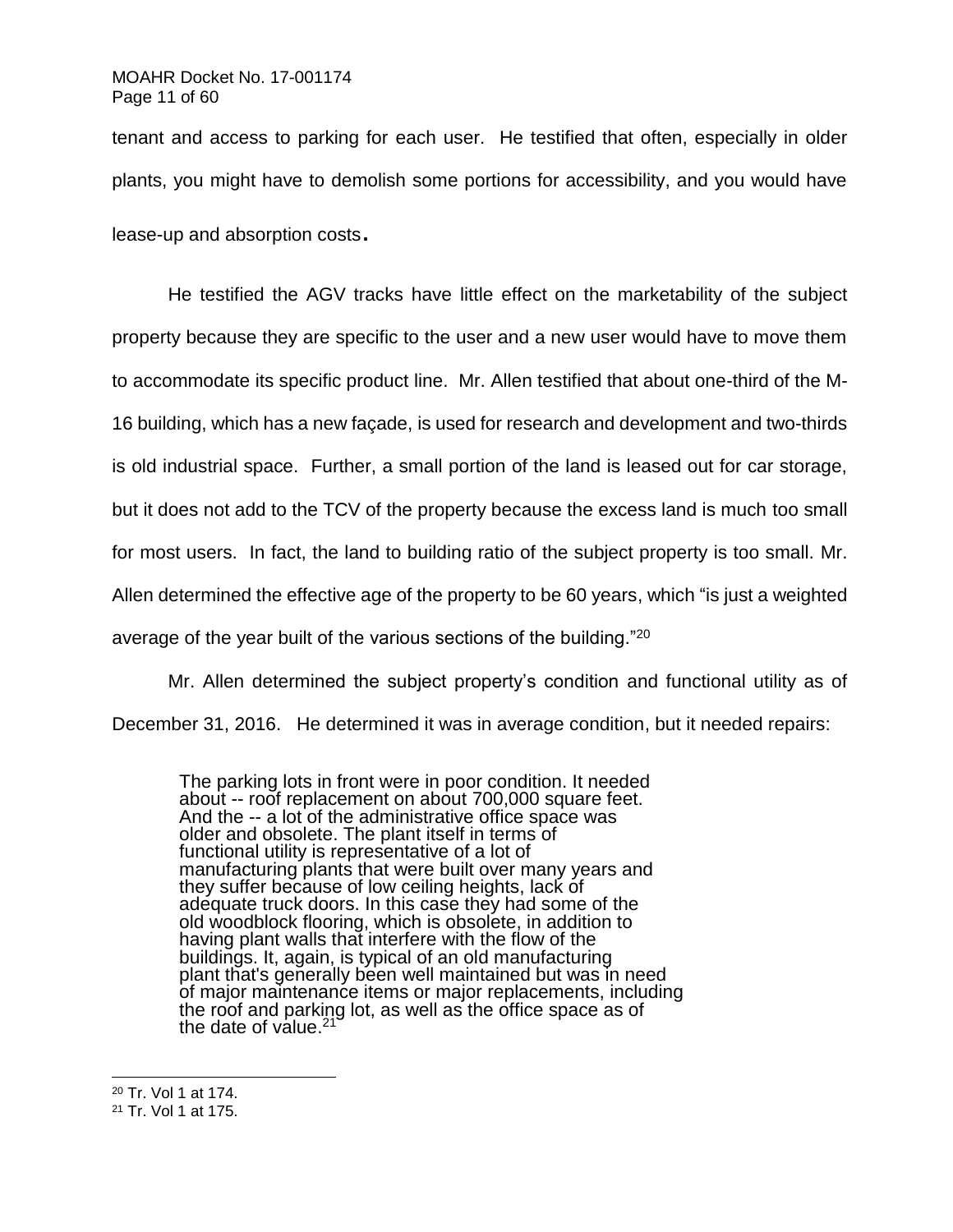tenant and access to parking for each user. He testified that often, especially in older plants, you might have to demolish some portions for accessibility, and you would have lease-up and absorption costs.

He testified the AGV tracks have little effect on the marketability of the subject property because they are specific to the user and a new user would have to move them to accommodate its specific product line. Mr. Allen testified that about one-third of the M-16 building, which has a new façade, is used for research and development and two-thirds is old industrial space. Further, a small portion of the land is leased out for car storage, but it does not add to the TCV of the property because the excess land is much too small for most users. In fact, the land to building ratio of the subject property is too small. Mr. Allen determined the effective age of the property to be 60 years, which "is just a weighted average of the year built of the various sections of the building."<sup>20</sup>

Mr. Allen determined the subject property's condition and functional utility as of December 31, 2016. He determined it was in average condition, but it needed repairs:

The parking lots in front were in poor condition. It needed about -- roof replacement on about 700,000 square feet. And the -- a lot of the administrative office space was older and obsolete. The plant itself in terms of functional utility is representative of a lot of manufacturing plants that were built over many years and they suffer because of low ceiling heights, lack of adequate truck doors. In this case they had some of the old woodblock flooring, which is obsolete, in addition to having plant walls that interfere with the flow of the buildings. It, again, is typical of an old manufacturing plant that's generally been well maintained but was in need of major maintenance items or major replacements, including the roof and parking lot, as well as the office space as of the date of value.<sup>21</sup>

<sup>20</sup> Tr. Vol 1 at 174.

<sup>21</sup> Tr. Vol 1 at 175.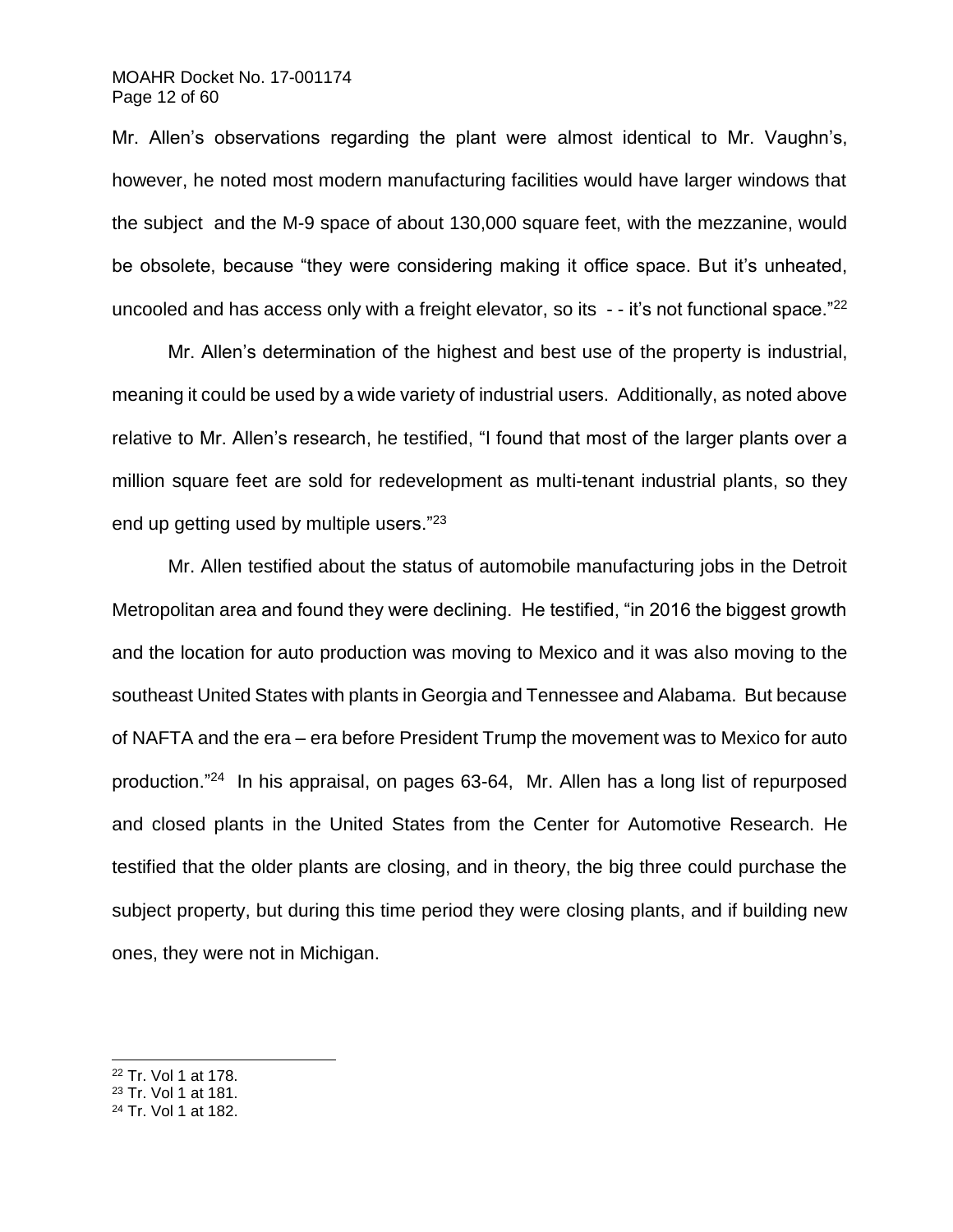## MOAHR Docket No. 17-001174 Page 12 of 60

Mr. Allen's observations regarding the plant were almost identical to Mr. Vaughn's, however, he noted most modern manufacturing facilities would have larger windows that the subject and the M-9 space of about 130,000 square feet, with the mezzanine, would be obsolete, because "they were considering making it office space. But it's unheated, uncooled and has access only with a freight elevator, so its  $-$ -it's not functional space."<sup>22</sup>

Mr. Allen's determination of the highest and best use of the property is industrial, meaning it could be used by a wide variety of industrial users. Additionally, as noted above relative to Mr. Allen's research, he testified, "I found that most of the larger plants over a million square feet are sold for redevelopment as multi-tenant industrial plants, so they end up getting used by multiple users."<sup>23</sup>

Mr. Allen testified about the status of automobile manufacturing jobs in the Detroit Metropolitan area and found they were declining. He testified, "in 2016 the biggest growth and the location for auto production was moving to Mexico and it was also moving to the southeast United States with plants in Georgia and Tennessee and Alabama. But because of NAFTA and the era – era before President Trump the movement was to Mexico for auto production."<sup>24</sup> In his appraisal, on pages 63-64, Mr. Allen has a long list of repurposed and closed plants in the United States from the Center for Automotive Research. He testified that the older plants are closing, and in theory, the big three could purchase the subject property, but during this time period they were closing plants, and if building new ones, they were not in Michigan.

<sup>22</sup> Tr. Vol 1 at 178.

- <sup>23</sup> Tr. Vol 1 at 181.
- <sup>24</sup> Tr. Vol 1 at 182.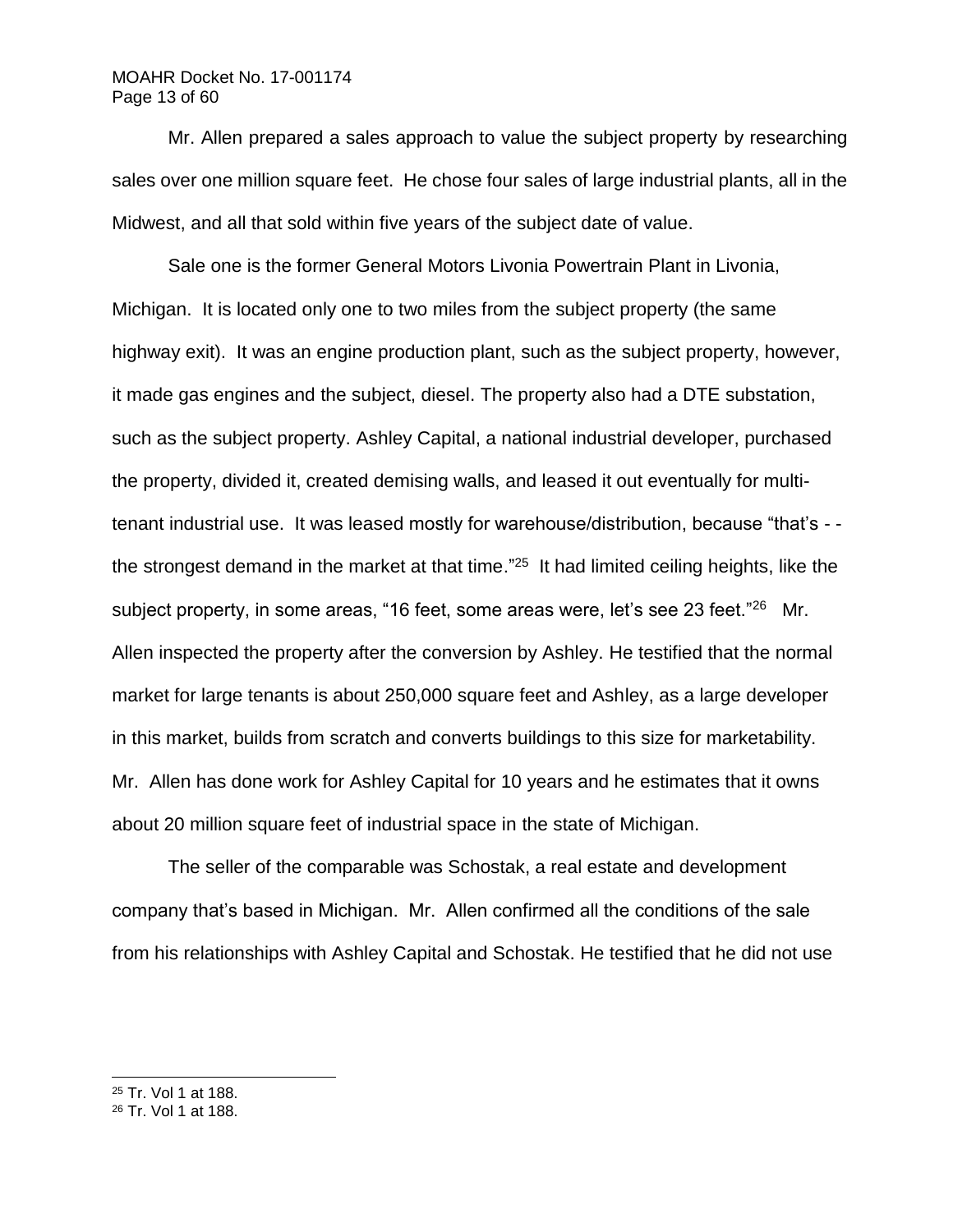# MOAHR Docket No. 17-001174 Page 13 of 60

Mr. Allen prepared a sales approach to value the subject property by researching sales over one million square feet. He chose four sales of large industrial plants, all in the Midwest, and all that sold within five years of the subject date of value.

Sale one is the former General Motors Livonia Powertrain Plant in Livonia, Michigan. It is located only one to two miles from the subject property (the same highway exit). It was an engine production plant, such as the subject property, however, it made gas engines and the subject, diesel. The property also had a DTE substation, such as the subject property. Ashley Capital, a national industrial developer, purchased the property, divided it, created demising walls, and leased it out eventually for multitenant industrial use. It was leased mostly for warehouse/distribution, because "that's - the strongest demand in the market at that time."<sup>25</sup> It had limited ceiling heights, like the subject property, in some areas, "16 feet, some areas were, let's see 23 feet."<sup>26</sup> Mr. Allen inspected the property after the conversion by Ashley. He testified that the normal market for large tenants is about 250,000 square feet and Ashley, as a large developer in this market, builds from scratch and converts buildings to this size for marketability. Mr. Allen has done work for Ashley Capital for 10 years and he estimates that it owns about 20 million square feet of industrial space in the state of Michigan.

The seller of the comparable was Schostak, a real estate and development company that's based in Michigan. Mr. Allen confirmed all the conditions of the sale from his relationships with Ashley Capital and Schostak. He testified that he did not use

<sup>25</sup> Tr. Vol 1 at 188.

<sup>26</sup> Tr. Vol 1 at 188.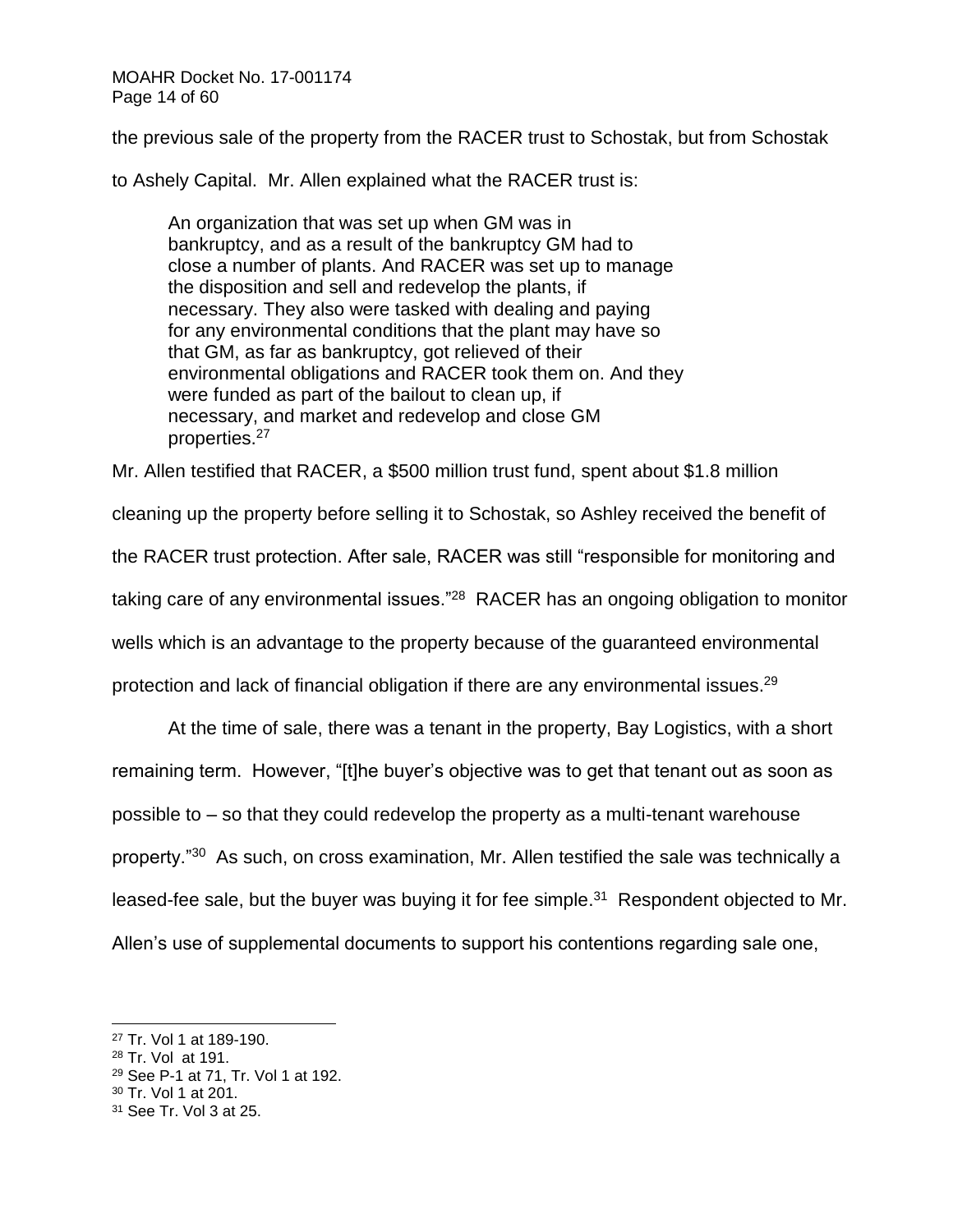MOAHR Docket No. 17-001174 Page 14 of 60

the previous sale of the property from the RACER trust to Schostak, but from Schostak

to Ashely Capital. Mr. Allen explained what the RACER trust is:

An organization that was set up when GM was in bankruptcy, and as a result of the bankruptcy GM had to close a number of plants. And RACER was set up to manage the disposition and sell and redevelop the plants, if necessary. They also were tasked with dealing and paying for any environmental conditions that the plant may have so that GM, as far as bankruptcy, got relieved of their environmental obligations and RACER took them on. And they were funded as part of the bailout to clean up, if necessary, and market and redevelop and close GM properties.<sup>27</sup>

Mr. Allen testified that RACER, a \$500 million trust fund, spent about \$1.8 million

cleaning up the property before selling it to Schostak, so Ashley received the benefit of

the RACER trust protection. After sale, RACER was still "responsible for monitoring and

taking care of any environmental issues."<sup>28</sup> RACER has an ongoing obligation to monitor

wells which is an advantage to the property because of the guaranteed environmental

protection and lack of financial obligation if there are any environmental issues.<sup>29</sup>

At the time of sale, there was a tenant in the property, Bay Logistics, with a short remaining term. However, "[t]he buyer's objective was to get that tenant out as soon as possible to – so that they could redevelop the property as a multi-tenant warehouse property."<sup>30</sup> As such, on cross examination, Mr. Allen testified the sale was technically a leased-fee sale, but the buyer was buying it for fee simple.<sup>31</sup> Respondent objected to Mr. Allen's use of supplemental documents to support his contentions regarding sale one,

<sup>27</sup> Tr. Vol 1 at 189-190.

<sup>28</sup> Tr. Vol at 191.

<sup>29</sup> See P-1 at 71, Tr. Vol 1 at 192.

<sup>30</sup> Tr. Vol 1 at 201.

<sup>31</sup> See Tr. Vol 3 at 25.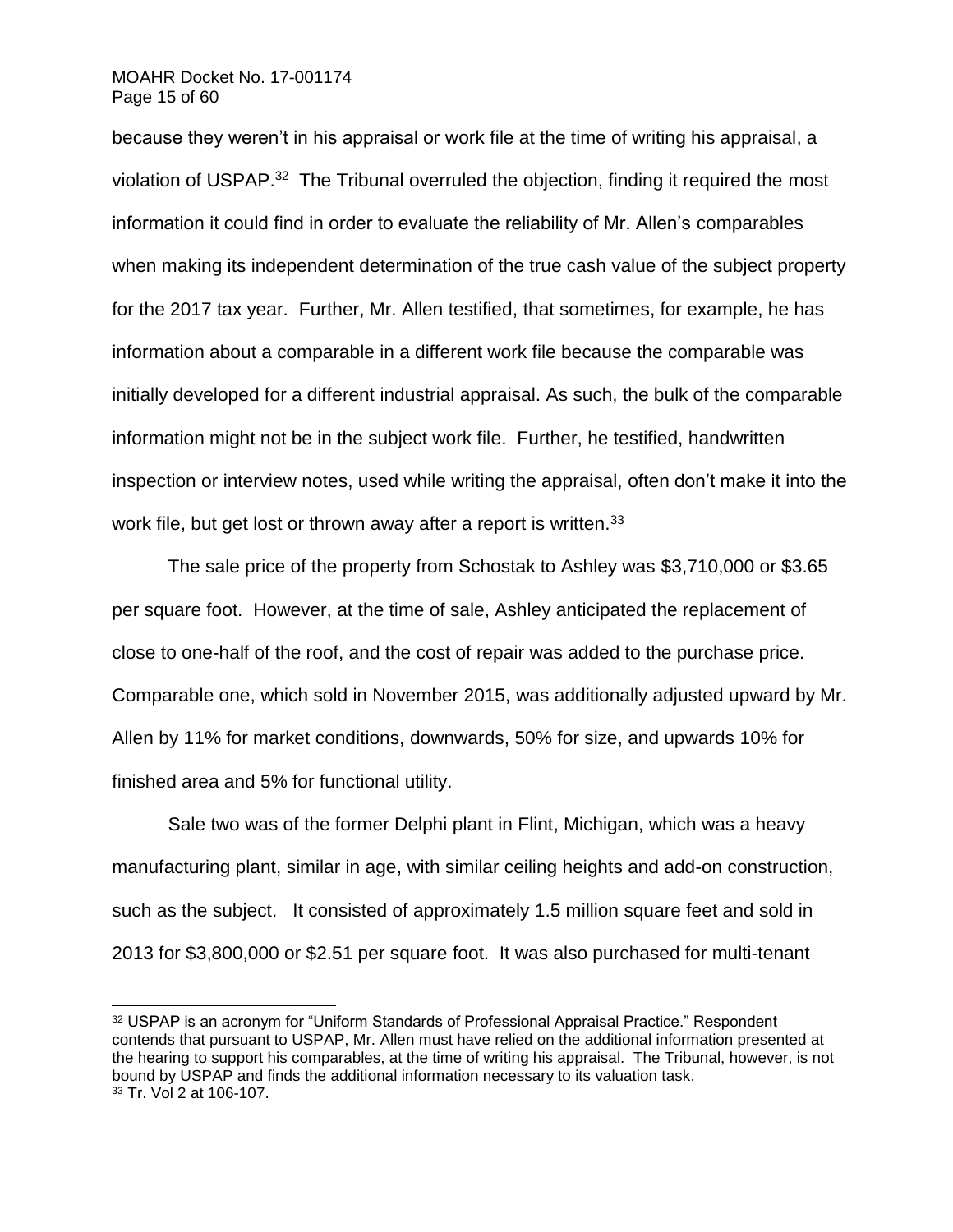### MOAHR Docket No. 17-001174 Page 15 of 60

l

because they weren't in his appraisal or work file at the time of writing his appraisal, a violation of USPAP.<sup>32</sup> The Tribunal overruled the objection, finding it required the most information it could find in order to evaluate the reliability of Mr. Allen's comparables when making its independent determination of the true cash value of the subject property for the 2017 tax year. Further, Mr. Allen testified, that sometimes, for example, he has information about a comparable in a different work file because the comparable was initially developed for a different industrial appraisal. As such, the bulk of the comparable information might not be in the subject work file. Further, he testified, handwritten inspection or interview notes, used while writing the appraisal, often don't make it into the work file, but get lost or thrown away after a report is written.<sup>33</sup>

The sale price of the property from Schostak to Ashley was \$3,710,000 or \$3.65 per square foot. However, at the time of sale, Ashley anticipated the replacement of close to one-half of the roof, and the cost of repair was added to the purchase price. Comparable one, which sold in November 2015, was additionally adjusted upward by Mr. Allen by 11% for market conditions, downwards, 50% for size, and upwards 10% for finished area and 5% for functional utility.

Sale two was of the former Delphi plant in Flint, Michigan, which was a heavy manufacturing plant, similar in age, with similar ceiling heights and add-on construction, such as the subject. It consisted of approximately 1.5 million square feet and sold in 2013 for \$3,800,000 or \$2.51 per square foot. It was also purchased for multi-tenant

<sup>32</sup> USPAP is an acronym for "Uniform Standards of Professional Appraisal Practice." Respondent contends that pursuant to USPAP, Mr. Allen must have relied on the additional information presented at the hearing to support his comparables, at the time of writing his appraisal. The Tribunal, however, is not bound by USPAP and finds the additional information necessary to its valuation task. <sup>33</sup> Tr. Vol 2 at 106-107.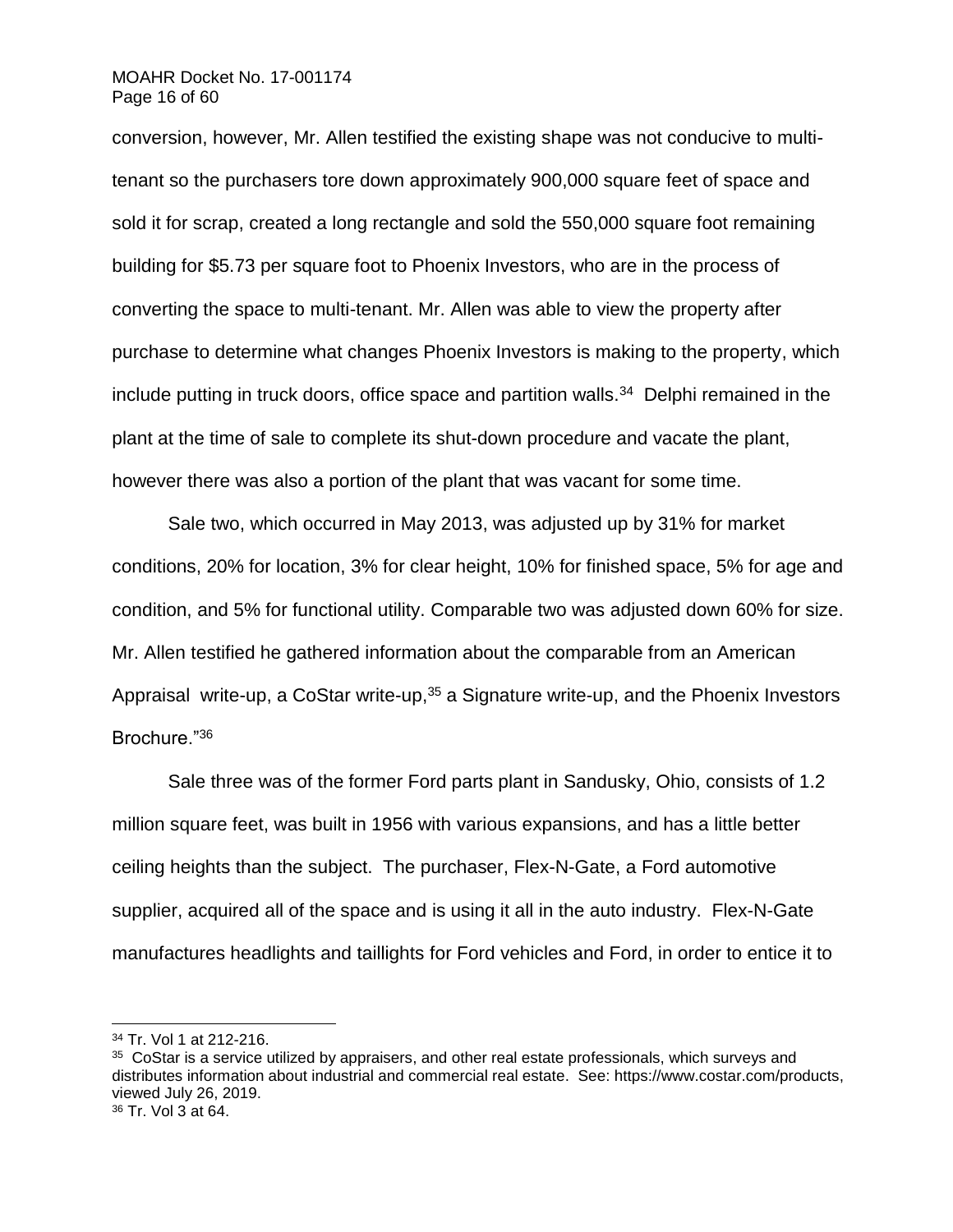### MOAHR Docket No. 17-001174 Page 16 of 60

conversion, however, Mr. Allen testified the existing shape was not conducive to multitenant so the purchasers tore down approximately 900,000 square feet of space and sold it for scrap, created a long rectangle and sold the 550,000 square foot remaining building for \$5.73 per square foot to Phoenix Investors, who are in the process of converting the space to multi-tenant. Mr. Allen was able to view the property after purchase to determine what changes Phoenix Investors is making to the property, which include putting in truck doors, office space and partition walls.<sup>34</sup> Delphi remained in the plant at the time of sale to complete its shut-down procedure and vacate the plant, however there was also a portion of the plant that was vacant for some time.

Sale two, which occurred in May 2013, was adjusted up by 31% for market conditions, 20% for location, 3% for clear height, 10% for finished space, 5% for age and condition, and 5% for functional utility. Comparable two was adjusted down 60% for size. Mr. Allen testified he gathered information about the comparable from an American Appraisal write-up, a CoStar write-up,  $35$  a Signature write-up, and the Phoenix Investors Brochure."<sup>36</sup>

Sale three was of the former Ford parts plant in Sandusky, Ohio, consists of 1.2 million square feet, was built in 1956 with various expansions, and has a little better ceiling heights than the subject. The purchaser, Flex-N-Gate, a Ford automotive supplier, acquired all of the space and is using it all in the auto industry. Flex-N-Gate manufactures headlights and taillights for Ford vehicles and Ford, in order to entice it to

<sup>34</sup> Tr. Vol 1 at 212-216.

<sup>&</sup>lt;sup>35</sup> CoStar is a service utilized by appraisers, and other real estate professionals, which surveys and distributes information about industrial and commercial real estate. See: [https://www.costar.com/products,](https://www.costar.com/products) viewed July 26, 2019.

<sup>36</sup> Tr. Vol 3 at 64.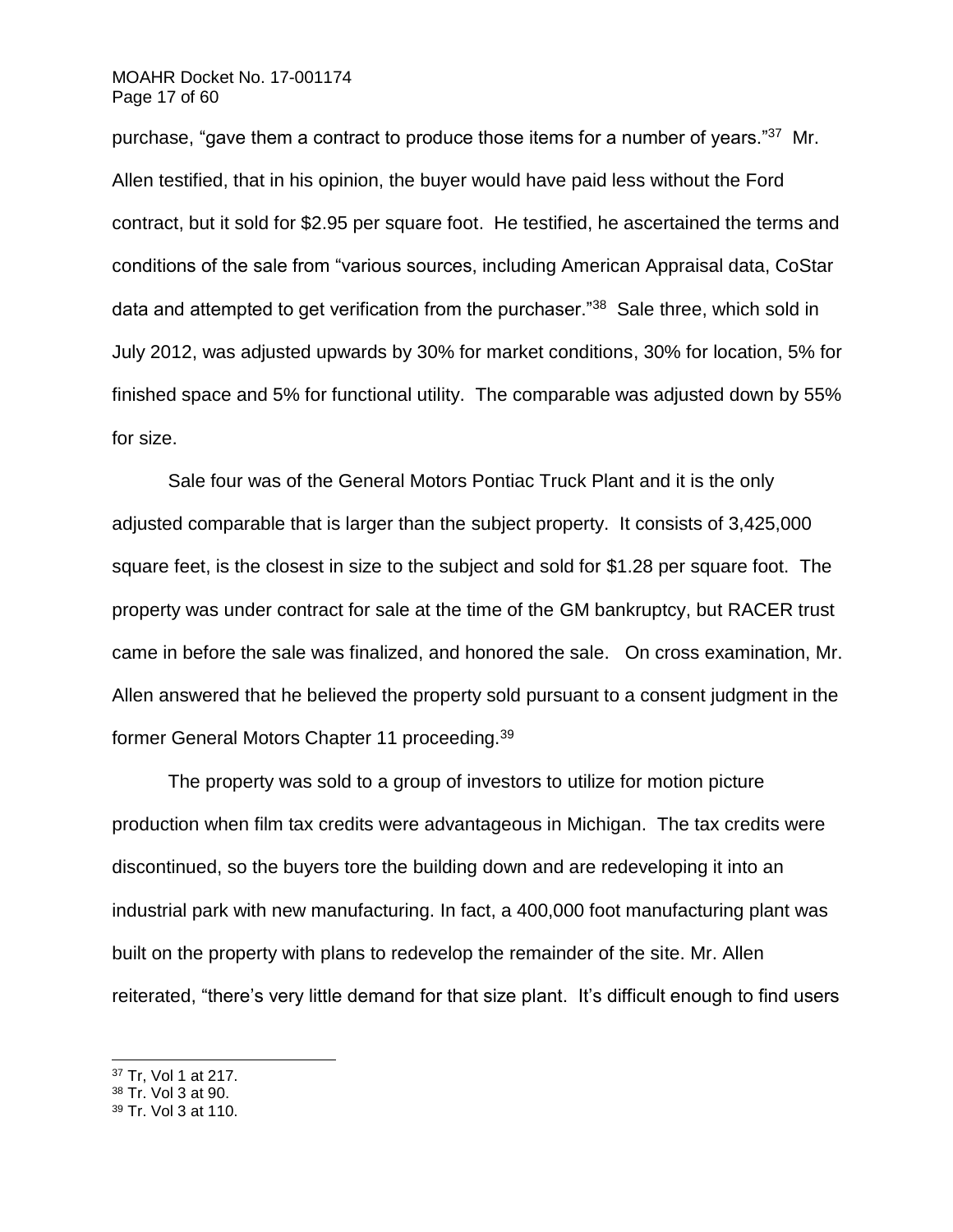# MOAHR Docket No. 17-001174 Page 17 of 60

purchase, "gave them a contract to produce those items for a number of years."<sup>37</sup> Mr. Allen testified, that in his opinion, the buyer would have paid less without the Ford contract, but it sold for \$2.95 per square foot. He testified, he ascertained the terms and conditions of the sale from "various sources, including American Appraisal data, CoStar data and attempted to get verification from the purchaser."<sup>38</sup> Sale three, which sold in July 2012, was adjusted upwards by 30% for market conditions, 30% for location, 5% for finished space and 5% for functional utility. The comparable was adjusted down by 55% for size.

Sale four was of the General Motors Pontiac Truck Plant and it is the only adjusted comparable that is larger than the subject property. It consists of 3,425,000 square feet, is the closest in size to the subject and sold for \$1.28 per square foot. The property was under contract for sale at the time of the GM bankruptcy, but RACER trust came in before the sale was finalized, and honored the sale. On cross examination, Mr. Allen answered that he believed the property sold pursuant to a consent judgment in the former General Motors Chapter 11 proceeding.<sup>39</sup>

The property was sold to a group of investors to utilize for motion picture production when film tax credits were advantageous in Michigan. The tax credits were discontinued, so the buyers tore the building down and are redeveloping it into an industrial park with new manufacturing. In fact, a 400,000 foot manufacturing plant was built on the property with plans to redevelop the remainder of the site. Mr. Allen reiterated, "there's very little demand for that size plant. It's difficult enough to find users

<sup>37</sup> Tr, Vol 1 at 217.

l

<sup>38</sup> Tr. Vol 3 at 90.

<sup>39</sup> Tr. Vol 3 at 110.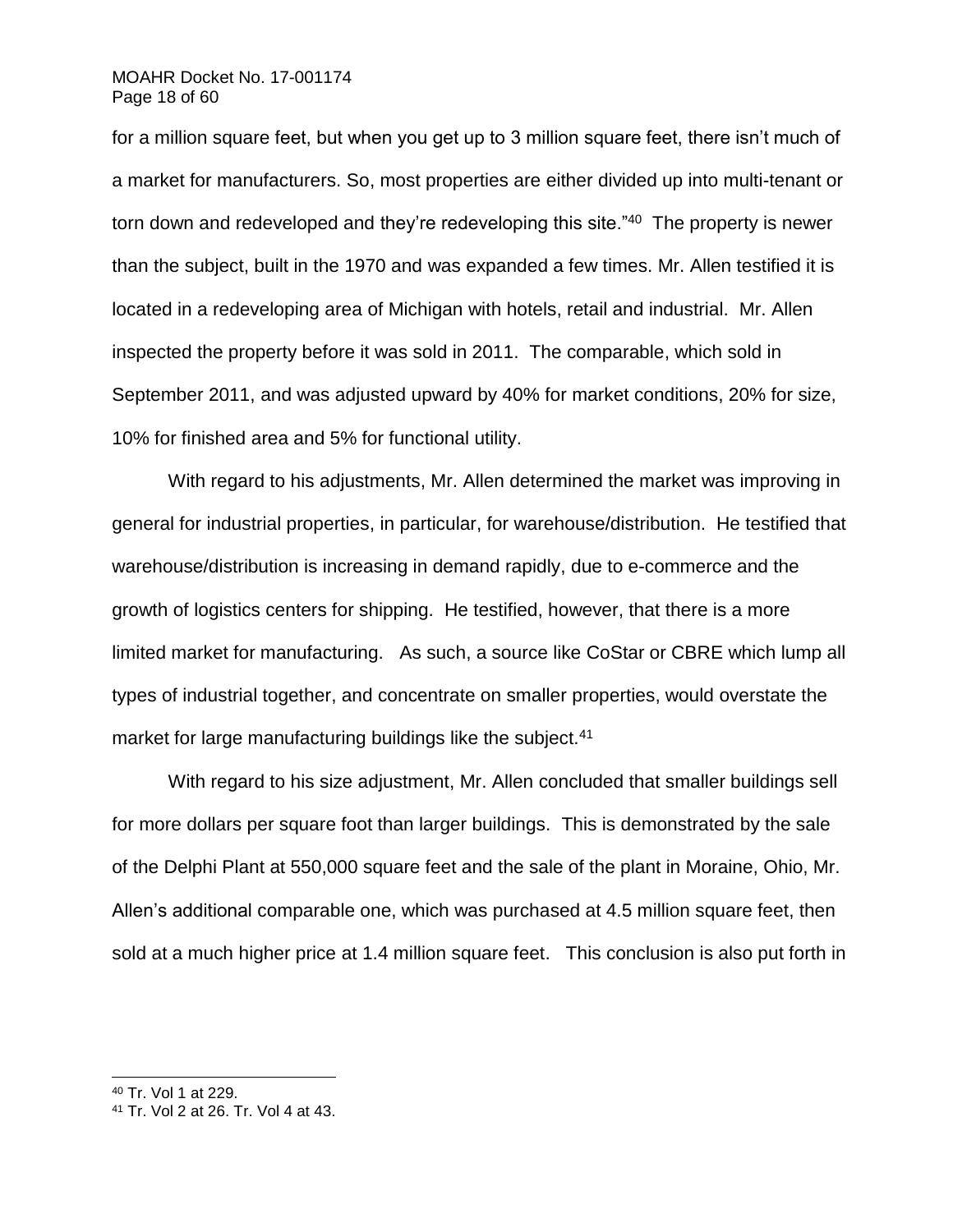# MOAHR Docket No. 17-001174 Page 18 of 60

for a million square feet, but when you get up to 3 million square feet, there isn't much of a market for manufacturers. So, most properties are either divided up into multi-tenant or torn down and redeveloped and they're redeveloping this site."<sup>40</sup> The property is newer than the subject, built in the 1970 and was expanded a few times. Mr. Allen testified it is located in a redeveloping area of Michigan with hotels, retail and industrial. Mr. Allen inspected the property before it was sold in 2011. The comparable, which sold in September 2011, and was adjusted upward by 40% for market conditions, 20% for size, 10% for finished area and 5% for functional utility.

With regard to his adjustments, Mr. Allen determined the market was improving in general for industrial properties, in particular, for warehouse/distribution. He testified that warehouse/distribution is increasing in demand rapidly, due to e-commerce and the growth of logistics centers for shipping. He testified, however, that there is a more limited market for manufacturing. As such, a source like CoStar or CBRE which lump all types of industrial together, and concentrate on smaller properties, would overstate the market for large manufacturing buildings like the subject.<sup>41</sup>

With regard to his size adjustment, Mr. Allen concluded that smaller buildings sell for more dollars per square foot than larger buildings. This is demonstrated by the sale of the Delphi Plant at 550,000 square feet and the sale of the plant in Moraine, Ohio, Mr. Allen's additional comparable one, which was purchased at 4.5 million square feet, then sold at a much higher price at 1.4 million square feet. This conclusion is also put forth in

<sup>40</sup> Tr. Vol 1 at 229.

<sup>41</sup> Tr. Vol 2 at 26. Tr. Vol 4 at 43.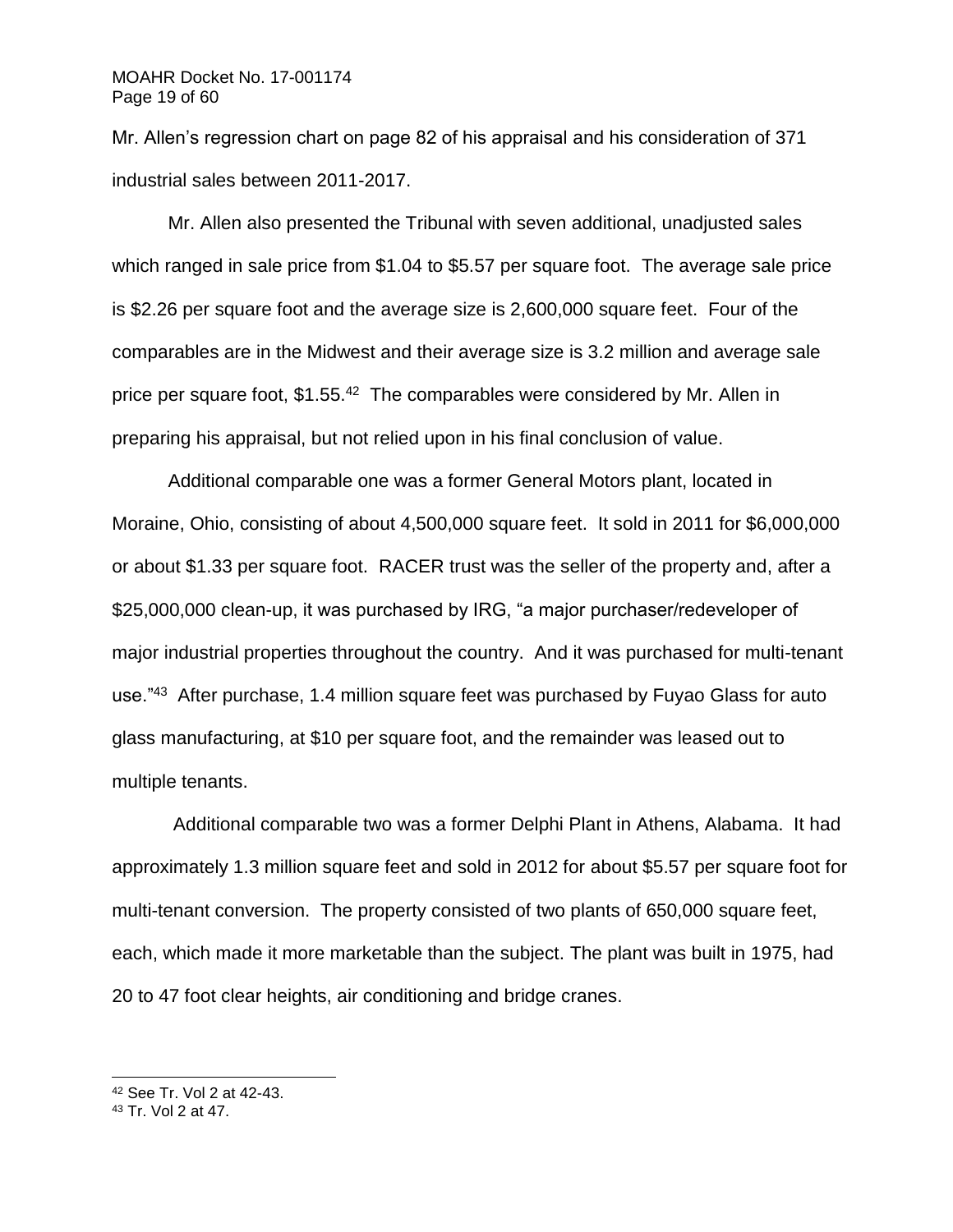Mr. Allen's regression chart on page 82 of his appraisal and his consideration of 371 industrial sales between 2011-2017.

Mr. Allen also presented the Tribunal with seven additional, unadjusted sales which ranged in sale price from \$1.04 to \$5.57 per square foot. The average sale price is \$2.26 per square foot and the average size is 2,600,000 square feet. Four of the comparables are in the Midwest and their average size is 3.2 million and average sale price per square foot, \$1.55.<sup>42</sup> The comparables were considered by Mr. Allen in preparing his appraisal, but not relied upon in his final conclusion of value.

Additional comparable one was a former General Motors plant, located in Moraine, Ohio, consisting of about 4,500,000 square feet. It sold in 2011 for \$6,000,000 or about \$1.33 per square foot. RACER trust was the seller of the property and, after a \$25,000,000 clean-up, it was purchased by IRG, "a major purchaser/redeveloper of major industrial properties throughout the country. And it was purchased for multi-tenant use."<sup>43</sup> After purchase, 1.4 million square feet was purchased by Fuyao Glass for auto glass manufacturing, at \$10 per square foot, and the remainder was leased out to multiple tenants.

Additional comparable two was a former Delphi Plant in Athens, Alabama. It had approximately 1.3 million square feet and sold in 2012 for about \$5.57 per square foot for multi-tenant conversion. The property consisted of two plants of 650,000 square feet, each, which made it more marketable than the subject. The plant was built in 1975, had 20 to 47 foot clear heights, air conditioning and bridge cranes.

<sup>42</sup> See Tr. Vol 2 at 42-43.

<sup>43</sup> Tr. Vol 2 at 47.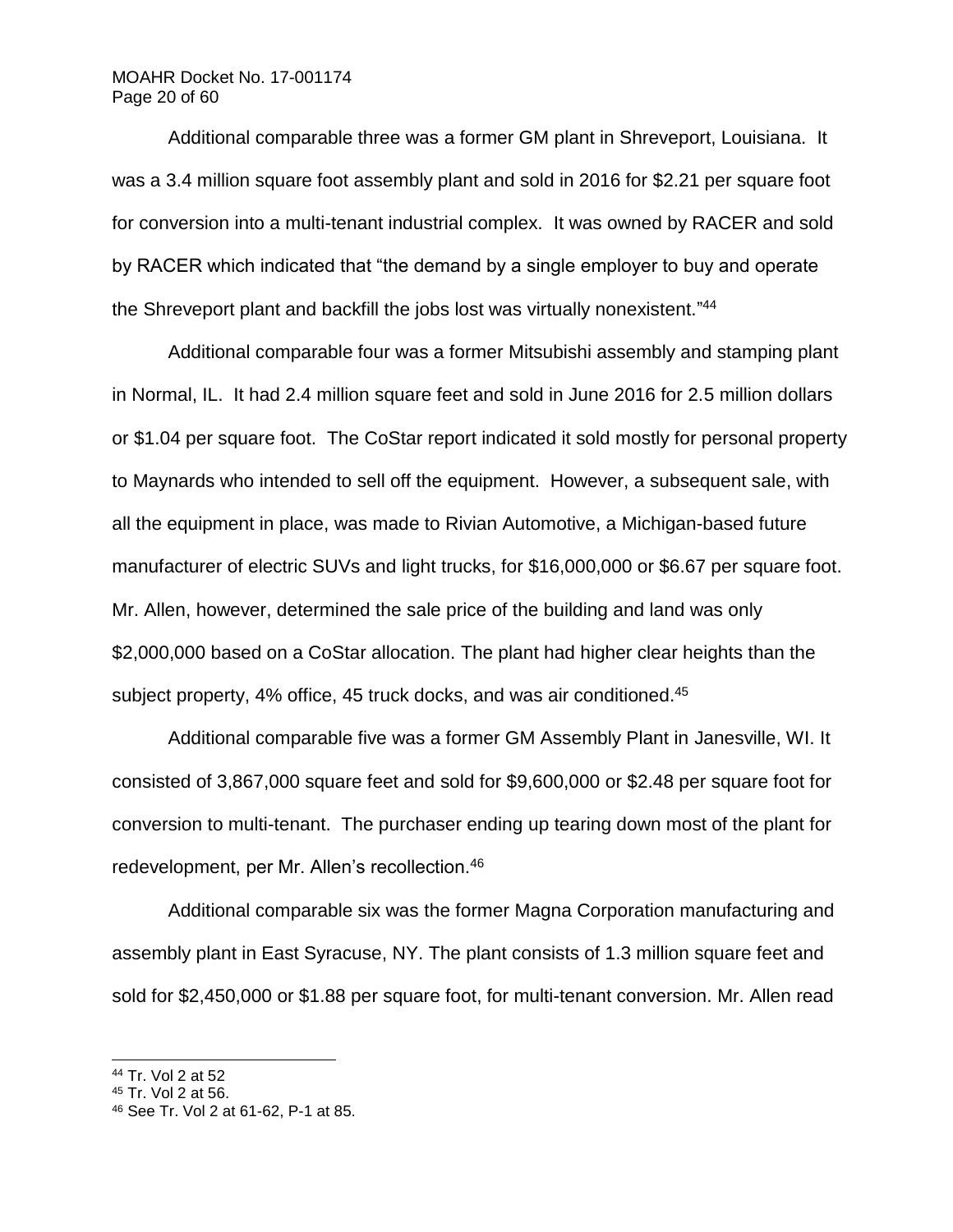# MOAHR Docket No. 17-001174 Page 20 of 60

Additional comparable three was a former GM plant in Shreveport, Louisiana. It was a 3.4 million square foot assembly plant and sold in 2016 for \$2.21 per square foot for conversion into a multi-tenant industrial complex. It was owned by RACER and sold by RACER which indicated that "the demand by a single employer to buy and operate the Shreveport plant and backfill the jobs lost was virtually nonexistent."<sup>44</sup>

Additional comparable four was a former Mitsubishi assembly and stamping plant in Normal, IL. It had 2.4 million square feet and sold in June 2016 for 2.5 million dollars or \$1.04 per square foot. The CoStar report indicated it sold mostly for personal property to Maynards who intended to sell off the equipment. However, a subsequent sale, with all the equipment in place, was made to Rivian Automotive, a Michigan-based future manufacturer of electric SUVs and light trucks, for \$16,000,000 or \$6.67 per square foot. Mr. Allen, however, determined the sale price of the building and land was only \$2,000,000 based on a CoStar allocation. The plant had higher clear heights than the subject property, 4% office, 45 truck docks, and was air conditioned.<sup>45</sup>

Additional comparable five was a former GM Assembly Plant in Janesville, WI. It consisted of 3,867,000 square feet and sold for \$9,600,000 or \$2.48 per square foot for conversion to multi-tenant. The purchaser ending up tearing down most of the plant for redevelopment, per Mr. Allen's recollection.<sup>46</sup>

Additional comparable six was the former Magna Corporation manufacturing and assembly plant in East Syracuse, NY. The plant consists of 1.3 million square feet and sold for \$2,450,000 or \$1.88 per square foot, for multi-tenant conversion. Mr. Allen read

<sup>44</sup> Tr. Vol 2 at 52

<sup>45</sup> Tr. Vol 2 at 56.

<sup>46</sup> See Tr. Vol 2 at 61-62, P-1 at 85.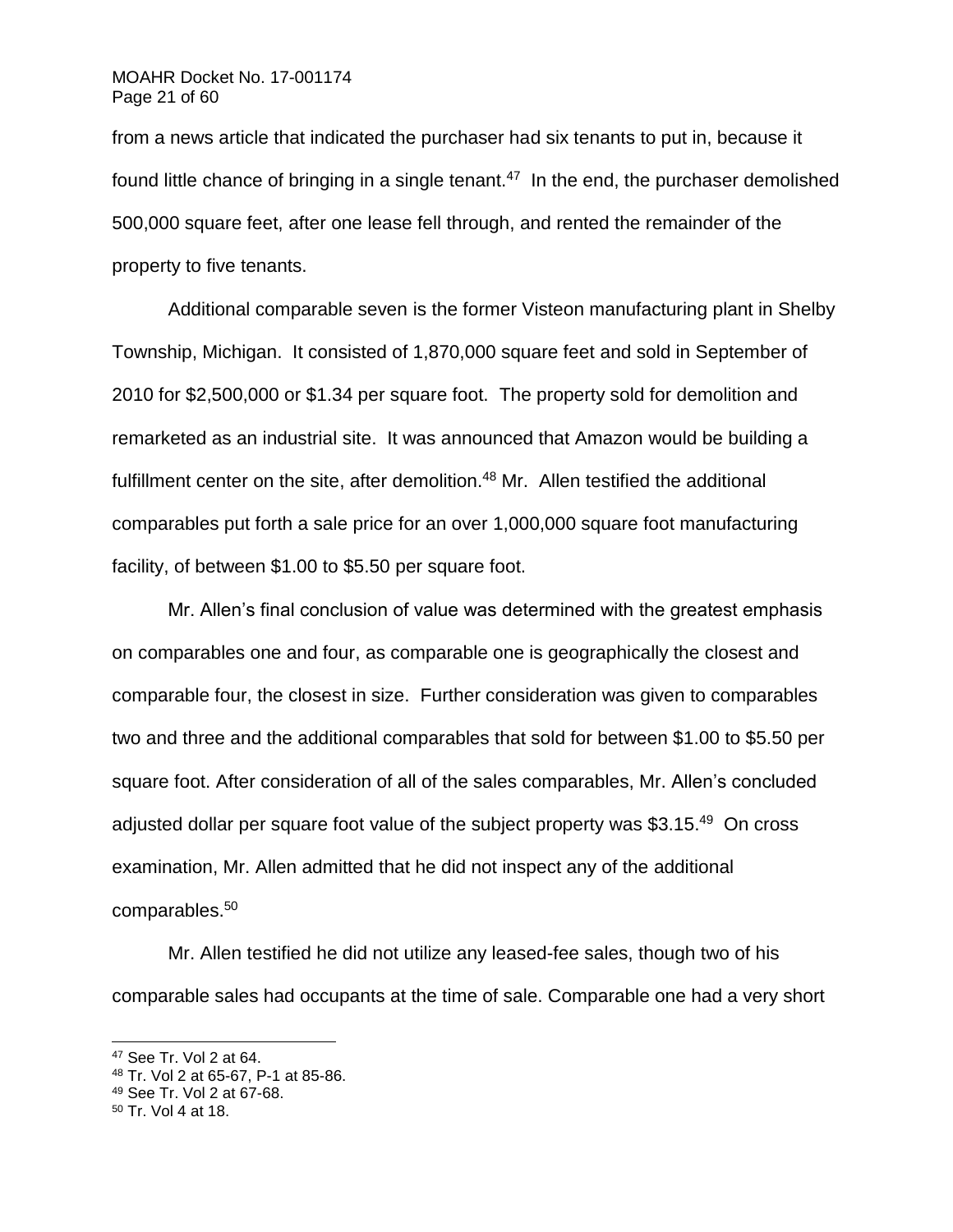from a news article that indicated the purchaser had six tenants to put in, because it found little chance of bringing in a single tenant. $47$  In the end, the purchaser demolished 500,000 square feet, after one lease fell through, and rented the remainder of the property to five tenants.

Additional comparable seven is the former Visteon manufacturing plant in Shelby Township, Michigan. It consisted of 1,870,000 square feet and sold in September of 2010 for \$2,500,000 or \$1.34 per square foot. The property sold for demolition and remarketed as an industrial site. It was announced that Amazon would be building a fulfillment center on the site, after demolition.<sup>48</sup> Mr. Allen testified the additional comparables put forth a sale price for an over 1,000,000 square foot manufacturing facility, of between \$1.00 to \$5.50 per square foot.

Mr. Allen's final conclusion of value was determined with the greatest emphasis on comparables one and four, as comparable one is geographically the closest and comparable four, the closest in size. Further consideration was given to comparables two and three and the additional comparables that sold for between \$1.00 to \$5.50 per square foot. After consideration of all of the sales comparables, Mr. Allen's concluded adjusted dollar per square foot value of the subject property was \$3.15.<sup>49</sup> On cross examination, Mr. Allen admitted that he did not inspect any of the additional comparables.<sup>50</sup>

Mr. Allen testified he did not utilize any leased-fee sales, though two of his comparable sales had occupants at the time of sale. Comparable one had a very short

<sup>47</sup> See Tr. Vol 2 at 64.

<sup>48</sup> Tr. Vol 2 at 65-67, P-1 at 85-86.

<sup>49</sup> See Tr. Vol 2 at 67-68.

<sup>50</sup> Tr. Vol 4 at 18.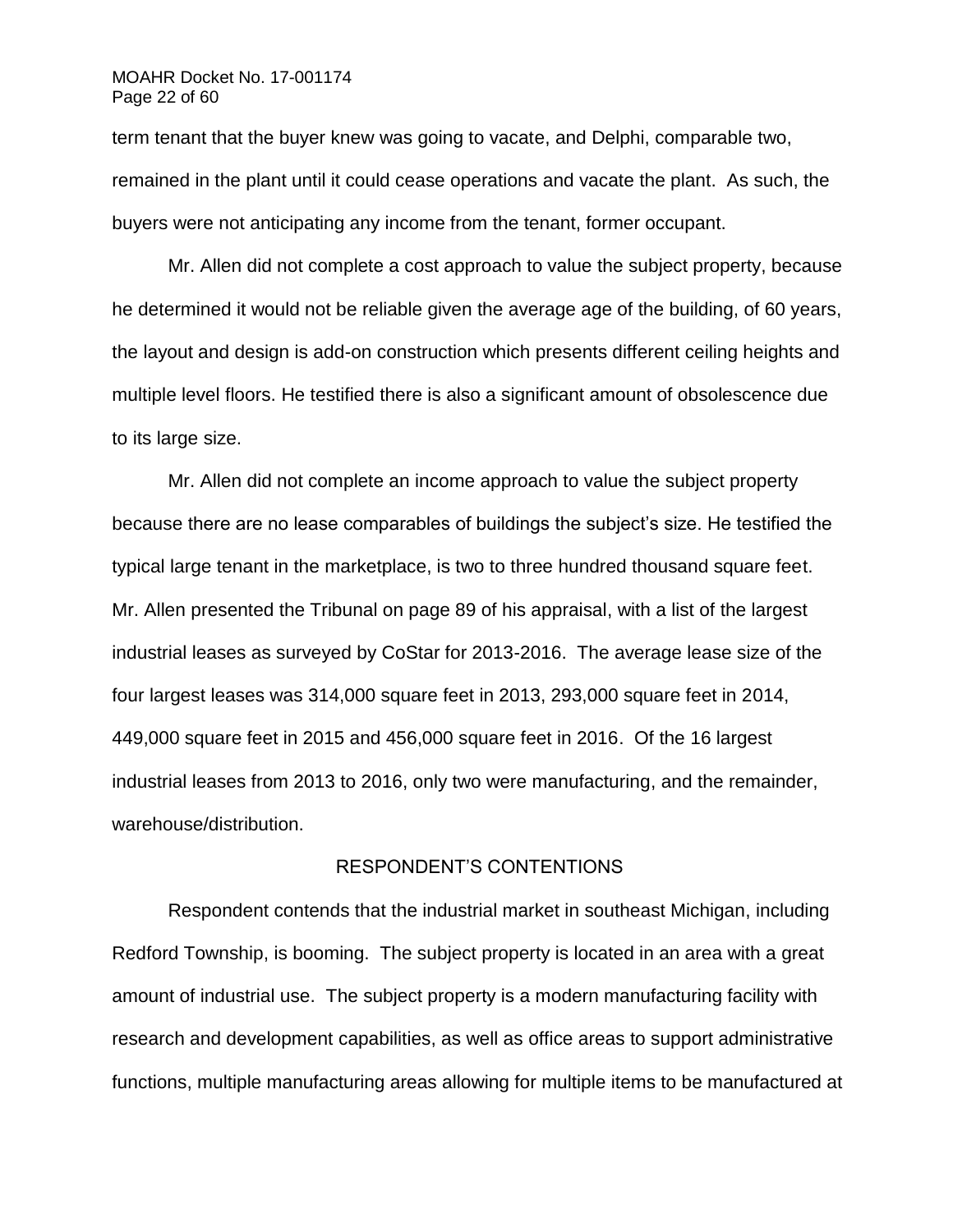## MOAHR Docket No. 17-001174 Page 22 of 60

term tenant that the buyer knew was going to vacate, and Delphi, comparable two, remained in the plant until it could cease operations and vacate the plant. As such, the buyers were not anticipating any income from the tenant, former occupant.

Mr. Allen did not complete a cost approach to value the subject property, because he determined it would not be reliable given the average age of the building, of 60 years, the layout and design is add-on construction which presents different ceiling heights and multiple level floors. He testified there is also a significant amount of obsolescence due to its large size.

Mr. Allen did not complete an income approach to value the subject property because there are no lease comparables of buildings the subject's size. He testified the typical large tenant in the marketplace, is two to three hundred thousand square feet. Mr. Allen presented the Tribunal on page 89 of his appraisal, with a list of the largest industrial leases as surveyed by CoStar for 2013-2016. The average lease size of the four largest leases was 314,000 square feet in 2013, 293,000 square feet in 2014, 449,000 square feet in 2015 and 456,000 square feet in 2016. Of the 16 largest industrial leases from 2013 to 2016, only two were manufacturing, and the remainder, warehouse/distribution.

# RESPONDENT'S CONTENTIONS

Respondent contends that the industrial market in southeast Michigan, including Redford Township, is booming. The subject property is located in an area with a great amount of industrial use. The subject property is a modern manufacturing facility with research and development capabilities, as well as office areas to support administrative functions, multiple manufacturing areas allowing for multiple items to be manufactured at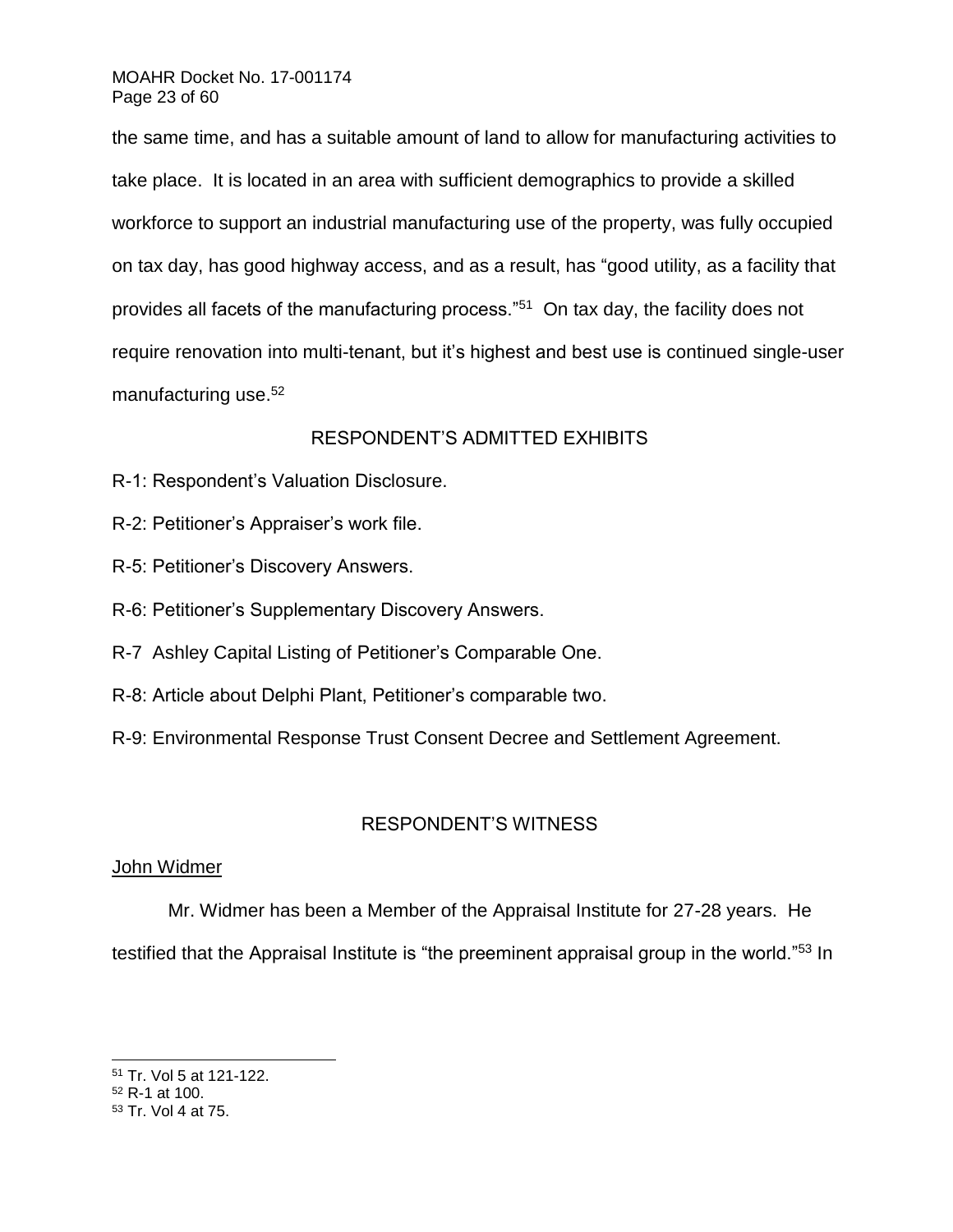# MOAHR Docket No. 17-001174 Page 23 of 60

the same time, and has a suitable amount of land to allow for manufacturing activities to take place. It is located in an area with sufficient demographics to provide a skilled workforce to support an industrial manufacturing use of the property, was fully occupied on tax day, has good highway access, and as a result, has "good utility, as a facility that provides all facets of the manufacturing process."<sup>51</sup> On tax day, the facility does not require renovation into multi-tenant, but it's highest and best use is continued single-user manufacturing use.<sup>52</sup>

# RESPONDENT'S ADMITTED EXHIBITS

- R-1: Respondent's Valuation Disclosure.
- R-2: Petitioner's Appraiser's work file.
- R-5: Petitioner's Discovery Answers.
- R-6: Petitioner's Supplementary Discovery Answers.
- R-7 Ashley Capital Listing of Petitioner's Comparable One.
- R-8: Article about Delphi Plant, Petitioner's comparable two.
- R-9: Environmental Response Trust Consent Decree and Settlement Agreement.

# RESPONDENT'S WITNESS

# John Widmer

Mr. Widmer has been a Member of the Appraisal Institute for 27-28 years. He testified that the Appraisal Institute is "the preeminent appraisal group in the world."<sup>53</sup> In

<sup>51</sup> Tr. Vol 5 at 121-122.

<sup>52</sup> R-1 at 100.

<sup>53</sup> Tr. Vol 4 at 75.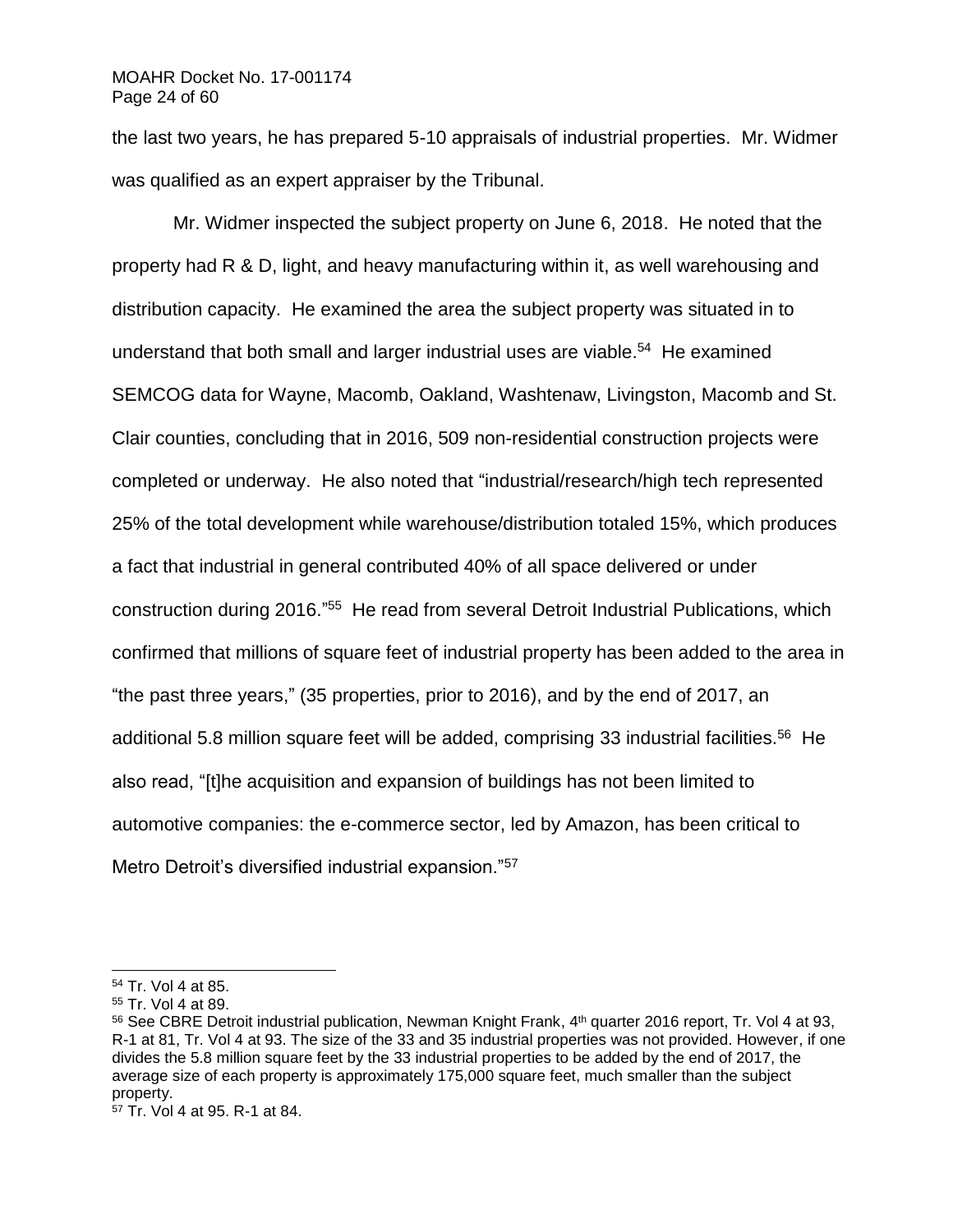### MOAHR Docket No. 17-001174 Page 24 of 60

the last two years, he has prepared 5-10 appraisals of industrial properties. Mr. Widmer was qualified as an expert appraiser by the Tribunal.

Mr. Widmer inspected the subject property on June 6, 2018. He noted that the property had R & D, light, and heavy manufacturing within it, as well warehousing and distribution capacity. He examined the area the subject property was situated in to understand that both small and larger industrial uses are viable.<sup>54</sup> He examined SEMCOG data for Wayne, Macomb, Oakland, Washtenaw, Livingston, Macomb and St. Clair counties, concluding that in 2016, 509 non-residential construction projects were completed or underway. He also noted that "industrial/research/high tech represented 25% of the total development while warehouse/distribution totaled 15%, which produces a fact that industrial in general contributed 40% of all space delivered or under construction during 2016."<sup>55</sup> He read from several Detroit Industrial Publications, which confirmed that millions of square feet of industrial property has been added to the area in "the past three years," (35 properties, prior to 2016), and by the end of 2017, an additional 5.8 million square feet will be added, comprising 33 industrial facilities.<sup>56</sup> He also read, "[t]he acquisition and expansion of buildings has not been limited to automotive companies: the e-commerce sector, led by Amazon, has been critical to Metro Detroit's diversified industrial expansion."<sup>57</sup>

<sup>54</sup> Tr. Vol 4 at 85.

<sup>55</sup> Tr. Vol 4 at 89.

<sup>56</sup> See CBRE Detroit industrial publication, Newman Knight Frank, 4<sup>th</sup> quarter 2016 report, Tr. Vol 4 at 93, R-1 at 81, Tr. Vol 4 at 93. The size of the 33 and 35 industrial properties was not provided. However, if one divides the 5.8 million square feet by the 33 industrial properties to be added by the end of 2017, the average size of each property is approximately 175,000 square feet, much smaller than the subject property.

<sup>57</sup> Tr. Vol 4 at 95. R-1 at 84.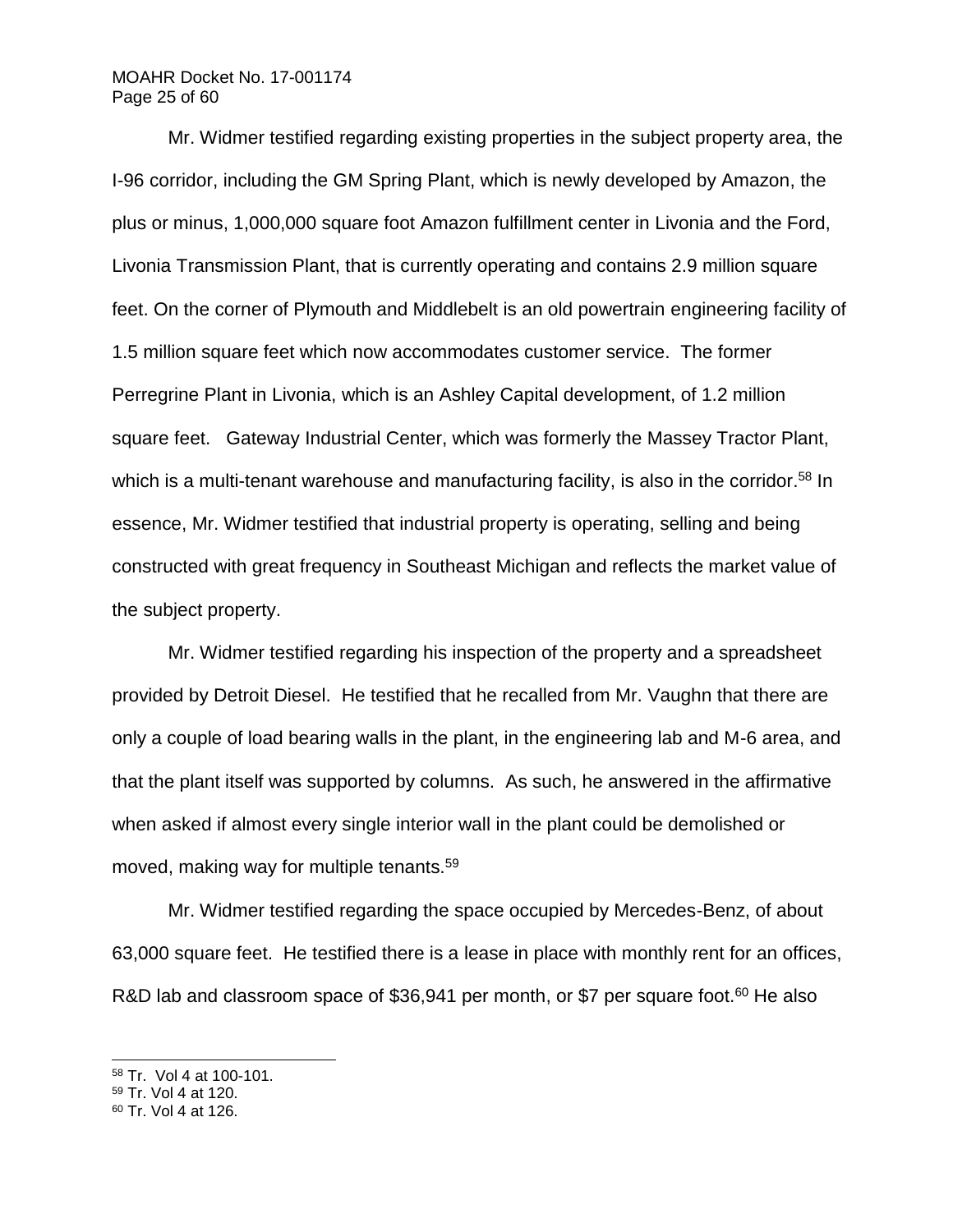# MOAHR Docket No. 17-001174 Page 25 of 60

Mr. Widmer testified regarding existing properties in the subject property area, the I-96 corridor, including the GM Spring Plant, which is newly developed by Amazon, the plus or minus, 1,000,000 square foot Amazon fulfillment center in Livonia and the Ford, Livonia Transmission Plant, that is currently operating and contains 2.9 million square feet. On the corner of Plymouth and Middlebelt is an old powertrain engineering facility of 1.5 million square feet which now accommodates customer service. The former Perregrine Plant in Livonia, which is an Ashley Capital development, of 1.2 million square feet. Gateway Industrial Center, which was formerly the Massey Tractor Plant, which is a multi-tenant warehouse and manufacturing facility, is also in the corridor.<sup>58</sup> In essence, Mr. Widmer testified that industrial property is operating, selling and being constructed with great frequency in Southeast Michigan and reflects the market value of the subject property.

Mr. Widmer testified regarding his inspection of the property and a spreadsheet provided by Detroit Diesel. He testified that he recalled from Mr. Vaughn that there are only a couple of load bearing walls in the plant, in the engineering lab and M-6 area, and that the plant itself was supported by columns. As such, he answered in the affirmative when asked if almost every single interior wall in the plant could be demolished or moved, making way for multiple tenants.<sup>59</sup>

Mr. Widmer testified regarding the space occupied by Mercedes-Benz, of about 63,000 square feet. He testified there is a lease in place with monthly rent for an offices, R&D lab and classroom space of \$36,941 per month, or \$7 per square foot.<sup>60</sup> He also

<sup>58</sup> Tr. Vol 4 at 100-101.

<sup>59</sup> Tr. Vol 4 at 120.

<sup>60</sup> Tr. Vol 4 at 126.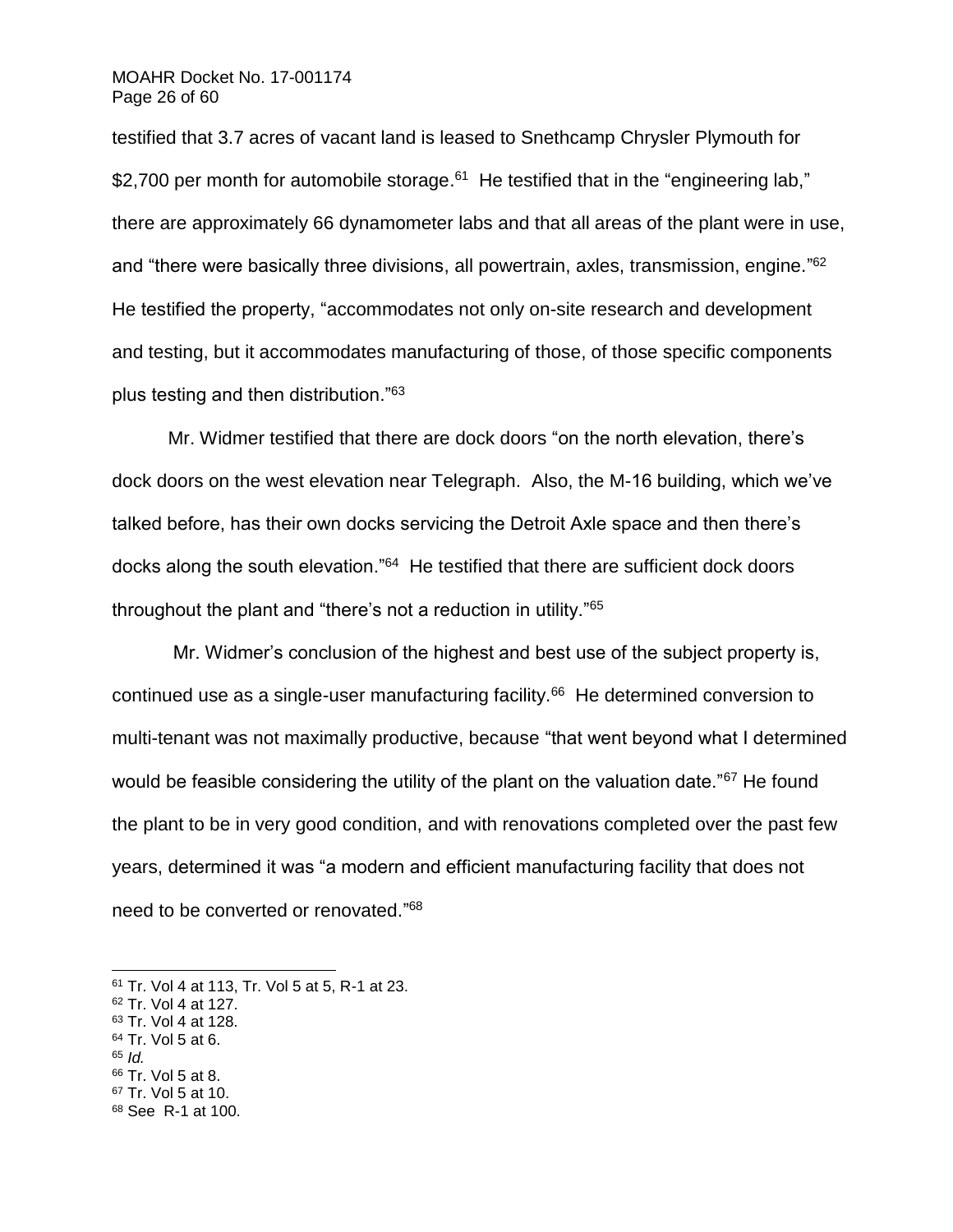### MOAHR Docket No. 17-001174 Page 26 of 60

testified that 3.7 acres of vacant land is leased to Snethcamp Chrysler Plymouth for \$2,700 per month for automobile storage.<sup>61</sup> He testified that in the "engineering lab," there are approximately 66 dynamometer labs and that all areas of the plant were in use, and "there were basically three divisions, all powertrain, axles, transmission, engine."<sup>62</sup> He testified the property, "accommodates not only on-site research and development and testing, but it accommodates manufacturing of those, of those specific components plus testing and then distribution."<sup>63</sup>

Mr. Widmer testified that there are dock doors "on the north elevation, there's dock doors on the west elevation near Telegraph. Also, the M-16 building, which we've talked before, has their own docks servicing the Detroit Axle space and then there's docks along the south elevation."<sup>64</sup> He testified that there are sufficient dock doors throughout the plant and "there's not a reduction in utility."<sup>65</sup>

Mr. Widmer's conclusion of the highest and best use of the subject property is, continued use as a single-user manufacturing facility.<sup>66</sup> He determined conversion to multi-tenant was not maximally productive, because "that went beyond what I determined would be feasible considering the utility of the plant on the valuation date."<sup>67</sup> He found the plant to be in very good condition, and with renovations completed over the past few years, determined it was "a modern and efficient manufacturing facility that does not need to be converted or renovated." 68

- <sup>63</sup> Tr. Vol 4 at 128.
- <sup>64</sup> Tr. Vol 5 at 6.
- <sup>65</sup> *Id.*

- <sup>66</sup> Tr. Vol 5 at 8.
- <sup>67</sup> Tr. Vol 5 at 10. <sup>68</sup> See R-1 at 100.
- 

<sup>61</sup> Tr. Vol 4 at 113, Tr. Vol 5 at 5, R-1 at 23.

<sup>62</sup> Tr. Vol 4 at 127.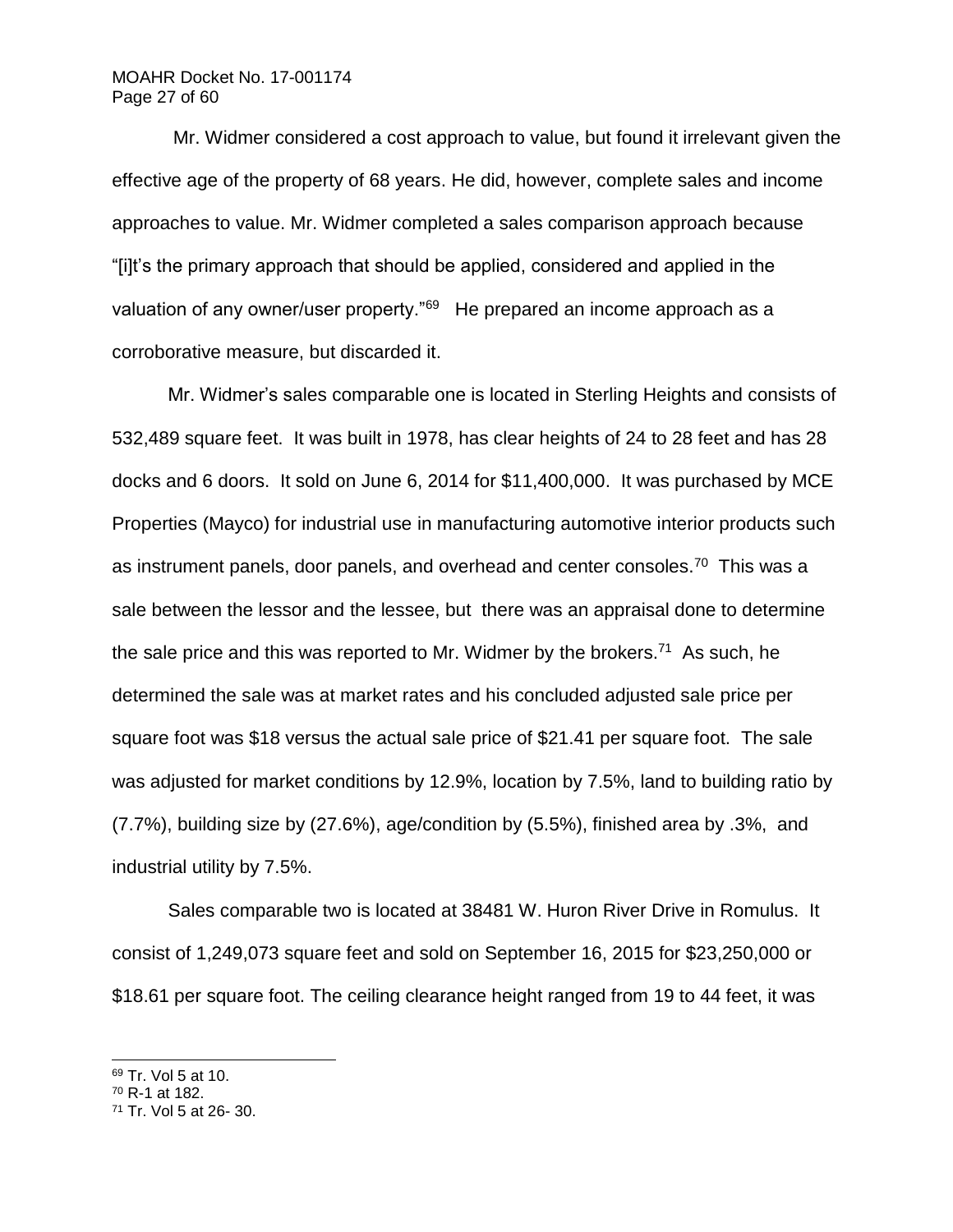# MOAHR Docket No. 17-001174 Page 27 of 60

Mr. Widmer considered a cost approach to value, but found it irrelevant given the effective age of the property of 68 years. He did, however, complete sales and income approaches to value. Mr. Widmer completed a sales comparison approach because "[i]t's the primary approach that should be applied, considered and applied in the valuation of any owner/user property."<sup>69</sup> He prepared an income approach as a corroborative measure, but discarded it.

Mr. Widmer's sales comparable one is located in Sterling Heights and consists of 532,489 square feet. It was built in 1978, has clear heights of 24 to 28 feet and has 28 docks and 6 doors. It sold on June 6, 2014 for \$11,400,000. It was purchased by MCE Properties (Mayco) for industrial use in manufacturing automotive interior products such as instrument panels, door panels, and overhead and center consoles.<sup>70</sup> This was a sale between the lessor and the lessee, but there was an appraisal done to determine the sale price and this was reported to Mr. Widmer by the brokers.<sup>71</sup> As such, he determined the sale was at market rates and his concluded adjusted sale price per square foot was \$18 versus the actual sale price of \$21.41 per square foot. The sale was adjusted for market conditions by 12.9%, location by 7.5%, land to building ratio by (7.7%), building size by (27.6%), age/condition by (5.5%), finished area by .3%, and industrial utility by 7.5%.

Sales comparable two is located at 38481 W. Huron River Drive in Romulus. It consist of 1,249,073 square feet and sold on September 16, 2015 for \$23,250,000 or \$18.61 per square foot. The ceiling clearance height ranged from 19 to 44 feet, it was

<sup>69</sup> Tr. Vol 5 at 10.

 $70$  R-1 at 182.

<sup>71</sup> Tr. Vol 5 at 26- 30.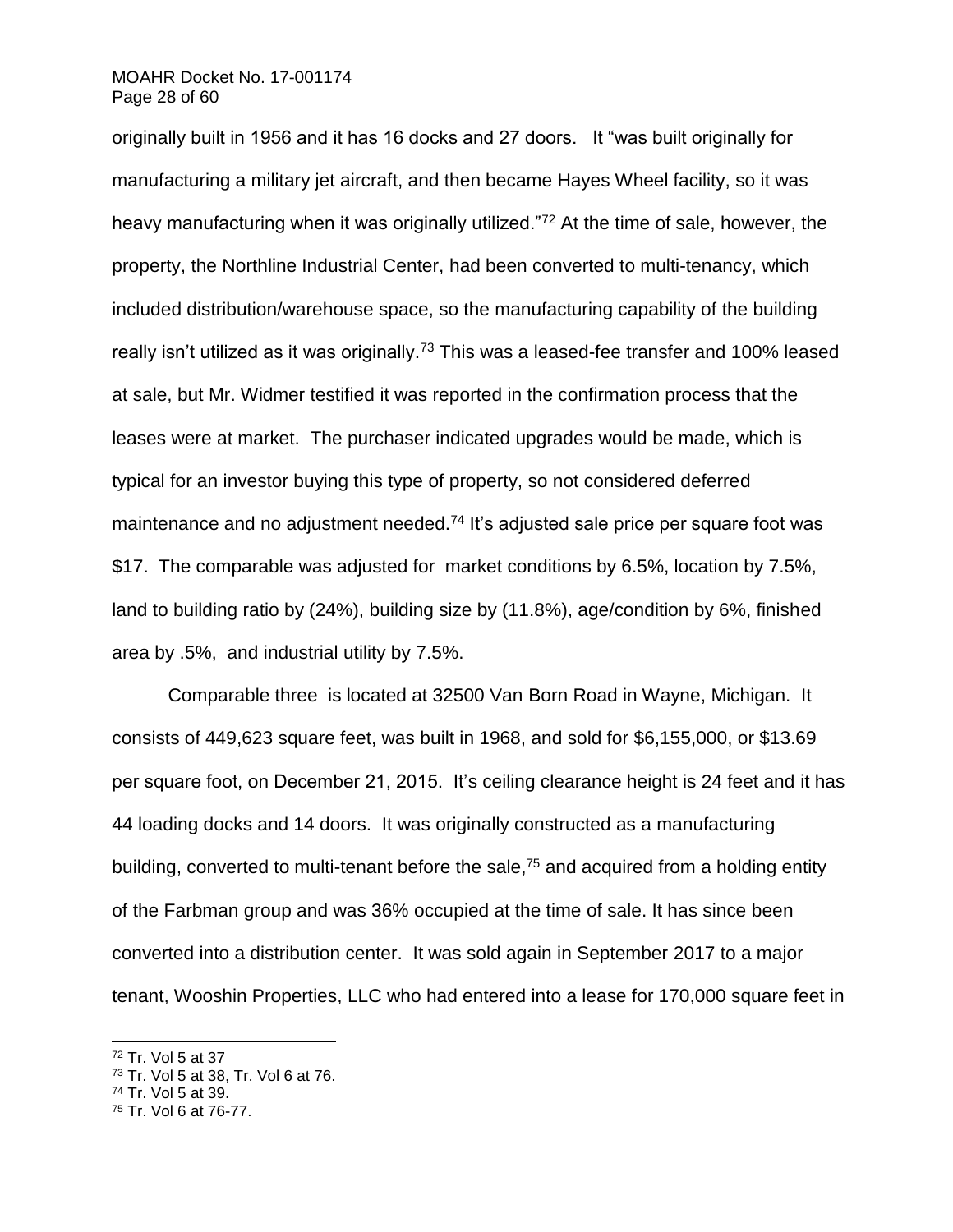### MOAHR Docket No. 17-001174 Page 28 of 60

originally built in 1956 and it has 16 docks and 27 doors. It "was built originally for manufacturing a military jet aircraft, and then became Hayes Wheel facility, so it was heavy manufacturing when it was originally utilized."<sup>72</sup> At the time of sale, however, the property, the Northline Industrial Center, had been converted to multi-tenancy, which included distribution/warehouse space, so the manufacturing capability of the building really isn't utilized as it was originally.<sup>73</sup> This was a leased-fee transfer and 100% leased at sale, but Mr. Widmer testified it was reported in the confirmation process that the leases were at market. The purchaser indicated upgrades would be made, which is typical for an investor buying this type of property, so not considered deferred maintenance and no adjustment needed.<sup>74</sup> It's adjusted sale price per square foot was \$17. The comparable was adjusted for market conditions by 6.5%, location by 7.5%, land to building ratio by (24%), building size by (11.8%), age/condition by 6%, finished area by .5%, and industrial utility by 7.5%.

Comparable three is located at 32500 Van Born Road in Wayne, Michigan. It consists of 449,623 square feet, was built in 1968, and sold for \$6,155,000, or \$13.69 per square foot, on December 21, 2015. It's ceiling clearance height is 24 feet and it has 44 loading docks and 14 doors. It was originally constructed as a manufacturing building, converted to multi-tenant before the sale,<sup>75</sup> and acquired from a holding entity of the Farbman group and was 36% occupied at the time of sale. It has since been converted into a distribution center. It was sold again in September 2017 to a major tenant, Wooshin Properties, LLC who had entered into a lease for 170,000 square feet in

<sup>72</sup> Tr. Vol 5 at 37

<sup>73</sup> Tr. Vol 5 at 38, Tr. Vol 6 at 76.

<sup>74</sup> Tr. Vol 5 at 39.

<sup>75</sup> Tr. Vol 6 at 76-77.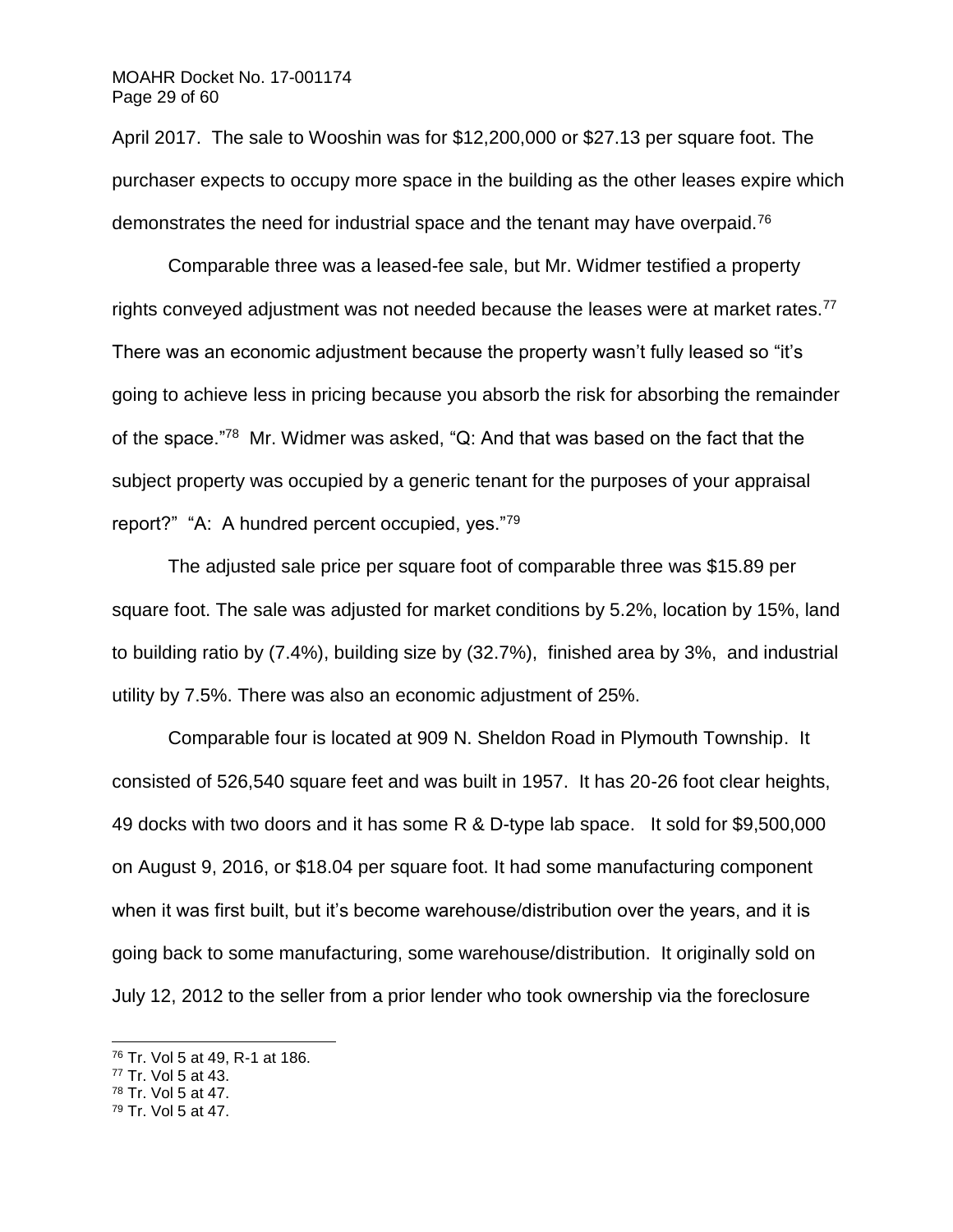## MOAHR Docket No. 17-001174 Page 29 of 60

April 2017. The sale to Wooshin was for \$12,200,000 or \$27.13 per square foot. The purchaser expects to occupy more space in the building as the other leases expire which demonstrates the need for industrial space and the tenant may have overpaid.<sup>76</sup>

Comparable three was a leased-fee sale, but Mr. Widmer testified a property rights conveyed adjustment was not needed because the leases were at market rates.<sup>77</sup> There was an economic adjustment because the property wasn't fully leased so "it's going to achieve less in pricing because you absorb the risk for absorbing the remainder of the space."<sup>78</sup> Mr. Widmer was asked, "Q: And that was based on the fact that the subject property was occupied by a generic tenant for the purposes of your appraisal report?" "A: A hundred percent occupied, yes."79

The adjusted sale price per square foot of comparable three was \$15.89 per square foot. The sale was adjusted for market conditions by 5.2%, location by 15%, land to building ratio by (7.4%), building size by (32.7%), finished area by 3%, and industrial utility by 7.5%. There was also an economic adjustment of 25%.

Comparable four is located at 909 N. Sheldon Road in Plymouth Township. It consisted of 526,540 square feet and was built in 1957. It has 20-26 foot clear heights, 49 docks with two doors and it has some R & D-type lab space. It sold for \$9,500,000 on August 9, 2016, or \$18.04 per square foot. It had some manufacturing component when it was first built, but it's become warehouse/distribution over the years, and it is going back to some manufacturing, some warehouse/distribution. It originally sold on July 12, 2012 to the seller from a prior lender who took ownership via the foreclosure

<sup>77</sup> Tr. Vol 5 at 43.

l

<sup>78</sup> Tr. Vol 5 at 47.

<sup>76</sup> Tr. Vol 5 at 49, R-1 at 186.

<sup>79</sup> Tr. Vol 5 at 47.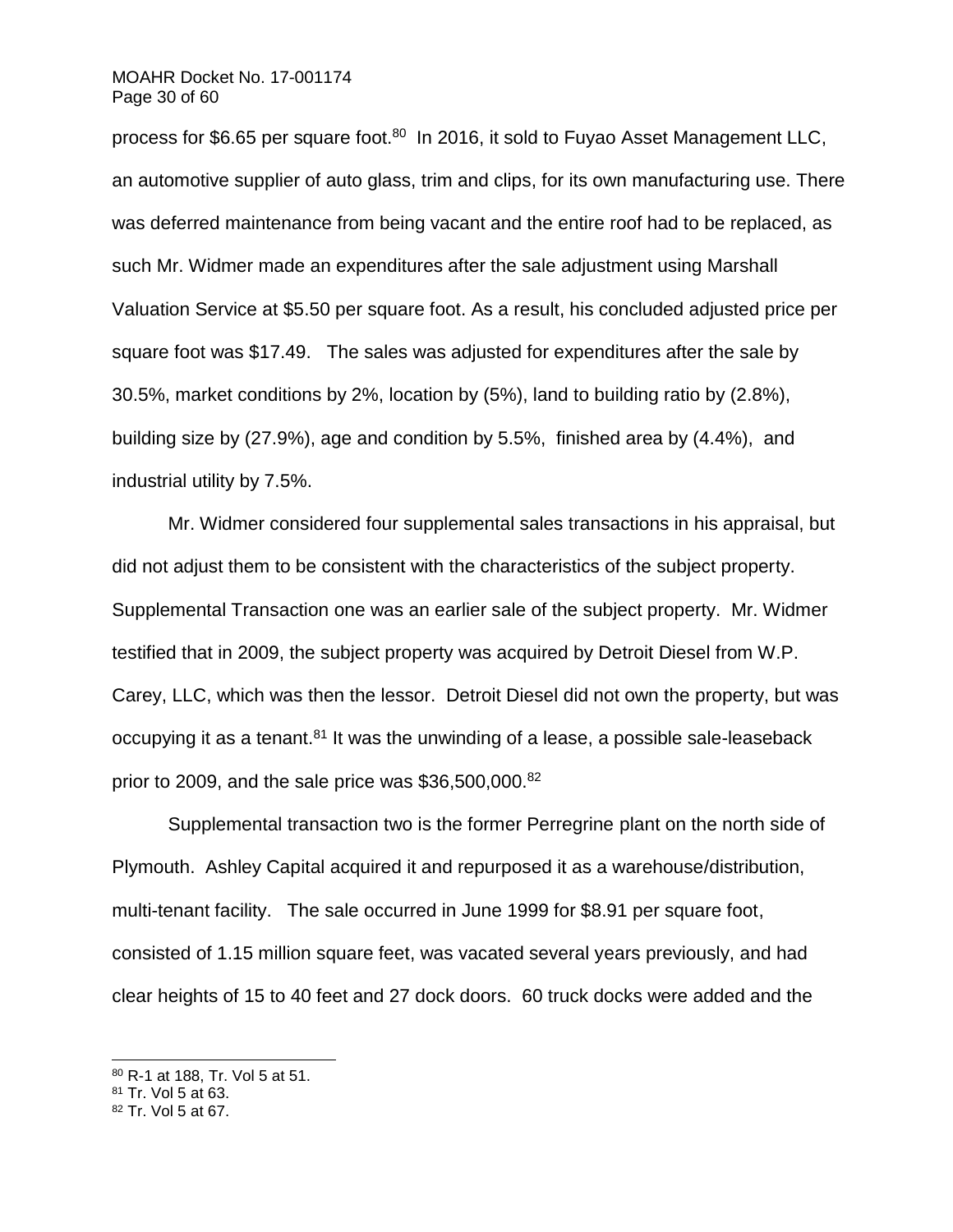### MOAHR Docket No. 17-001174 Page 30 of 60

process for \$6.65 per square foot.<sup>80</sup> In 2016, it sold to Fuyao Asset Management LLC, an automotive supplier of auto glass, trim and clips, for its own manufacturing use. There was deferred maintenance from being vacant and the entire roof had to be replaced, as such Mr. Widmer made an expenditures after the sale adjustment using Marshall Valuation Service at \$5.50 per square foot. As a result, his concluded adjusted price per square foot was \$17.49. The sales was adjusted for expenditures after the sale by 30.5%, market conditions by 2%, location by (5%), land to building ratio by (2.8%), building size by (27.9%), age and condition by 5.5%, finished area by (4.4%), and industrial utility by 7.5%.

Mr. Widmer considered four supplemental sales transactions in his appraisal, but did not adjust them to be consistent with the characteristics of the subject property. Supplemental Transaction one was an earlier sale of the subject property. Mr. Widmer testified that in 2009, the subject property was acquired by Detroit Diesel from W.P. Carey, LLC, which was then the lessor. Detroit Diesel did not own the property, but was occupying it as a tenant. $81$  It was the unwinding of a lease, a possible sale-leaseback prior to 2009, and the sale price was  $$36,500,000$ .<sup>82</sup>

Supplemental transaction two is the former Perregrine plant on the north side of Plymouth. Ashley Capital acquired it and repurposed it as a warehouse/distribution, multi-tenant facility. The sale occurred in June 1999 for \$8.91 per square foot, consisted of 1.15 million square feet, was vacated several years previously, and had clear heights of 15 to 40 feet and 27 dock doors. 60 truck docks were added and the

<sup>80</sup> R-1 at 188, Tr. Vol 5 at 51.

<sup>81</sup> Tr. Vol 5 at 63.

<sup>82</sup> Tr. Vol 5 at 67.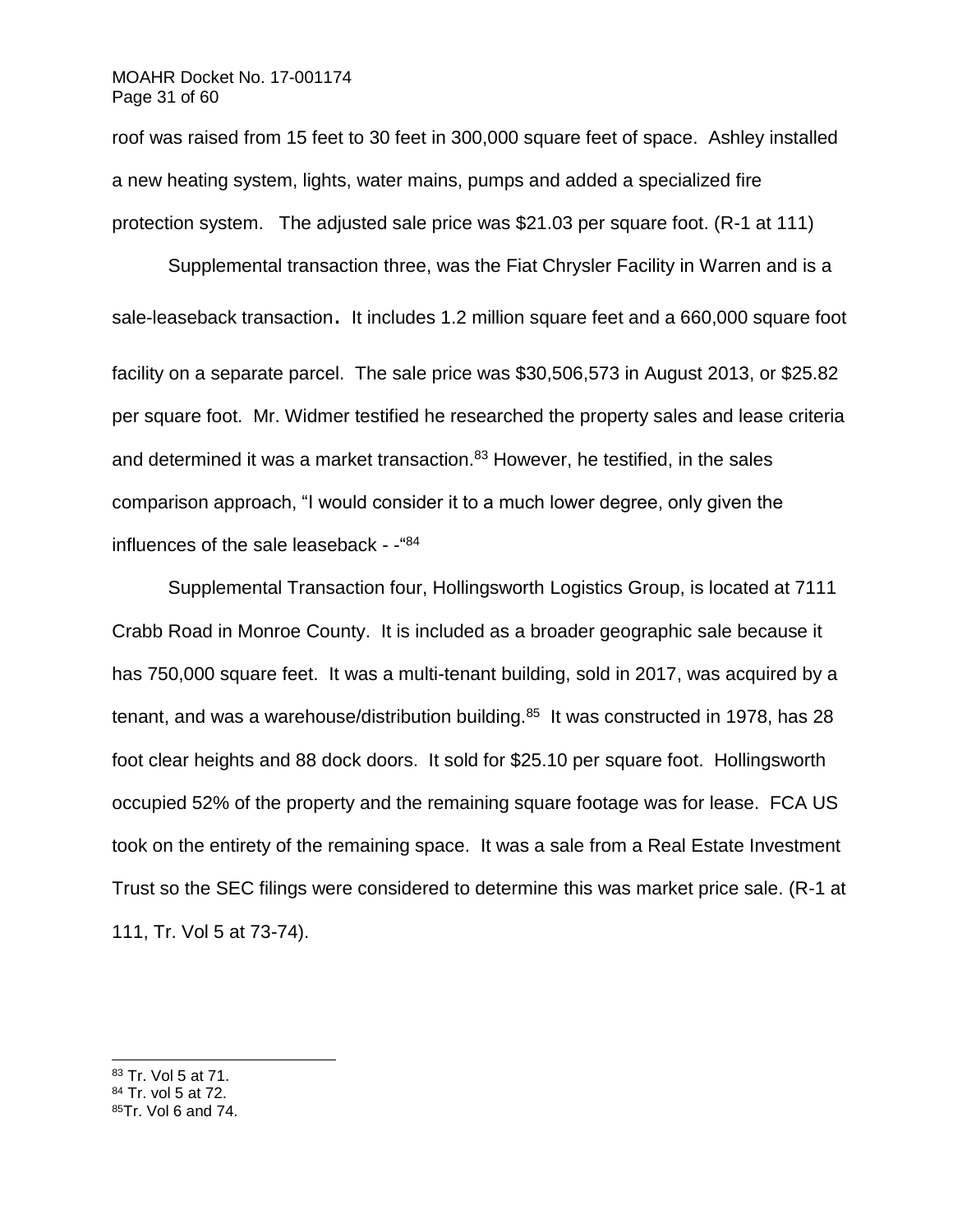## MOAHR Docket No. 17-001174 Page 31 of 60

roof was raised from 15 feet to 30 feet in 300,000 square feet of space. Ashley installed a new heating system, lights, water mains, pumps and added a specialized fire protection system. The adjusted sale price was \$21.03 per square foot. (R-1 at 111)

Supplemental transaction three, was the Fiat Chrysler Facility in Warren and is a sale-leaseback transaction. It includes 1.2 million square feet and a 660,000 square foot facility on a separate parcel. The sale price was \$30,506,573 in August 2013, or \$25.82 per square foot. Mr. Widmer testified he researched the property sales and lease criteria and determined it was a market transaction.<sup>83</sup> However, he testified, in the sales comparison approach, "I would consider it to a much lower degree, only given the influences of the sale leaseback - -" 84

Supplemental Transaction four, Hollingsworth Logistics Group, is located at 7111 Crabb Road in Monroe County. It is included as a broader geographic sale because it has 750,000 square feet. It was a multi-tenant building, sold in 2017, was acquired by a tenant, and was a warehouse/distribution building.<sup>85</sup> It was constructed in 1978, has 28 foot clear heights and 88 dock doors. It sold for \$25.10 per square foot. Hollingsworth occupied 52% of the property and the remaining square footage was for lease. FCA US took on the entirety of the remaining space. It was a sale from a Real Estate Investment Trust so the SEC filings were considered to determine this was market price sale. (R-1 at 111, Tr. Vol 5 at 73-74).

<sup>83</sup> Tr. Vol 5 at 71.

- <sup>84</sup> Tr. vol 5 at 72.
- 85Tr. Vol 6 and 74.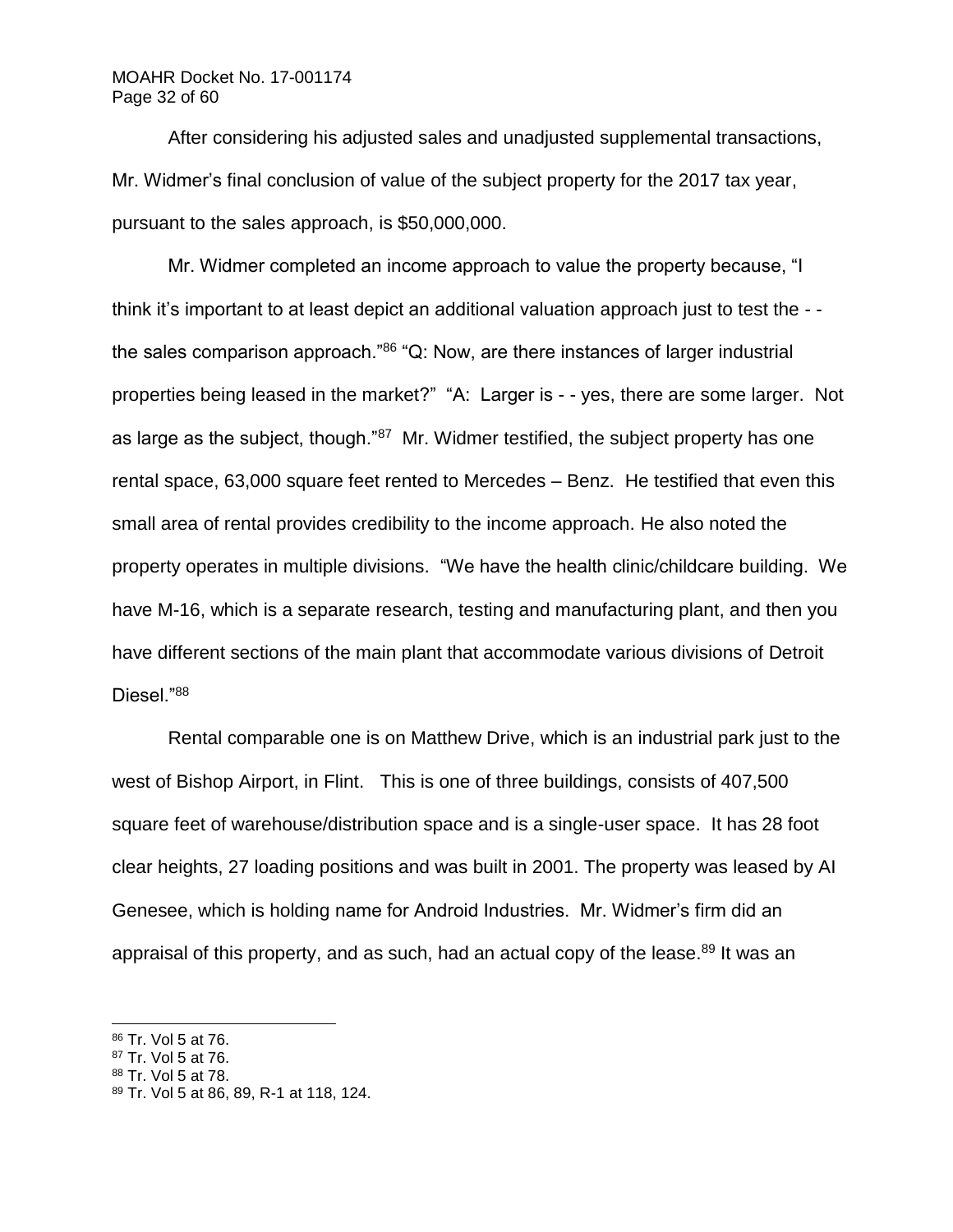# MOAHR Docket No. 17-001174 Page 32 of 60

After considering his adjusted sales and unadjusted supplemental transactions, Mr. Widmer's final conclusion of value of the subject property for the 2017 tax year, pursuant to the sales approach, is \$50,000,000.

Mr. Widmer completed an income approach to value the property because, "I think it's important to at least depict an additional valuation approach just to test the - the sales comparison approach."86 "Q: Now, are there instances of larger industrial properties being leased in the market?" "A: Larger is - - yes, there are some larger. Not as large as the subject, though."<sup>87</sup> Mr. Widmer testified, the subject property has one rental space, 63,000 square feet rented to Mercedes – Benz. He testified that even this small area of rental provides credibility to the income approach. He also noted the property operates in multiple divisions. "We have the health clinic/childcare building. We have M-16, which is a separate research, testing and manufacturing plant, and then you have different sections of the main plant that accommodate various divisions of Detroit Diesel."<sup>88</sup>

Rental comparable one is on Matthew Drive, which is an industrial park just to the west of Bishop Airport, in Flint. This is one of three buildings, consists of 407,500 square feet of warehouse/distribution space and is a single-user space. It has 28 foot clear heights, 27 loading positions and was built in 2001. The property was leased by AI Genesee, which is holding name for Android Industries. Mr. Widmer's firm did an appraisal of this property, and as such, had an actual copy of the lease.<sup>89</sup> It was an

<sup>86</sup> Tr. Vol 5 at 76.

<sup>87</sup> Tr. Vol 5 at 76.

<sup>88</sup> Tr. Vol 5 at 78.

<sup>89</sup> Tr. Vol 5 at 86, 89, R-1 at 118, 124.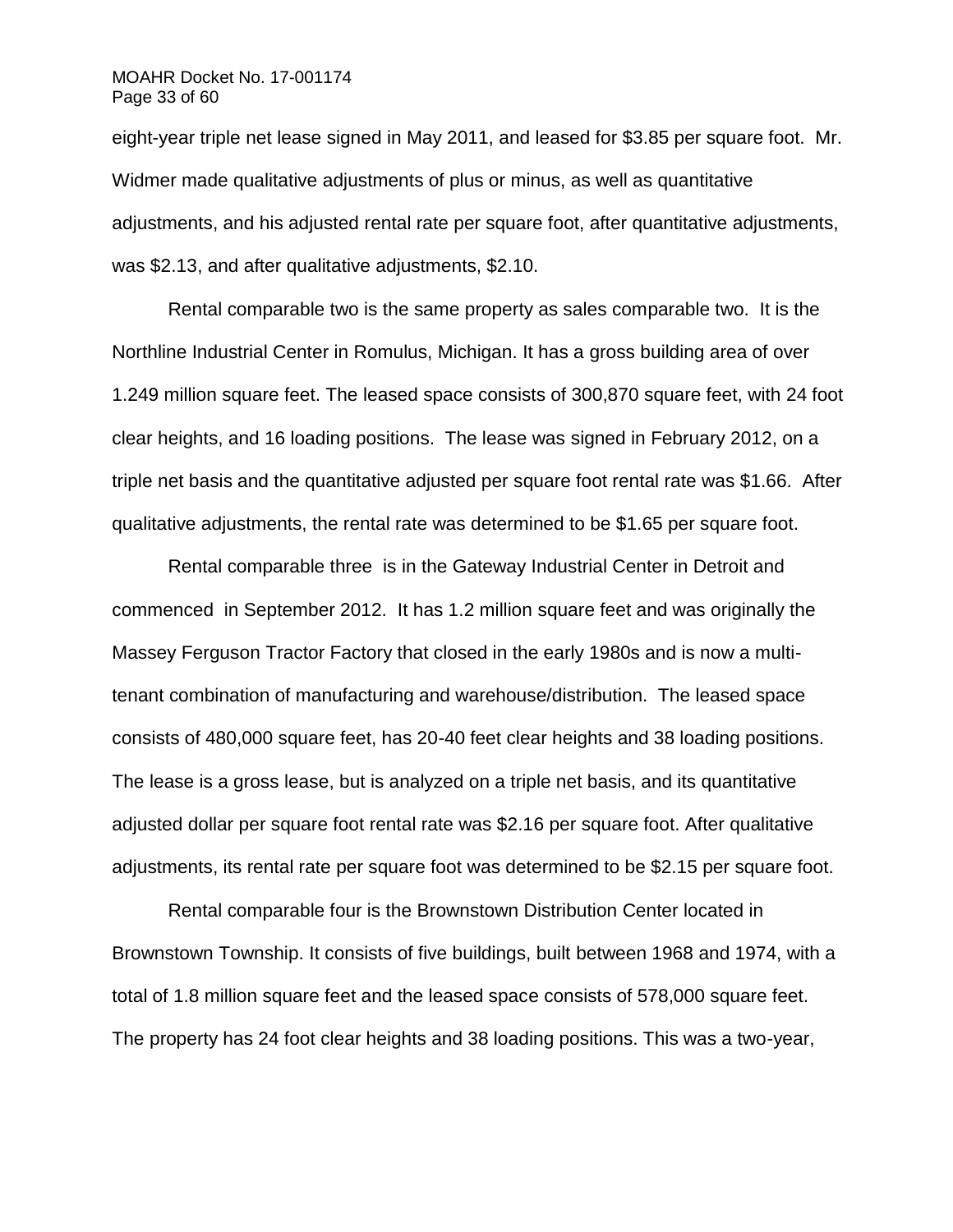## MOAHR Docket No. 17-001174 Page 33 of 60

eight-year triple net lease signed in May 2011, and leased for \$3.85 per square foot. Mr. Widmer made qualitative adjustments of plus or minus, as well as quantitative adjustments, and his adjusted rental rate per square foot, after quantitative adjustments, was \$2.13, and after qualitative adjustments, \$2.10.

Rental comparable two is the same property as sales comparable two. It is the Northline Industrial Center in Romulus, Michigan. It has a gross building area of over 1.249 million square feet. The leased space consists of 300,870 square feet, with 24 foot clear heights, and 16 loading positions. The lease was signed in February 2012, on a triple net basis and the quantitative adjusted per square foot rental rate was \$1.66. After qualitative adjustments, the rental rate was determined to be \$1.65 per square foot.

Rental comparable three is in the Gateway Industrial Center in Detroit and commenced in September 2012. It has 1.2 million square feet and was originally the Massey Ferguson Tractor Factory that closed in the early 1980s and is now a multitenant combination of manufacturing and warehouse/distribution. The leased space consists of 480,000 square feet, has 20-40 feet clear heights and 38 loading positions. The lease is a gross lease, but is analyzed on a triple net basis, and its quantitative adjusted dollar per square foot rental rate was \$2.16 per square foot. After qualitative adjustments, its rental rate per square foot was determined to be \$2.15 per square foot.

Rental comparable four is the Brownstown Distribution Center located in Brownstown Township. It consists of five buildings, built between 1968 and 1974, with a total of 1.8 million square feet and the leased space consists of 578,000 square feet. The property has 24 foot clear heights and 38 loading positions. This was a two-year,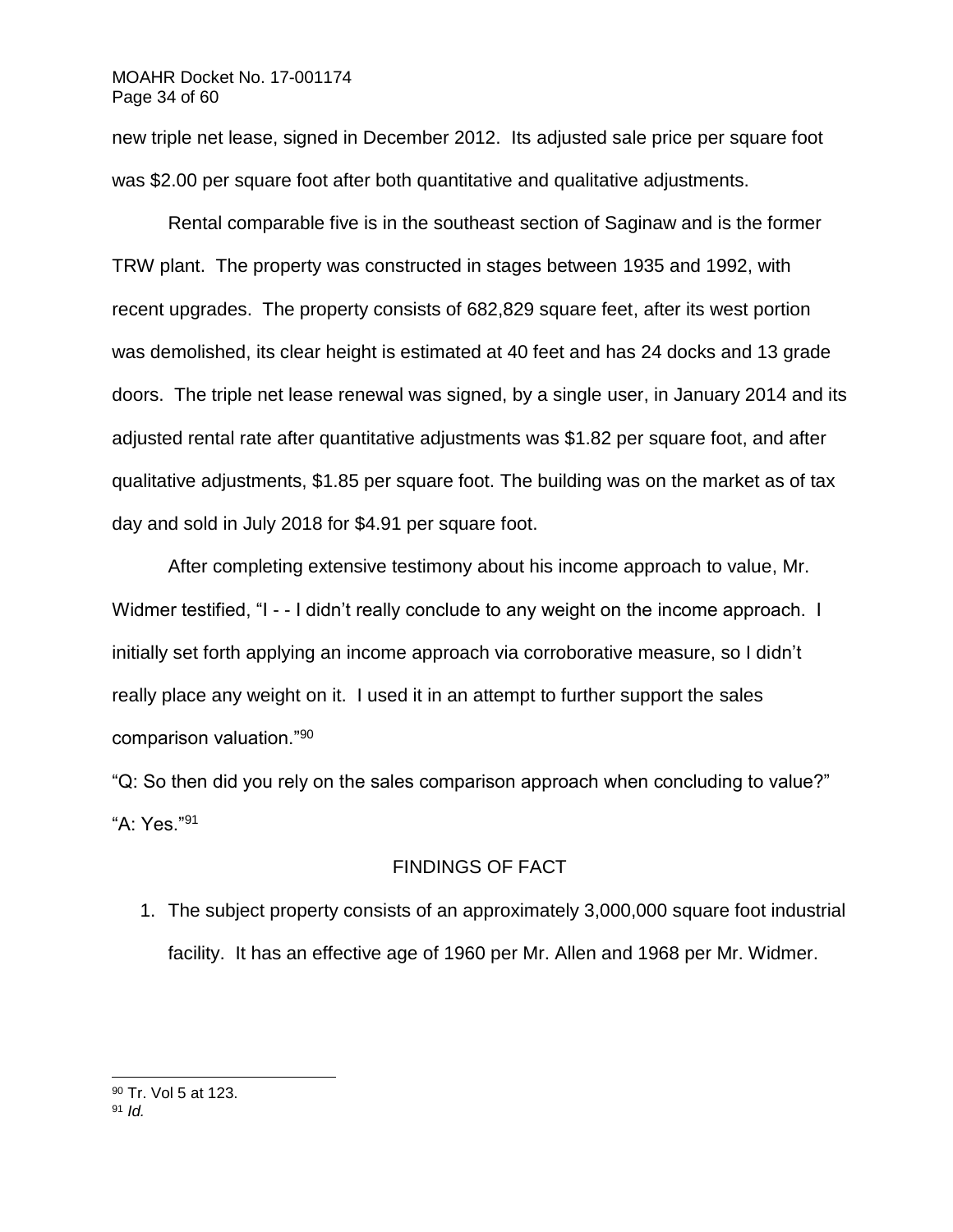new triple net lease, signed in December 2012. Its adjusted sale price per square foot was \$2.00 per square foot after both quantitative and qualitative adjustments.

Rental comparable five is in the southeast section of Saginaw and is the former TRW plant. The property was constructed in stages between 1935 and 1992, with recent upgrades. The property consists of 682,829 square feet, after its west portion was demolished, its clear height is estimated at 40 feet and has 24 docks and 13 grade doors. The triple net lease renewal was signed, by a single user, in January 2014 and its adjusted rental rate after quantitative adjustments was \$1.82 per square foot, and after qualitative adjustments, \$1.85 per square foot. The building was on the market as of tax day and sold in July 2018 for \$4.91 per square foot.

After completing extensive testimony about his income approach to value, Mr. Widmer testified, "I - - I didn't really conclude to any weight on the income approach. I initially set forth applying an income approach via corroborative measure, so I didn't really place any weight on it. I used it in an attempt to further support the sales comparison valuation."<sup>90</sup>

"Q: So then did you rely on the sales comparison approach when concluding to value?" "A: Yes."<sup>91</sup>

# FINDINGS OF FACT

1. The subject property consists of an approximately 3,000,000 square foot industrial facility. It has an effective age of 1960 per Mr. Allen and 1968 per Mr. Widmer.

<sup>90</sup> Tr. Vol 5 at 123. <sup>91</sup> *Id.*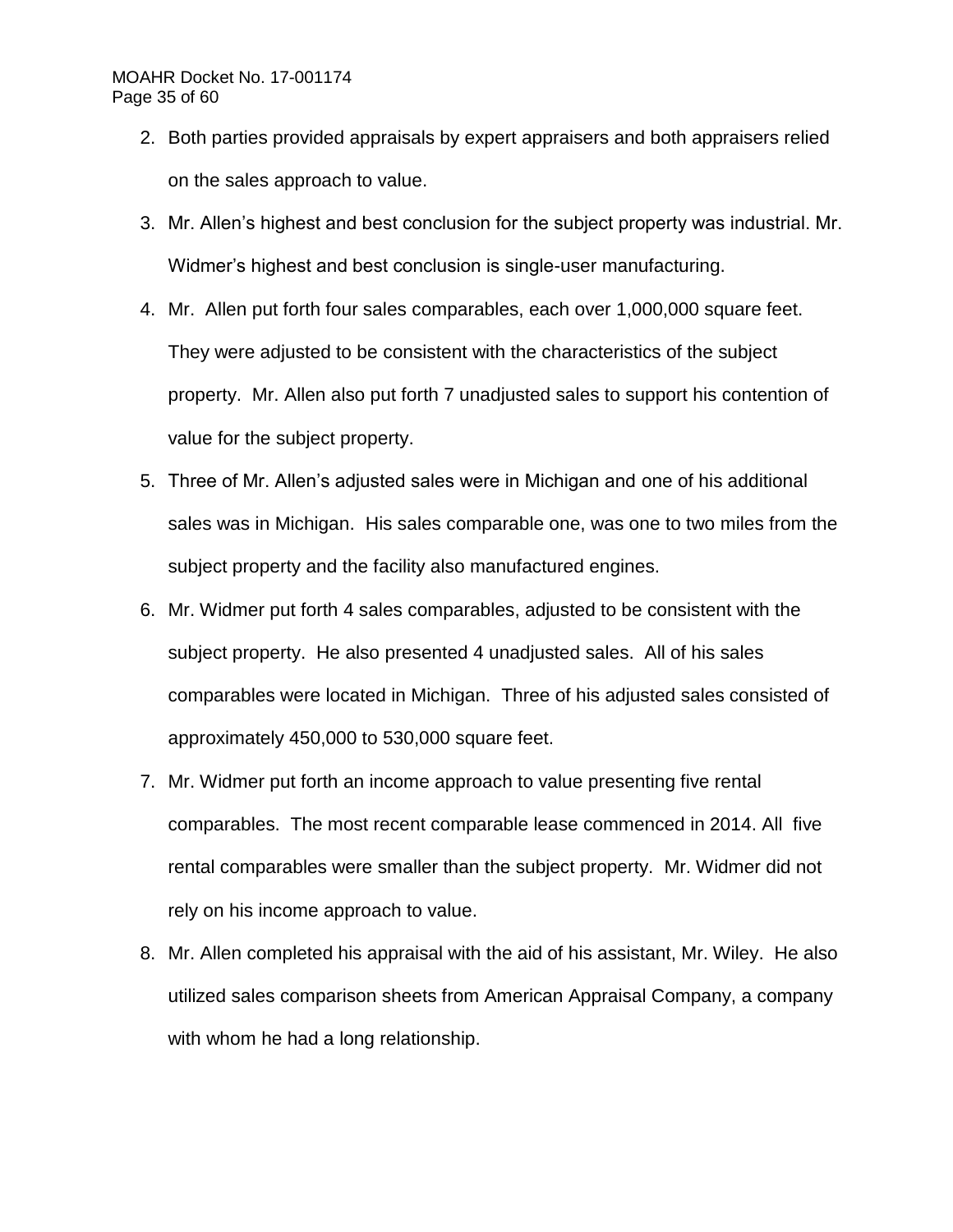## MOAHR Docket No. 17-001174 Page 35 of 60

- 2. Both parties provided appraisals by expert appraisers and both appraisers relied on the sales approach to value.
- 3. Mr. Allen's highest and best conclusion for the subject property was industrial. Mr. Widmer's highest and best conclusion is single-user manufacturing.
- 4. Mr. Allen put forth four sales comparables, each over 1,000,000 square feet. They were adjusted to be consistent with the characteristics of the subject property. Mr. Allen also put forth 7 unadjusted sales to support his contention of value for the subject property.
- 5. Three of Mr. Allen's adjusted sales were in Michigan and one of his additional sales was in Michigan. His sales comparable one, was one to two miles from the subject property and the facility also manufactured engines.
- 6. Mr. Widmer put forth 4 sales comparables, adjusted to be consistent with the subject property. He also presented 4 unadjusted sales. All of his sales comparables were located in Michigan. Three of his adjusted sales consisted of approximately 450,000 to 530,000 square feet.
- 7. Mr. Widmer put forth an income approach to value presenting five rental comparables. The most recent comparable lease commenced in 2014. All five rental comparables were smaller than the subject property. Mr. Widmer did not rely on his income approach to value.
- 8. Mr. Allen completed his appraisal with the aid of his assistant, Mr. Wiley. He also utilized sales comparison sheets from American Appraisal Company, a company with whom he had a long relationship.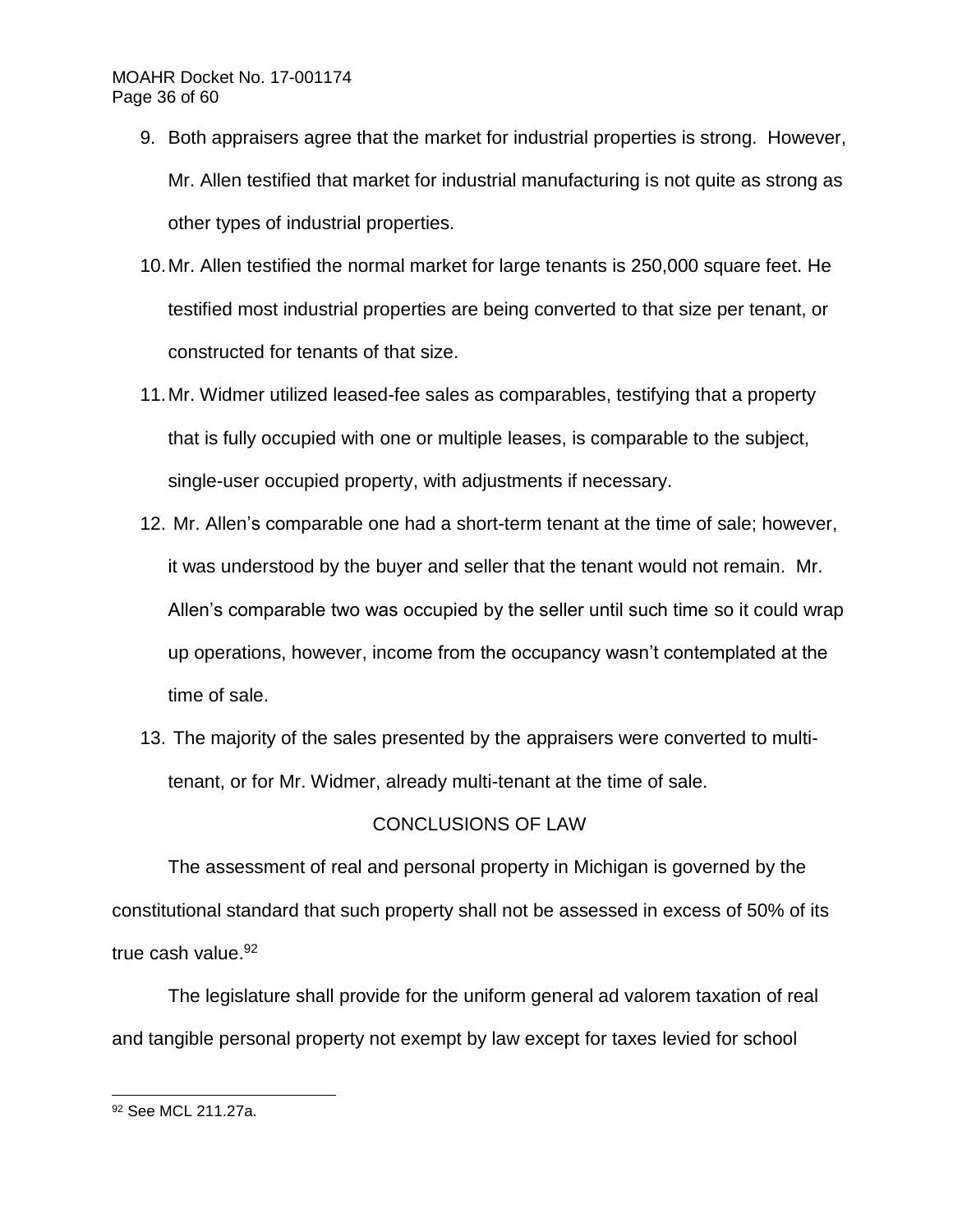# MOAHR Docket No. 17-001174 Page 36 of 60

- 9. Both appraisers agree that the market for industrial properties is strong. However, Mr. Allen testified that market for industrial manufacturing is not quite as strong as other types of industrial properties.
- 10.Mr. Allen testified the normal market for large tenants is 250,000 square feet. He testified most industrial properties are being converted to that size per tenant, or constructed for tenants of that size.
- 11.Mr. Widmer utilized leased-fee sales as comparables, testifying that a property that is fully occupied with one or multiple leases, is comparable to the subject, single-user occupied property, with adjustments if necessary.
- 12. Mr. Allen's comparable one had a short-term tenant at the time of sale; however, it was understood by the buyer and seller that the tenant would not remain. Mr. Allen's comparable two was occupied by the seller until such time so it could wrap up operations, however, income from the occupancy wasn't contemplated at the time of sale.
- 13. The majority of the sales presented by the appraisers were converted to multitenant, or for Mr. Widmer, already multi-tenant at the time of sale.

# CONCLUSIONS OF LAW

The assessment of real and personal property in Michigan is governed by the constitutional standard that such property shall not be assessed in excess of 50% of its true cash value.<sup>92</sup>

The legislature shall provide for the uniform general ad valorem taxation of real and tangible personal property not exempt by law except for taxes levied for school

l <sup>92</sup> See MCL 211.27a.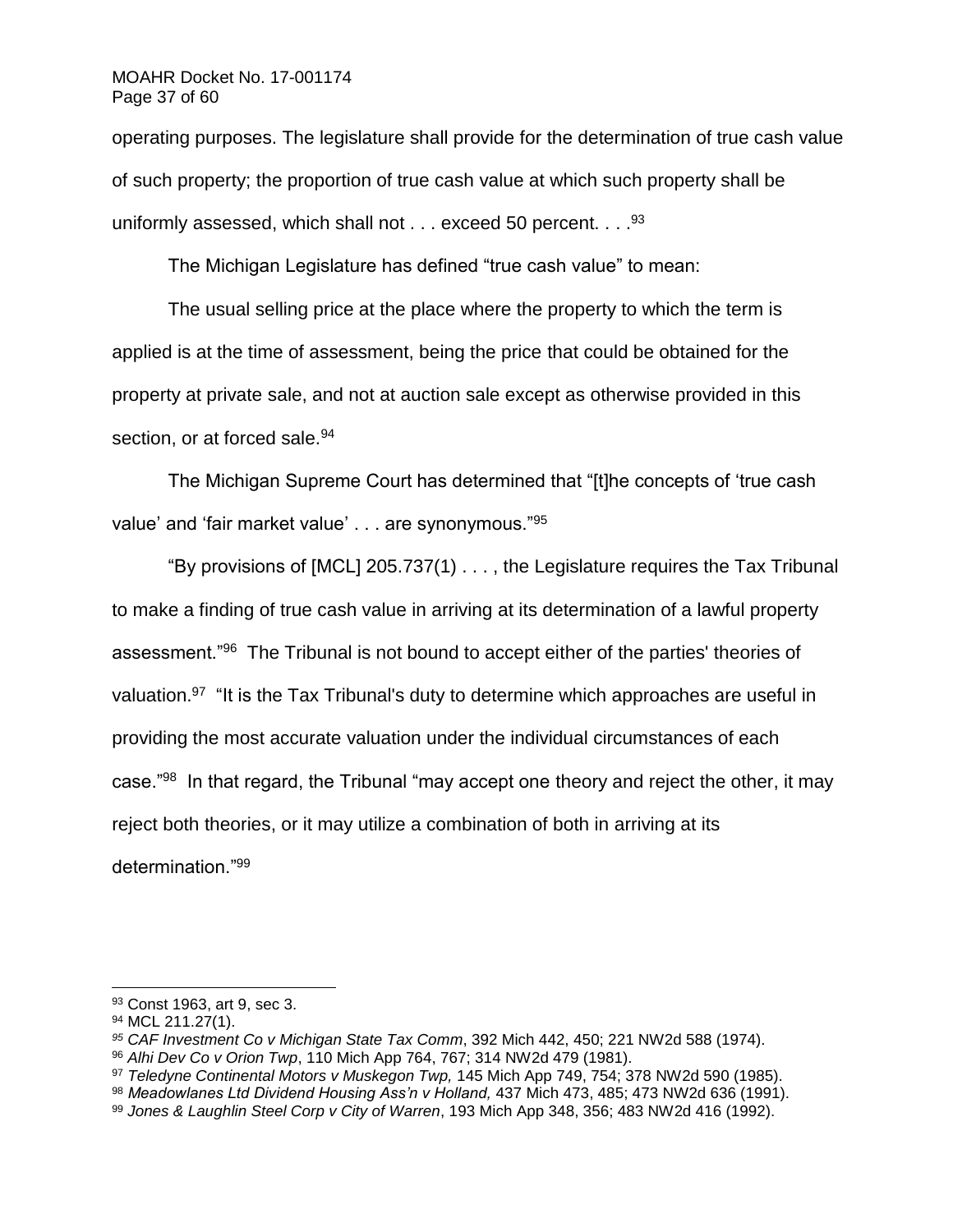### MOAHR Docket No. 17-001174 Page 37 of 60

operating purposes. The legislature shall provide for the determination of true cash value of such property; the proportion of true cash value at which such property shall be uniformly assessed, which shall not  $\dots$  exceed 50 percent.  $\dots$ <sup>93</sup>

The Michigan Legislature has defined "true cash value" to mean:

The usual selling price at the place where the property to which the term is applied is at the time of assessment, being the price that could be obtained for the property at private sale, and not at auction sale except as otherwise provided in this section, or at forced sale.<sup>94</sup>

The Michigan Supreme Court has determined that "[t]he concepts of 'true cash value' and 'fair market value' . . . are synonymous."<sup>95</sup>

"By provisions of [MCL] 205.737(1) . . . , the Legislature requires the Tax Tribunal to make a finding of true cash value in arriving at its determination of a lawful property assessment."<sup>96</sup> The Tribunal is not bound to accept either of the parties' theories of valuation.<sup>97</sup> "It is the Tax Tribunal's duty to determine which approaches are useful in providing the most accurate valuation under the individual circumstances of each case."<sup>98</sup> In that regard, the Tribunal "may accept one theory and reject the other, it may reject both theories, or it may utilize a combination of both in arriving at its determination."<sup>99</sup>

<sup>93</sup> Const 1963, art 9, sec 3.

<sup>94</sup> MCL 211.27(1).

*<sup>95</sup> CAF Investment Co v Michigan State Tax Comm*, 392 Mich 442, 450; 221 NW2d 588 (1974).

<sup>96</sup> *Alhi Dev Co v Orion Twp*, 110 Mich App 764, 767; 314 NW2d 479 (1981).

<sup>97</sup> *Teledyne Continental Motors v Muskegon Twp,* 145 Mich App 749, 754; 378 NW2d 590 (1985).

<sup>98</sup> *Meadowlanes Ltd Dividend Housing Ass'n v Holland,* 437 Mich 473, 485; 473 NW2d 636 (1991).

<sup>99</sup> *Jones & Laughlin Steel Corp v City of Warren*, 193 Mich App 348, 356; 483 NW2d 416 (1992).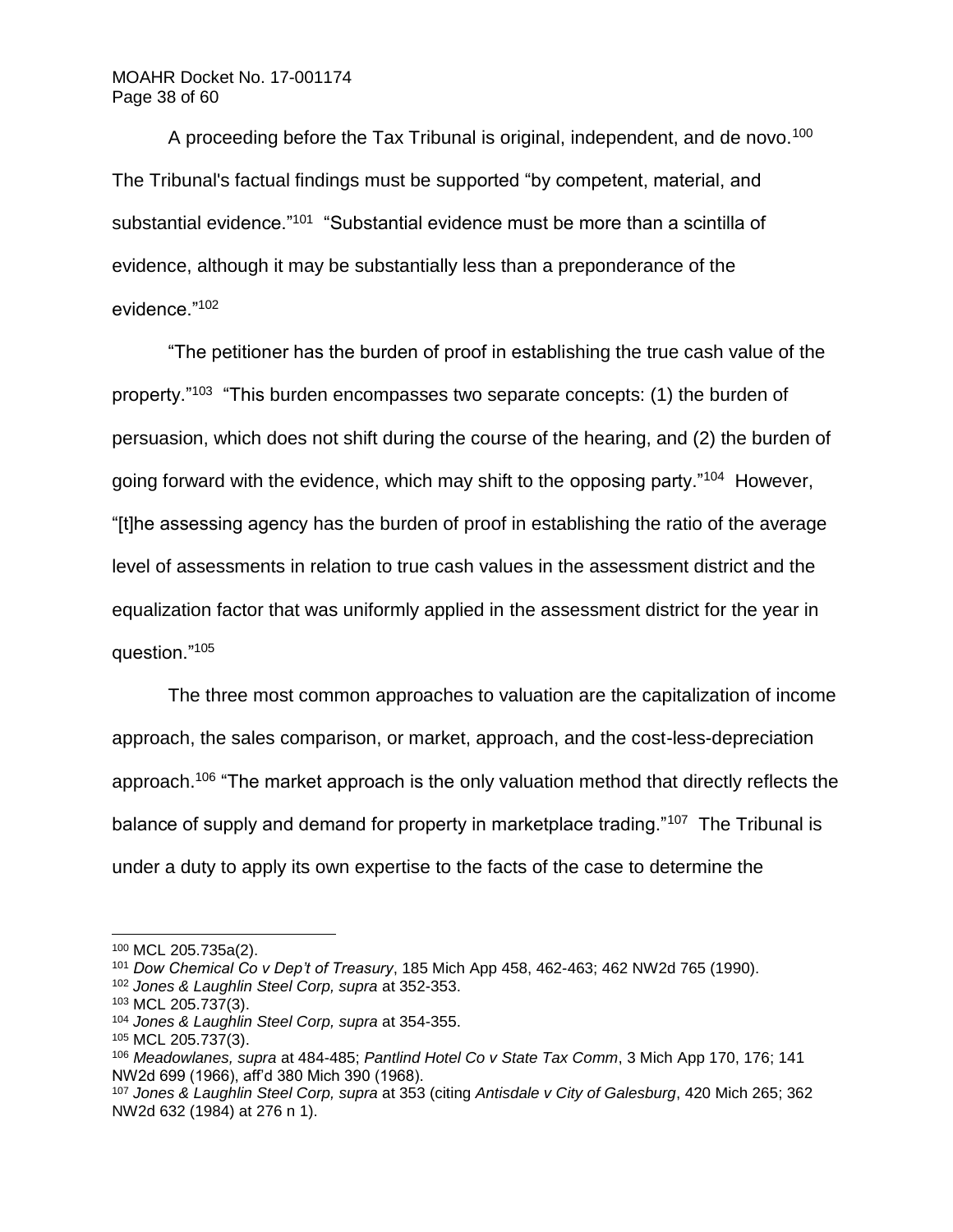A proceeding before the Tax Tribunal is original, independent, and de novo.<sup>100</sup> The Tribunal's factual findings must be supported "by competent, material, and substantial evidence."<sup>101</sup> "Substantial evidence must be more than a scintilla of evidence, although it may be substantially less than a preponderance of the evidence."<sup>102</sup>

"The petitioner has the burden of proof in establishing the true cash value of the property."<sup>103</sup> "This burden encompasses two separate concepts: (1) the burden of persuasion, which does not shift during the course of the hearing, and (2) the burden of going forward with the evidence, which may shift to the opposing party."<sup>104</sup> However, "[t]he assessing agency has the burden of proof in establishing the ratio of the average level of assessments in relation to true cash values in the assessment district and the equalization factor that was uniformly applied in the assessment district for the year in question."<sup>105</sup>

The three most common approaches to valuation are the capitalization of income approach, the sales comparison, or market, approach, and the cost-less-depreciation approach.<sup>106</sup> "The market approach is the only valuation method that directly reflects the balance of supply and demand for property in marketplace trading."<sup>107</sup> The Tribunal is under a duty to apply its own expertise to the facts of the case to determine the

<sup>100</sup> MCL 205.735a(2).

<sup>101</sup> *Dow Chemical Co v Dep't of Treasury*, 185 Mich App 458, 462-463; 462 NW2d 765 (1990).

<sup>102</sup> *Jones & Laughlin Steel Corp, supra* at 352-353.

<sup>103</sup> MCL 205.737(3).

<sup>104</sup> *Jones & Laughlin Steel Corp, supra* at 354-355.

<sup>105</sup> MCL 205.737(3).

<sup>106</sup> *Meadowlanes, supra* at 484-485; *Pantlind Hotel Co v State Tax Comm*, 3 Mich App 170, 176; 141 NW2d 699 (1966), aff'd 380 Mich 390 (1968).

<sup>107</sup> *Jones & Laughlin Steel Corp, supra* at 353 (citing *Antisdale v City of Galesburg*, 420 Mich 265; 362 NW2d 632 (1984) at 276 n 1).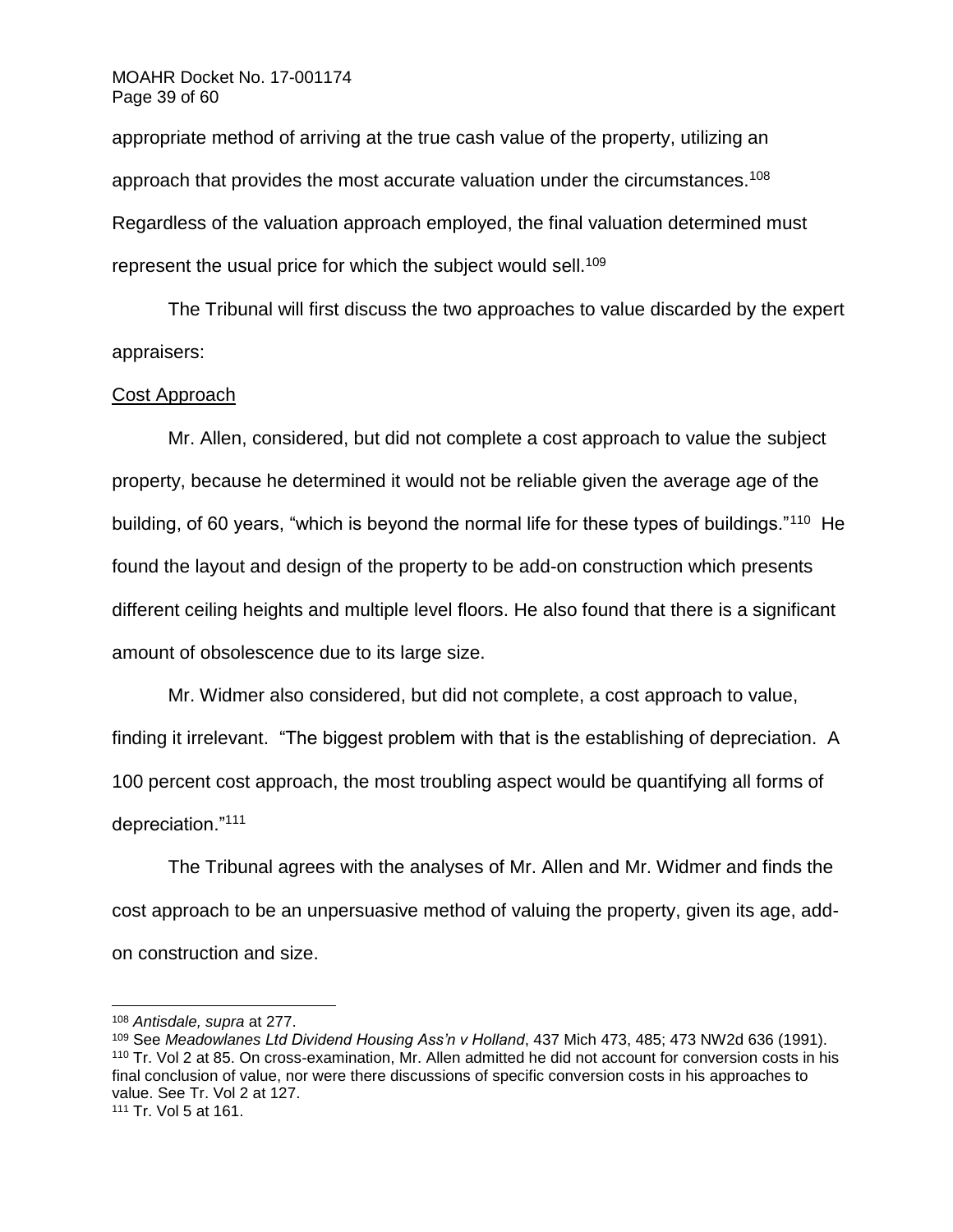## MOAHR Docket No. 17-001174 Page 39 of 60

appropriate method of arriving at the true cash value of the property, utilizing an approach that provides the most accurate valuation under the circumstances.<sup>108</sup> Regardless of the valuation approach employed, the final valuation determined must represent the usual price for which the subject would sell.<sup>109</sup>

The Tribunal will first discuss the two approaches to value discarded by the expert appraisers:

# Cost Approach

Mr. Allen, considered, but did not complete a cost approach to value the subject property, because he determined it would not be reliable given the average age of the building, of 60 years, "which is beyond the normal life for these types of buildings."<sup>110</sup> He found the layout and design of the property to be add-on construction which presents different ceiling heights and multiple level floors. He also found that there is a significant amount of obsolescence due to its large size.

Mr. Widmer also considered, but did not complete, a cost approach to value, finding it irrelevant. "The biggest problem with that is the establishing of depreciation. A 100 percent cost approach, the most troubling aspect would be quantifying all forms of depreciation."<sup>111</sup>

The Tribunal agrees with the analyses of Mr. Allen and Mr. Widmer and finds the cost approach to be an unpersuasive method of valuing the property, given its age, addon construction and size.

<sup>108</sup> *Antisdale, supra* at 277.

<sup>109</sup> See *Meadowlanes Ltd Dividend Housing Ass'n v Holland*, 437 Mich 473, 485; 473 NW2d 636 (1991). <sup>110</sup> Tr. Vol 2 at 85. On cross-examination, Mr. Allen admitted he did not account for conversion costs in his final conclusion of value, nor were there discussions of specific conversion costs in his approaches to value. See Tr. Vol 2 at 127.

<sup>111</sup> Tr. Vol 5 at 161.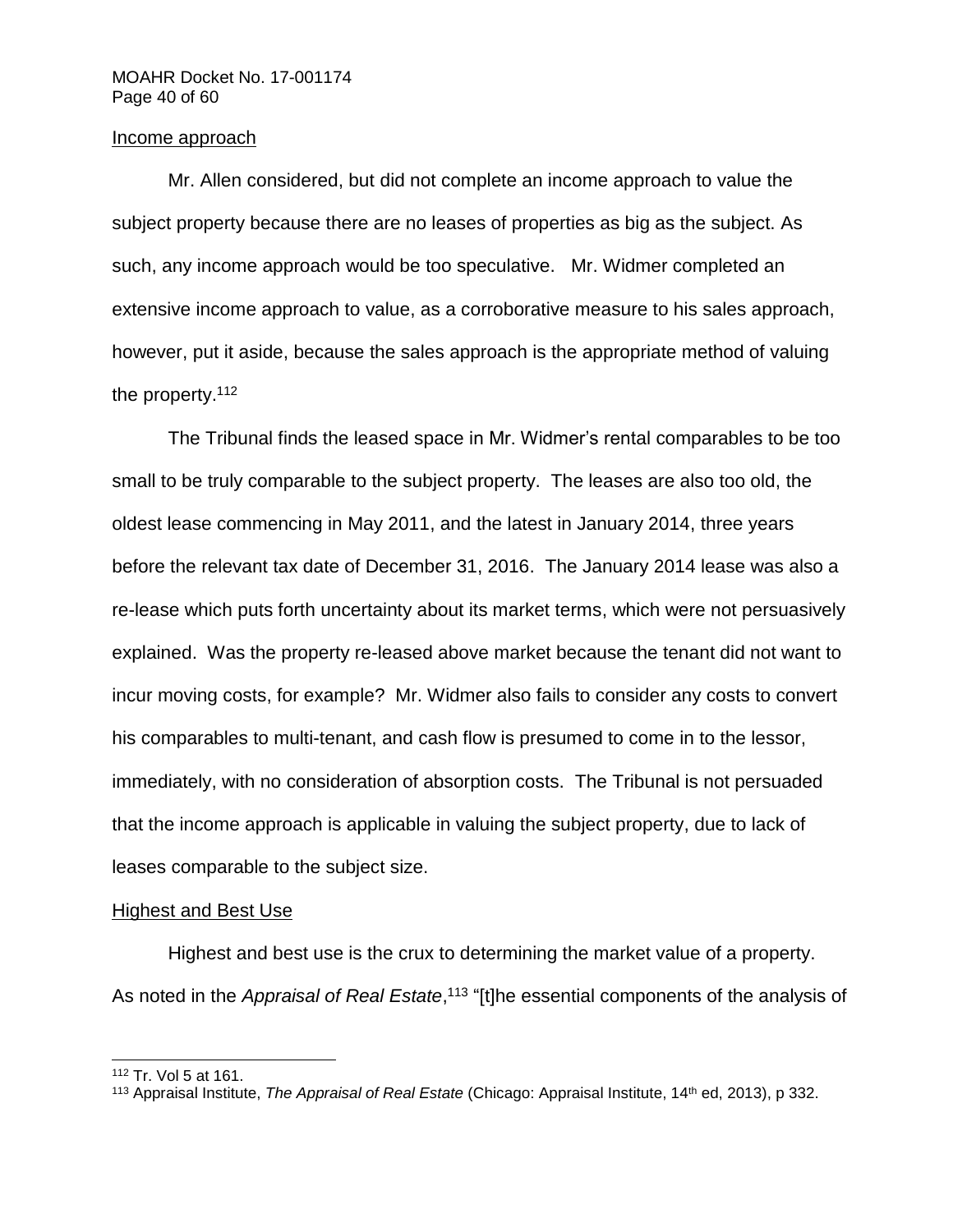## Income approach

Mr. Allen considered, but did not complete an income approach to value the subject property because there are no leases of properties as big as the subject. As such, any income approach would be too speculative. Mr. Widmer completed an extensive income approach to value, as a corroborative measure to his sales approach, however, put it aside, because the sales approach is the appropriate method of valuing the property.<sup>112</sup>

The Tribunal finds the leased space in Mr. Widmer's rental comparables to be too small to be truly comparable to the subject property. The leases are also too old, the oldest lease commencing in May 2011, and the latest in January 2014, three years before the relevant tax date of December 31, 2016. The January 2014 lease was also a re-lease which puts forth uncertainty about its market terms, which were not persuasively explained. Was the property re-leased above market because the tenant did not want to incur moving costs, for example? Mr. Widmer also fails to consider any costs to convert his comparables to multi-tenant, and cash flow is presumed to come in to the lessor, immediately, with no consideration of absorption costs. The Tribunal is not persuaded that the income approach is applicable in valuing the subject property, due to lack of leases comparable to the subject size.

# Highest and Best Use

Highest and best use is the crux to determining the market value of a property. As noted in the *Appraisal of Real Estate*,<sup>113</sup> "[t]he essential components of the analysis of

<sup>112</sup> Tr. Vol 5 at 161.

<sup>113</sup> Appraisal Institute, *The Appraisal of Real Estate* (Chicago: Appraisal Institute, 14th ed, 2013), p 332.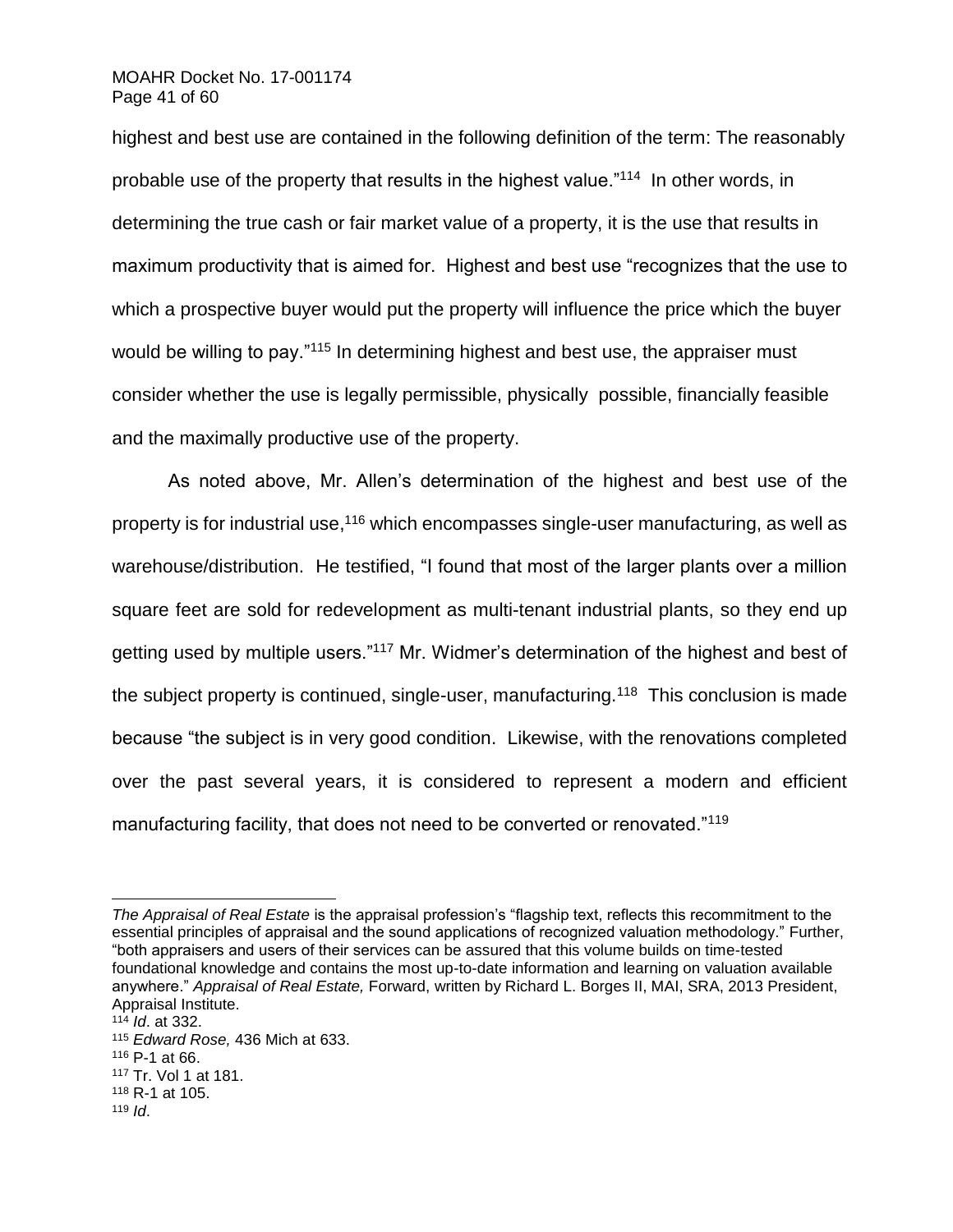### MOAHR Docket No. 17-001174 Page 41 of 60

highest and best use are contained in the following definition of the term: The reasonably probable use of the property that results in the highest value."<sup>114</sup> In other words, in determining the true cash or fair market value of a property, it is the use that results in maximum productivity that is aimed for. Highest and best use "recognizes that the use to which a prospective buyer would put the property will influence the price which the buyer would be willing to pay."<sup>115</sup> In determining highest and best use, the appraiser must consider whether the use is legally permissible, physically possible, financially feasible and the maximally productive use of the property.

As noted above, Mr. Allen's determination of the highest and best use of the property is for industrial use,<sup>116</sup> which encompasses single-user manufacturing, as well as warehouse/distribution. He testified, "I found that most of the larger plants over a million square feet are sold for redevelopment as multi-tenant industrial plants, so they end up getting used by multiple users."<sup>117</sup> Mr. Widmer's determination of the highest and best of the subject property is continued, single-user, manufacturing.<sup>118</sup> This conclusion is made because "the subject is in very good condition. Likewise, with the renovations completed over the past several years, it is considered to represent a modern and efficient manufacturing facility, that does not need to be converted or renovated."<sup>119</sup>

<sup>119</sup> *Id*.

*The Appraisal of Real Estate* is the appraisal profession's "flagship text, reflects this recommitment to the essential principles of appraisal and the sound applications of recognized valuation methodology." Further, "both appraisers and users of their services can be assured that this volume builds on time-tested foundational knowledge and contains the most up-to-date information and learning on valuation available anywhere." *Appraisal of Real Estate,* Forward, written by Richard L. Borges II, MAI, SRA, 2013 President, Appraisal Institute.

<sup>114</sup> *Id*. at 332.

<sup>115</sup> *Edward Rose,* 436 Mich at 633.

<sup>116</sup> P-1 at 66.

<sup>117</sup> Tr. Vol 1 at 181.

<sup>118</sup> R-1 at 105.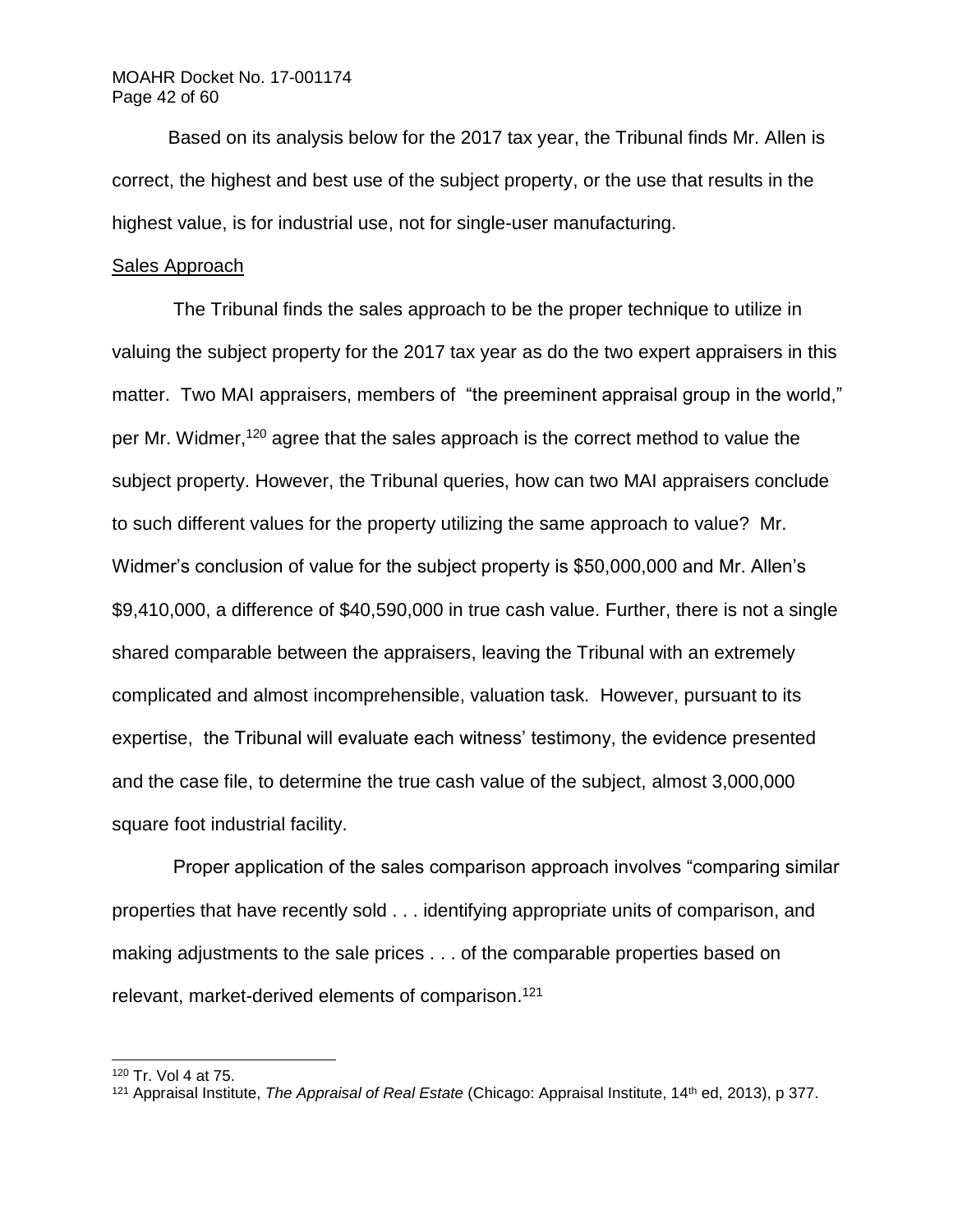Based on its analysis below for the 2017 tax year, the Tribunal finds Mr. Allen is correct, the highest and best use of the subject property, or the use that results in the highest value, is for industrial use, not for single-user manufacturing.

### Sales Approach

The Tribunal finds the sales approach to be the proper technique to utilize in valuing the subject property for the 2017 tax year as do the two expert appraisers in this matter. Two MAI appraisers, members of "the preeminent appraisal group in the world," per Mr. Widmer,<sup>120</sup> agree that the sales approach is the correct method to value the subject property. However, the Tribunal queries, how can two MAI appraisers conclude to such different values for the property utilizing the same approach to value? Mr. Widmer's conclusion of value for the subject property is \$50,000,000 and Mr. Allen's \$9,410,000, a difference of \$40,590,000 in true cash value. Further, there is not a single shared comparable between the appraisers, leaving the Tribunal with an extremely complicated and almost incomprehensible, valuation task. However, pursuant to its expertise, the Tribunal will evaluate each witness' testimony, the evidence presented and the case file, to determine the true cash value of the subject, almost 3,000,000 square foot industrial facility.

Proper application of the sales comparison approach involves "comparing similar properties that have recently sold . . . identifying appropriate units of comparison, and making adjustments to the sale prices . . . of the comparable properties based on relevant, market-derived elements of comparison.<sup>121</sup>

<sup>120</sup> Tr. Vol 4 at 75.

<sup>121</sup> Appraisal Institute, *The Appraisal of Real Estate* (Chicago: Appraisal Institute, 14th ed, 2013), p 377.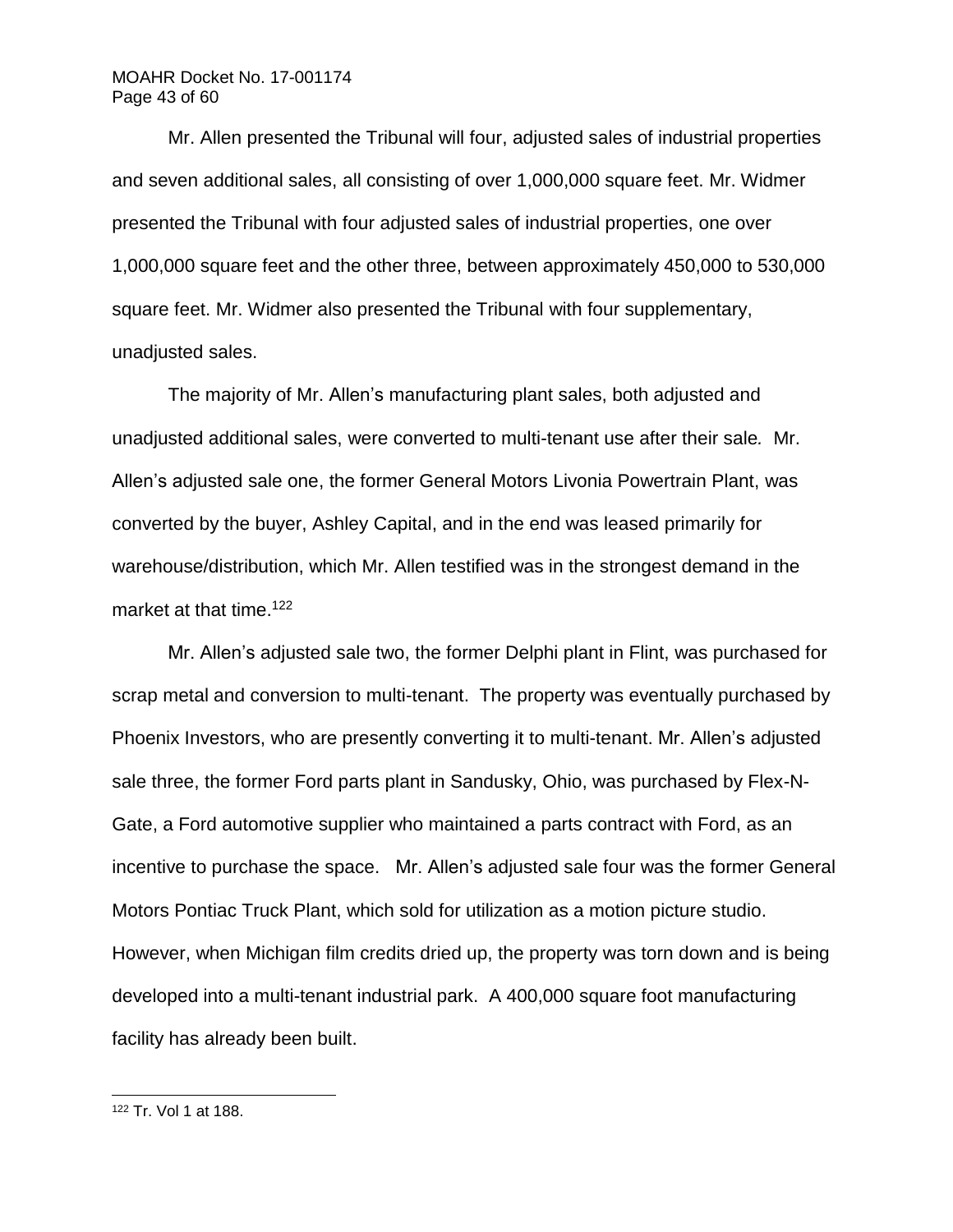# MOAHR Docket No. 17-001174 Page 43 of 60

Mr. Allen presented the Tribunal will four, adjusted sales of industrial properties and seven additional sales, all consisting of over 1,000,000 square feet. Mr. Widmer presented the Tribunal with four adjusted sales of industrial properties, one over 1,000,000 square feet and the other three, between approximately 450,000 to 530,000 square feet. Mr. Widmer also presented the Tribunal with four supplementary, unadiusted sales.

The majority of Mr. Allen's manufacturing plant sales, both adjusted and unadjusted additional sales, were converted to multi-tenant use after their sale*.* Mr. Allen's adjusted sale one, the former General Motors Livonia Powertrain Plant, was converted by the buyer, Ashley Capital, and in the end was leased primarily for warehouse/distribution, which Mr. Allen testified was in the strongest demand in the market at that time.<sup>122</sup>

Mr. Allen's adjusted sale two, the former Delphi plant in Flint, was purchased for scrap metal and conversion to multi-tenant. The property was eventually purchased by Phoenix Investors, who are presently converting it to multi-tenant. Mr. Allen's adjusted sale three, the former Ford parts plant in Sandusky, Ohio, was purchased by Flex-N-Gate, a Ford automotive supplier who maintained a parts contract with Ford, as an incentive to purchase the space. Mr. Allen's adjusted sale four was the former General Motors Pontiac Truck Plant, which sold for utilization as a motion picture studio. However, when Michigan film credits dried up, the property was torn down and is being developed into a multi-tenant industrial park. A 400,000 square foot manufacturing facility has already been built.

<sup>122</sup> Tr. Vol 1 at 188.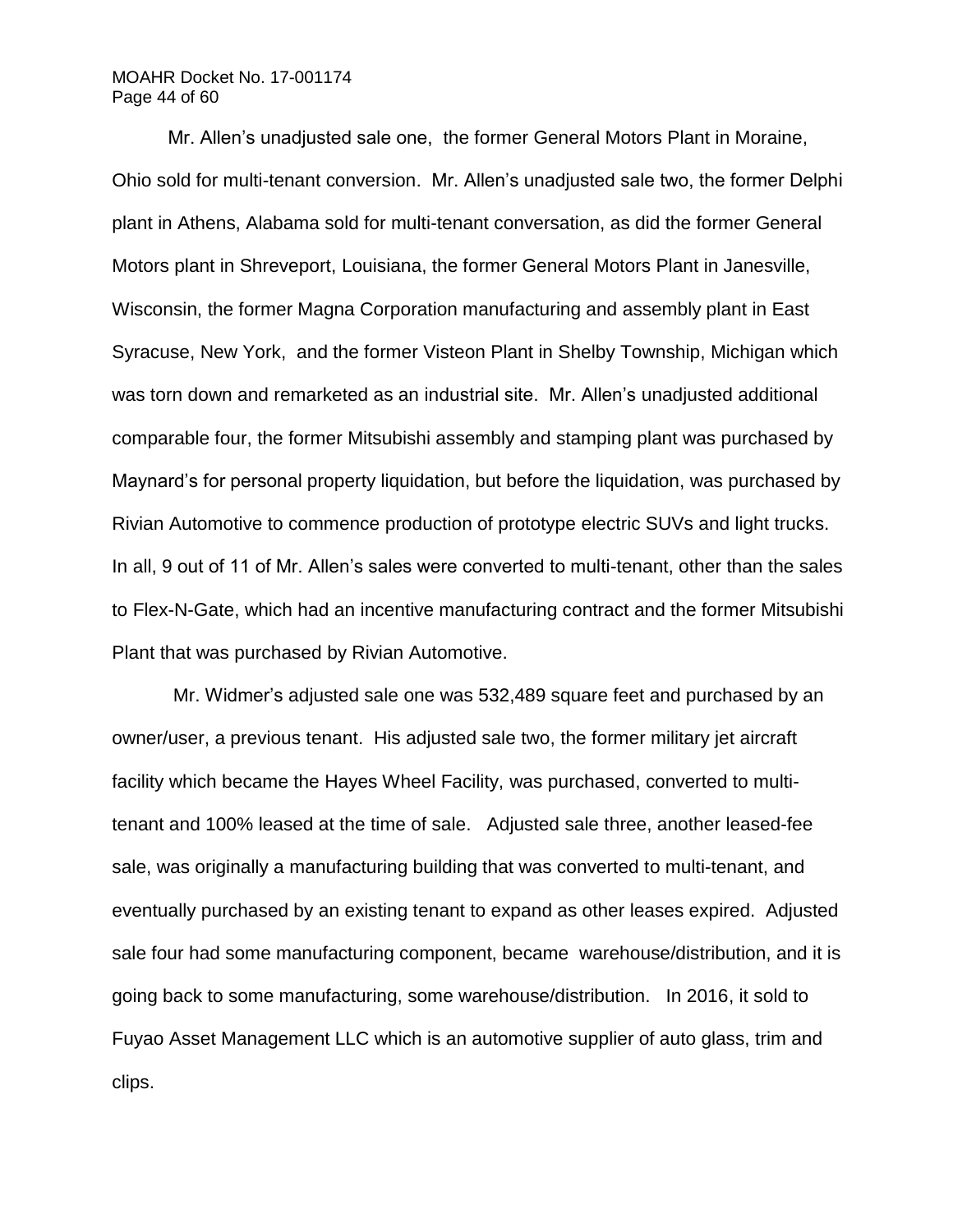# MOAHR Docket No. 17-001174 Page 44 of 60

Mr. Allen's unadjusted sale one, the former General Motors Plant in Moraine, Ohio sold for multi-tenant conversion. Mr. Allen's unadjusted sale two, the former Delphi plant in Athens, Alabama sold for multi-tenant conversation, as did the former General Motors plant in Shreveport, Louisiana, the former General Motors Plant in Janesville, Wisconsin, the former Magna Corporation manufacturing and assembly plant in East Syracuse, New York, and the former Visteon Plant in Shelby Township, Michigan which was torn down and remarketed as an industrial site. Mr. Allen's unadjusted additional comparable four, the former Mitsubishi assembly and stamping plant was purchased by Maynard's for personal property liquidation, but before the liquidation, was purchased by Rivian Automotive to commence production of prototype electric SUVs and light trucks. In all, 9 out of 11 of Mr. Allen's sales were converted to multi-tenant, other than the sales to Flex-N-Gate, which had an incentive manufacturing contract and the former Mitsubishi Plant that was purchased by Rivian Automotive.

Mr. Widmer's adjusted sale one was 532,489 square feet and purchased by an owner/user, a previous tenant. His adjusted sale two, the former military jet aircraft facility which became the Hayes Wheel Facility, was purchased, converted to multitenant and 100% leased at the time of sale. Adjusted sale three, another leased-fee sale, was originally a manufacturing building that was converted to multi-tenant, and eventually purchased by an existing tenant to expand as other leases expired. Adjusted sale four had some manufacturing component, became warehouse/distribution, and it is going back to some manufacturing, some warehouse/distribution. In 2016, it sold to Fuyao Asset Management LLC which is an automotive supplier of auto glass, trim and clips.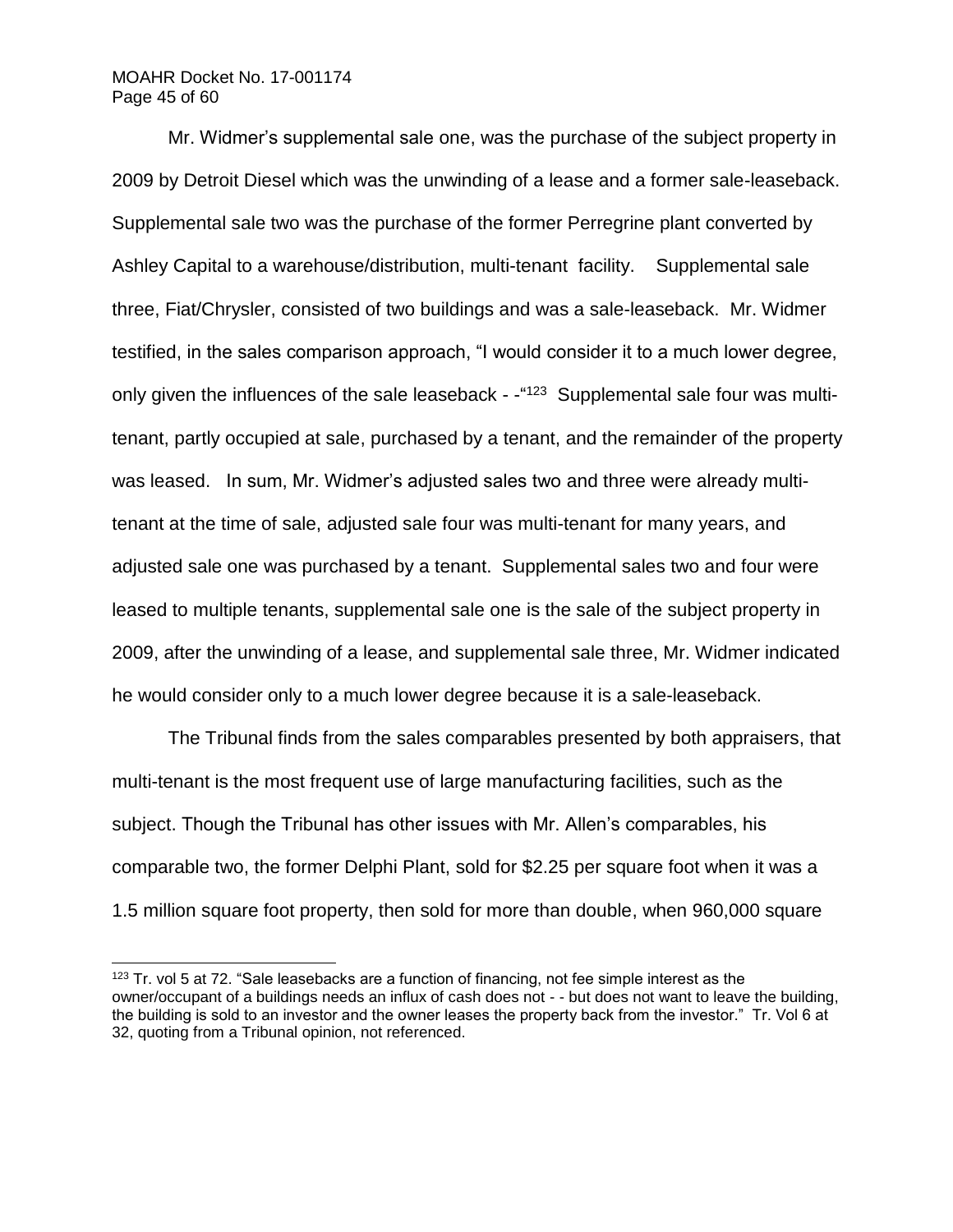## MOAHR Docket No. 17-001174 Page 45 of 60

l

Mr. Widmer's supplemental sale one, was the purchase of the subject property in 2009 by Detroit Diesel which was the unwinding of a lease and a former sale-leaseback. Supplemental sale two was the purchase of the former Perregrine plant converted by Ashley Capital to a warehouse/distribution, multi-tenant facility. Supplemental sale three, Fiat/Chrysler, consisted of two buildings and was a sale-leaseback. Mr. Widmer testified, in the sales comparison approach, "I would consider it to a much lower degree, only given the influences of the sale leaseback - -"<sup>123</sup> Supplemental sale four was multitenant, partly occupied at sale, purchased by a tenant, and the remainder of the property was leased. In sum, Mr. Widmer's adjusted sales two and three were already multitenant at the time of sale, adjusted sale four was multi-tenant for many years, and adjusted sale one was purchased by a tenant. Supplemental sales two and four were leased to multiple tenants, supplemental sale one is the sale of the subject property in 2009, after the unwinding of a lease, and supplemental sale three, Mr. Widmer indicated he would consider only to a much lower degree because it is a sale-leaseback.

The Tribunal finds from the sales comparables presented by both appraisers, that multi-tenant is the most frequent use of large manufacturing facilities, such as the subject. Though the Tribunal has other issues with Mr. Allen's comparables, his comparable two, the former Delphi Plant, sold for \$2.25 per square foot when it was a 1.5 million square foot property, then sold for more than double, when 960,000 square

<sup>&</sup>lt;sup>123</sup> Tr. vol 5 at 72. "Sale leasebacks are a function of financing, not fee simple interest as the owner/occupant of a buildings needs an influx of cash does not - - but does not want to leave the building, the building is sold to an investor and the owner leases the property back from the investor." Tr. Vol 6 at 32, quoting from a Tribunal opinion, not referenced.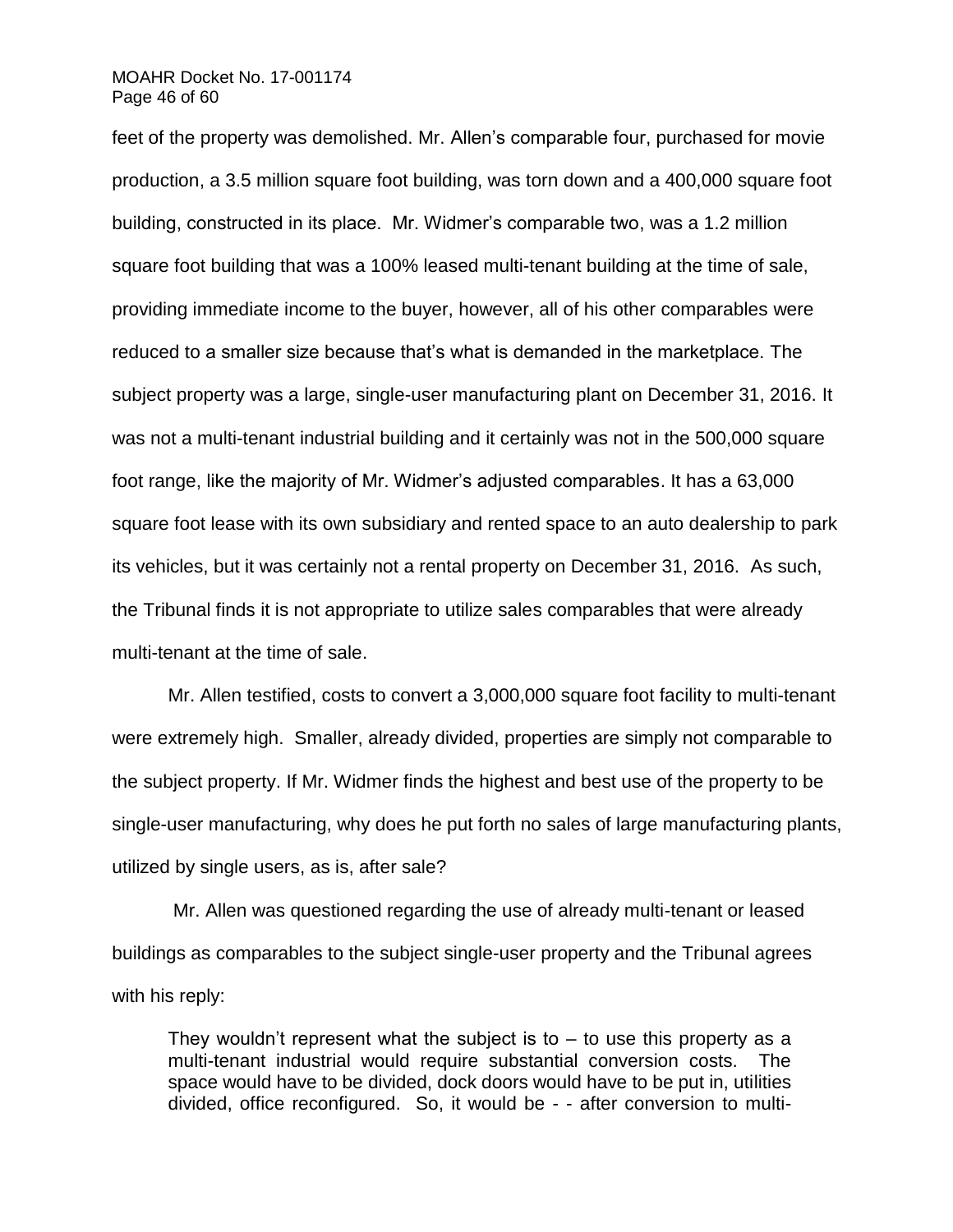### MOAHR Docket No. 17-001174 Page 46 of 60

feet of the property was demolished. Mr. Allen's comparable four, purchased for movie production, a 3.5 million square foot building, was torn down and a 400,000 square foot building, constructed in its place. Mr. Widmer's comparable two, was a 1.2 million square foot building that was a 100% leased multi-tenant building at the time of sale, providing immediate income to the buyer, however, all of his other comparables were reduced to a smaller size because that's what is demanded in the marketplace. The subject property was a large, single-user manufacturing plant on December 31, 2016. It was not a multi-tenant industrial building and it certainly was not in the 500,000 square foot range, like the majority of Mr. Widmer's adjusted comparables. It has a 63,000 square foot lease with its own subsidiary and rented space to an auto dealership to park its vehicles, but it was certainly not a rental property on December 31, 2016. As such, the Tribunal finds it is not appropriate to utilize sales comparables that were already multi-tenant at the time of sale.

Mr. Allen testified, costs to convert a 3,000,000 square foot facility to multi-tenant were extremely high. Smaller, already divided, properties are simply not comparable to the subject property. If Mr. Widmer finds the highest and best use of the property to be single-user manufacturing, why does he put forth no sales of large manufacturing plants, utilized by single users, as is, after sale?

Mr. Allen was questioned regarding the use of already multi-tenant or leased buildings as comparables to the subject single-user property and the Tribunal agrees with his reply:

They wouldn't represent what the subject is to – to use this property as a multi-tenant industrial would require substantial conversion costs. The space would have to be divided, dock doors would have to be put in, utilities divided, office reconfigured. So, it would be - - after conversion to multi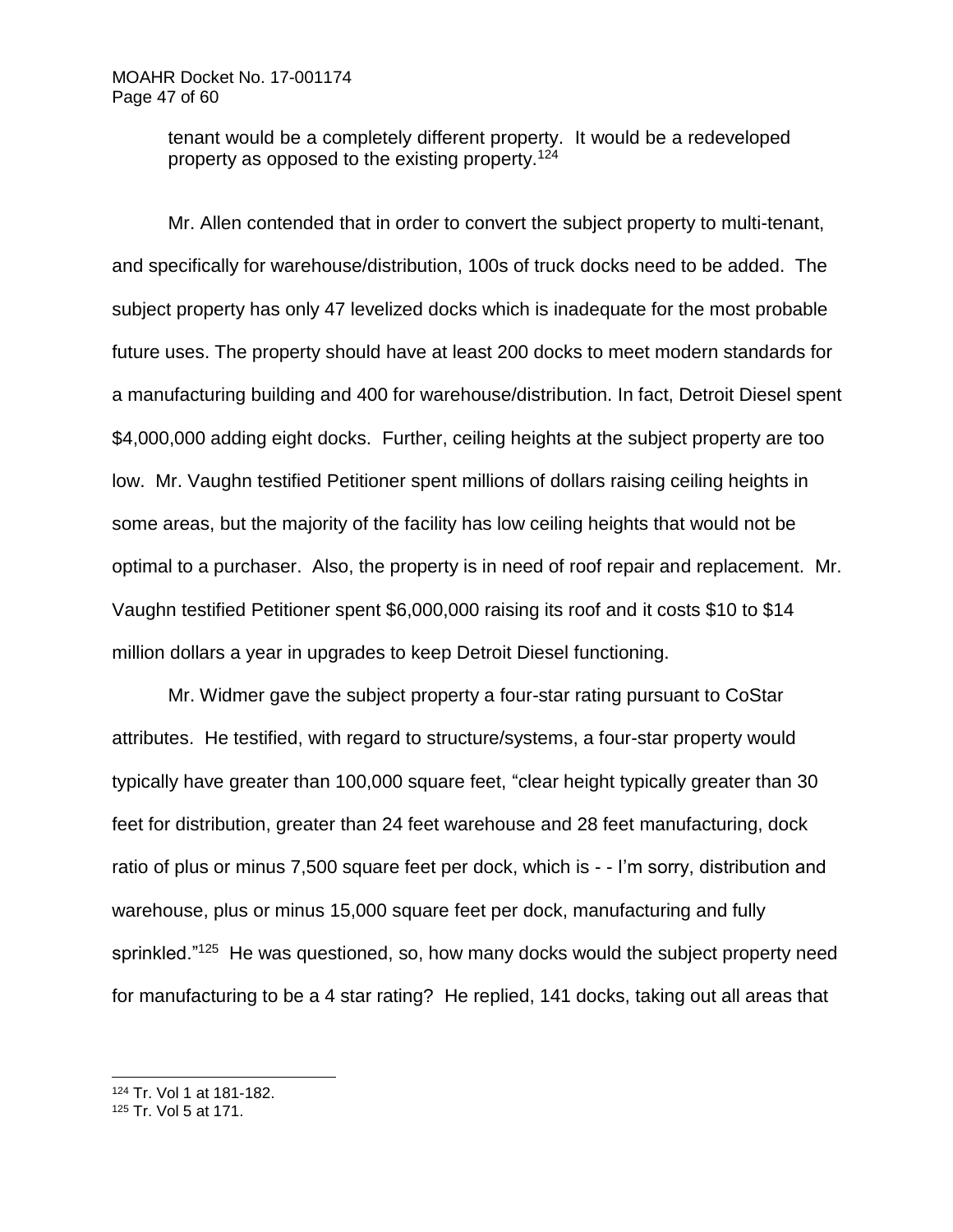tenant would be a completely different property. It would be a redeveloped property as opposed to the existing property.<sup>124</sup>

Mr. Allen contended that in order to convert the subject property to multi-tenant, and specifically for warehouse/distribution, 100s of truck docks need to be added. The subject property has only 47 levelized docks which is inadequate for the most probable future uses. The property should have at least 200 docks to meet modern standards for a manufacturing building and 400 for warehouse/distribution. In fact, Detroit Diesel spent \$4,000,000 adding eight docks. Further, ceiling heights at the subject property are too low. Mr. Vaughn testified Petitioner spent millions of dollars raising ceiling heights in some areas, but the majority of the facility has low ceiling heights that would not be optimal to a purchaser. Also, the property is in need of roof repair and replacement. Mr. Vaughn testified Petitioner spent \$6,000,000 raising its roof and it costs \$10 to \$14 million dollars a year in upgrades to keep Detroit Diesel functioning.

Mr. Widmer gave the subject property a four-star rating pursuant to CoStar attributes. He testified, with regard to structure/systems, a four-star property would typically have greater than 100,000 square feet, "clear height typically greater than 30 feet for distribution, greater than 24 feet warehouse and 28 feet manufacturing, dock ratio of plus or minus 7,500 square feet per dock, which is - - I'm sorry, distribution and warehouse, plus or minus 15,000 square feet per dock, manufacturing and fully sprinkled."<sup>125</sup> He was questioned, so, how many docks would the subject property need for manufacturing to be a 4 star rating? He replied, 141 docks, taking out all areas that

<sup>124</sup> Tr. Vol 1 at 181-182.

<sup>125</sup> Tr. Vol 5 at 171.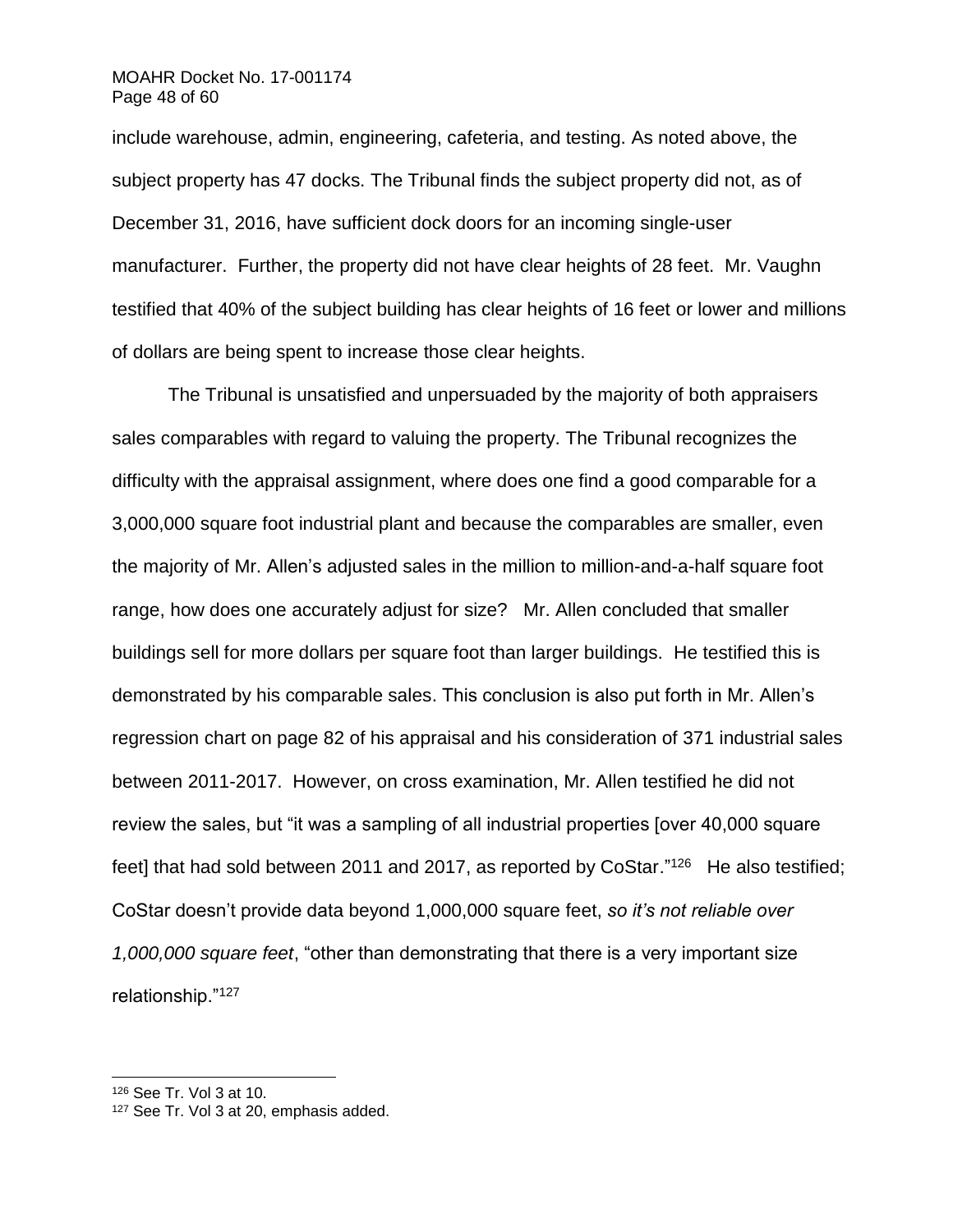## MOAHR Docket No. 17-001174 Page 48 of 60

include warehouse, admin, engineering, cafeteria, and testing. As noted above, the subject property has 47 docks. The Tribunal finds the subject property did not, as of December 31, 2016, have sufficient dock doors for an incoming single-user manufacturer. Further, the property did not have clear heights of 28 feet. Mr. Vaughn testified that 40% of the subject building has clear heights of 16 feet or lower and millions of dollars are being spent to increase those clear heights.

The Tribunal is unsatisfied and unpersuaded by the majority of both appraisers sales comparables with regard to valuing the property. The Tribunal recognizes the difficulty with the appraisal assignment, where does one find a good comparable for a 3,000,000 square foot industrial plant and because the comparables are smaller, even the majority of Mr. Allen's adjusted sales in the million to million-and-a-half square foot range, how does one accurately adjust for size? Mr. Allen concluded that smaller buildings sell for more dollars per square foot than larger buildings. He testified this is demonstrated by his comparable sales. This conclusion is also put forth in Mr. Allen's regression chart on page 82 of his appraisal and his consideration of 371 industrial sales between 2011-2017. However, on cross examination, Mr. Allen testified he did not review the sales, but "it was a sampling of all industrial properties [over 40,000 square feet] that had sold between 2011 and 2017, as reported by CoStar."<sup>126</sup> He also testified; CoStar doesn't provide data beyond 1,000,000 square feet, *so it's not reliable over 1,000,000 square feet*, "other than demonstrating that there is a very important size relationship."127

<sup>126</sup> See Tr. Vol 3 at 10.

<sup>127</sup> See Tr. Vol 3 at 20, emphasis added.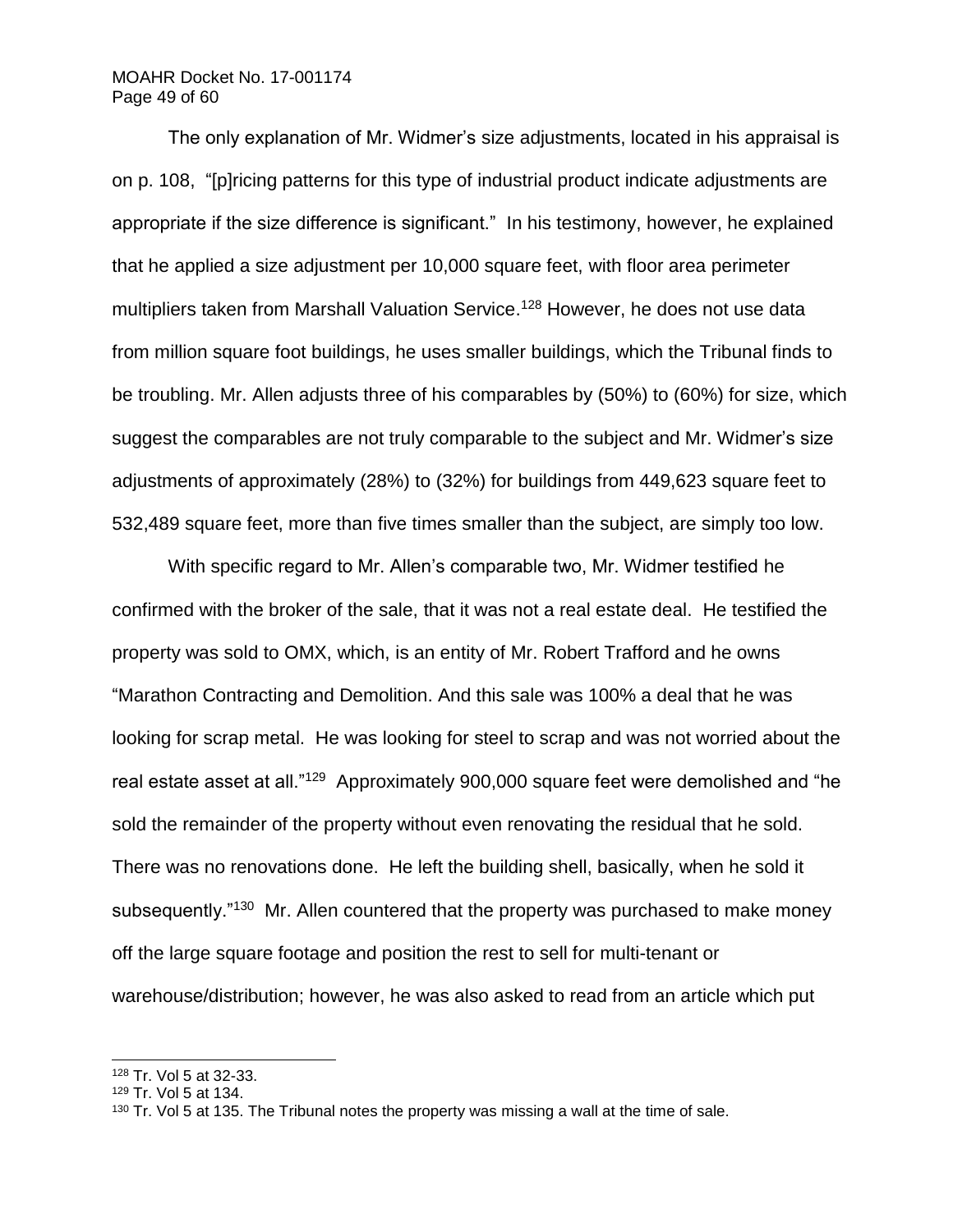# MOAHR Docket No. 17-001174 Page 49 of 60

The only explanation of Mr. Widmer's size adjustments, located in his appraisal is on p. 108, "[p]ricing patterns for this type of industrial product indicate adjustments are appropriate if the size difference is significant." In his testimony, however, he explained that he applied a size adjustment per 10,000 square feet, with floor area perimeter multipliers taken from Marshall Valuation Service. <sup>128</sup> However, he does not use data from million square foot buildings, he uses smaller buildings, which the Tribunal finds to be troubling. Mr. Allen adjusts three of his comparables by (50%) to (60%) for size, which suggest the comparables are not truly comparable to the subject and Mr. Widmer's size adjustments of approximately (28%) to (32%) for buildings from 449,623 square feet to 532,489 square feet, more than five times smaller than the subject, are simply too low.

With specific regard to Mr. Allen's comparable two, Mr. Widmer testified he confirmed with the broker of the sale, that it was not a real estate deal. He testified the property was sold to OMX, which, is an entity of Mr. Robert Trafford and he owns "Marathon Contracting and Demolition. And this sale was 100% a deal that he was looking for scrap metal. He was looking for steel to scrap and was not worried about the real estate asset at all."<sup>129</sup> Approximately 900,000 square feet were demolished and "he sold the remainder of the property without even renovating the residual that he sold. There was no renovations done. He left the building shell, basically, when he sold it subsequently."<sup>130</sup> Mr. Allen countered that the property was purchased to make money off the large square footage and position the rest to sell for multi-tenant or warehouse/distribution; however, he was also asked to read from an article which put

<sup>128</sup> Tr. Vol 5 at 32-33.

<sup>129</sup> Tr. Vol 5 at 134.

 $130$  Tr. Vol 5 at 135. The Tribunal notes the property was missing a wall at the time of sale.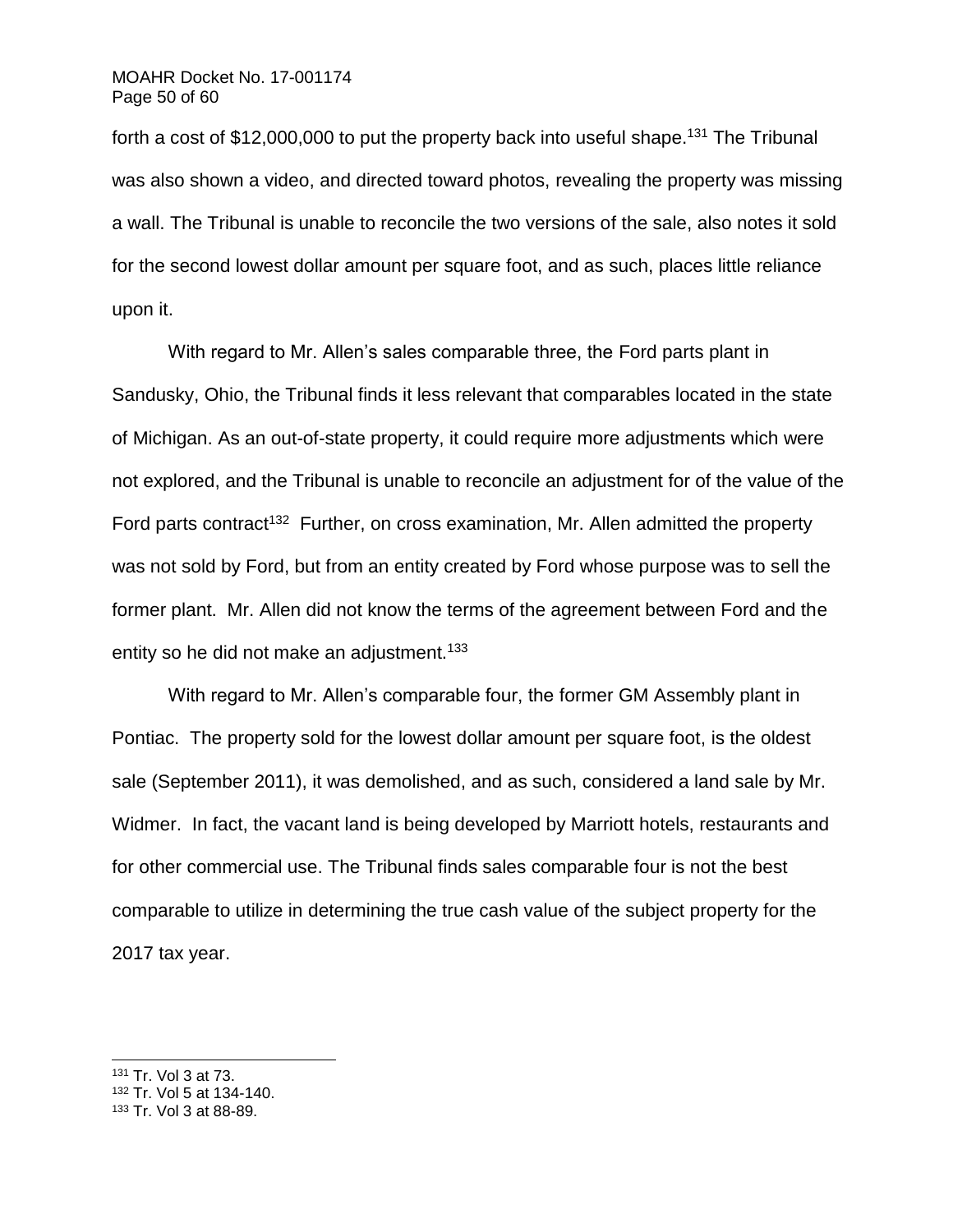# MOAHR Docket No. 17-001174 Page 50 of 60

forth a cost of \$12,000,000 to put the property back into useful shape.<sup>131</sup> The Tribunal was also shown a video, and directed toward photos, revealing the property was missing a wall. The Tribunal is unable to reconcile the two versions of the sale, also notes it sold for the second lowest dollar amount per square foot, and as such, places little reliance upon it.

With regard to Mr. Allen's sales comparable three, the Ford parts plant in Sandusky, Ohio, the Tribunal finds it less relevant that comparables located in the state of Michigan. As an out-of-state property, it could require more adjustments which were not explored, and the Tribunal is unable to reconcile an adjustment for of the value of the Ford parts contract<sup>132</sup> Further, on cross examination, Mr. Allen admitted the property was not sold by Ford, but from an entity created by Ford whose purpose was to sell the former plant. Mr. Allen did not know the terms of the agreement between Ford and the entity so he did not make an adjustment.<sup>133</sup>

With regard to Mr. Allen's comparable four, the former GM Assembly plant in Pontiac. The property sold for the lowest dollar amount per square foot, is the oldest sale (September 2011), it was demolished, and as such, considered a land sale by Mr. Widmer. In fact, the vacant land is being developed by Marriott hotels, restaurants and for other commercial use. The Tribunal finds sales comparable four is not the best comparable to utilize in determining the true cash value of the subject property for the 2017 tax year.

<sup>131</sup> Tr. Vol 3 at 73.

- <sup>132</sup> Tr. Vol 5 at 134-140.
- <sup>133</sup> Tr. Vol 3 at 88-89.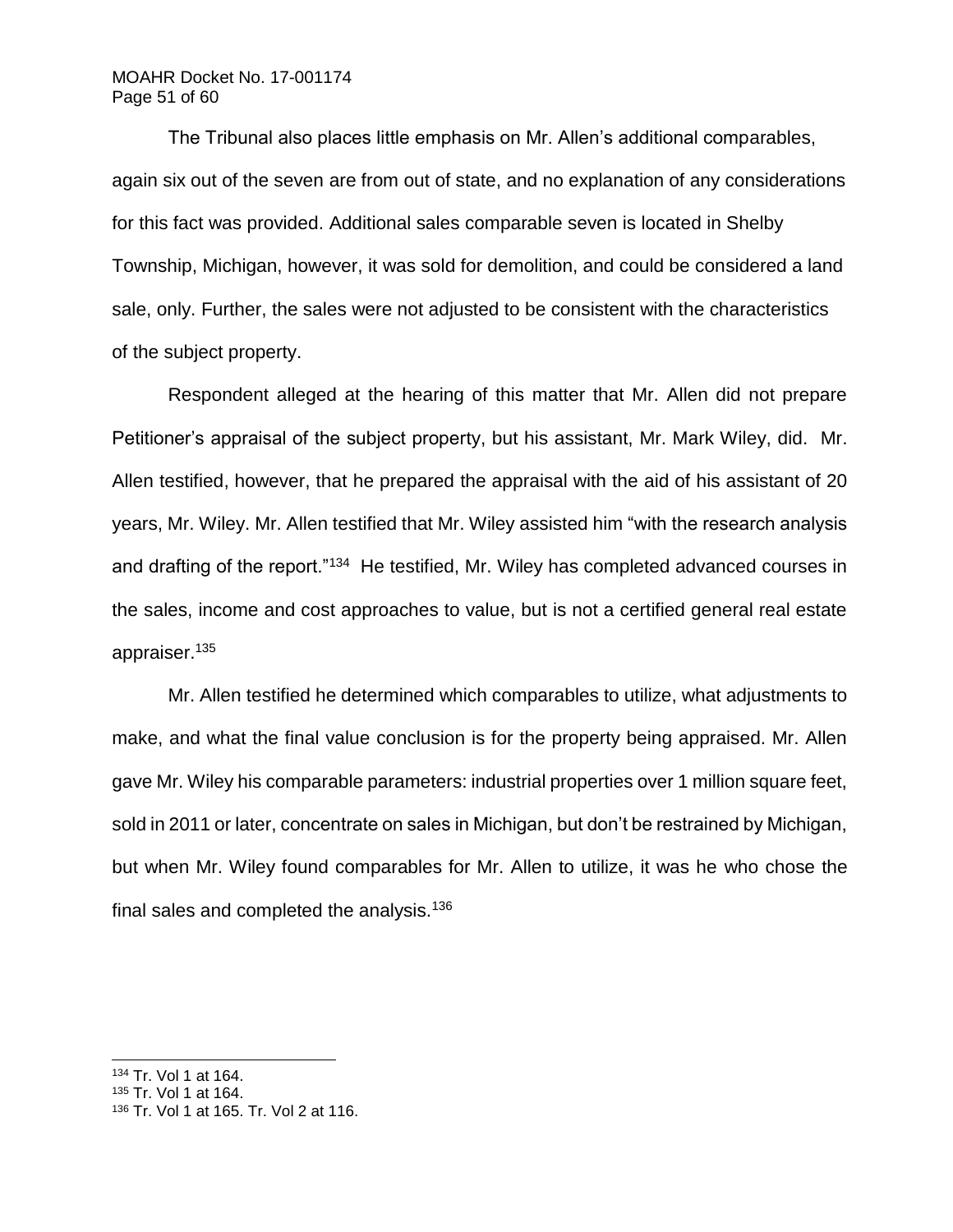# MOAHR Docket No. 17-001174 Page 51 of 60

The Tribunal also places little emphasis on Mr. Allen's additional comparables, again six out of the seven are from out of state, and no explanation of any considerations for this fact was provided. Additional sales comparable seven is located in Shelby Township, Michigan, however, it was sold for demolition, and could be considered a land sale, only. Further, the sales were not adjusted to be consistent with the characteristics of the subject property.

Respondent alleged at the hearing of this matter that Mr. Allen did not prepare Petitioner's appraisal of the subject property, but his assistant, Mr. Mark Wiley, did. Mr. Allen testified, however, that he prepared the appraisal with the aid of his assistant of 20 years, Mr. Wiley. Mr. Allen testified that Mr. Wiley assisted him "with the research analysis and drafting of the report."<sup>134</sup> He testified, Mr. Wiley has completed advanced courses in the sales, income and cost approaches to value, but is not a certified general real estate appraiser.<sup>135</sup>

Mr. Allen testified he determined which comparables to utilize, what adjustments to make, and what the final value conclusion is for the property being appraised. Mr. Allen gave Mr. Wiley his comparable parameters: industrial properties over 1 million square feet, sold in 2011 or later, concentrate on sales in Michigan, but don't be restrained by Michigan, but when Mr. Wiley found comparables for Mr. Allen to utilize, it was he who chose the final sales and completed the analysis.<sup>136</sup>

l <sup>134</sup> Tr. Vol 1 at 164.

<sup>135</sup> Tr. Vol 1 at 164.

<sup>136</sup> Tr. Vol 1 at 165. Tr. Vol 2 at 116.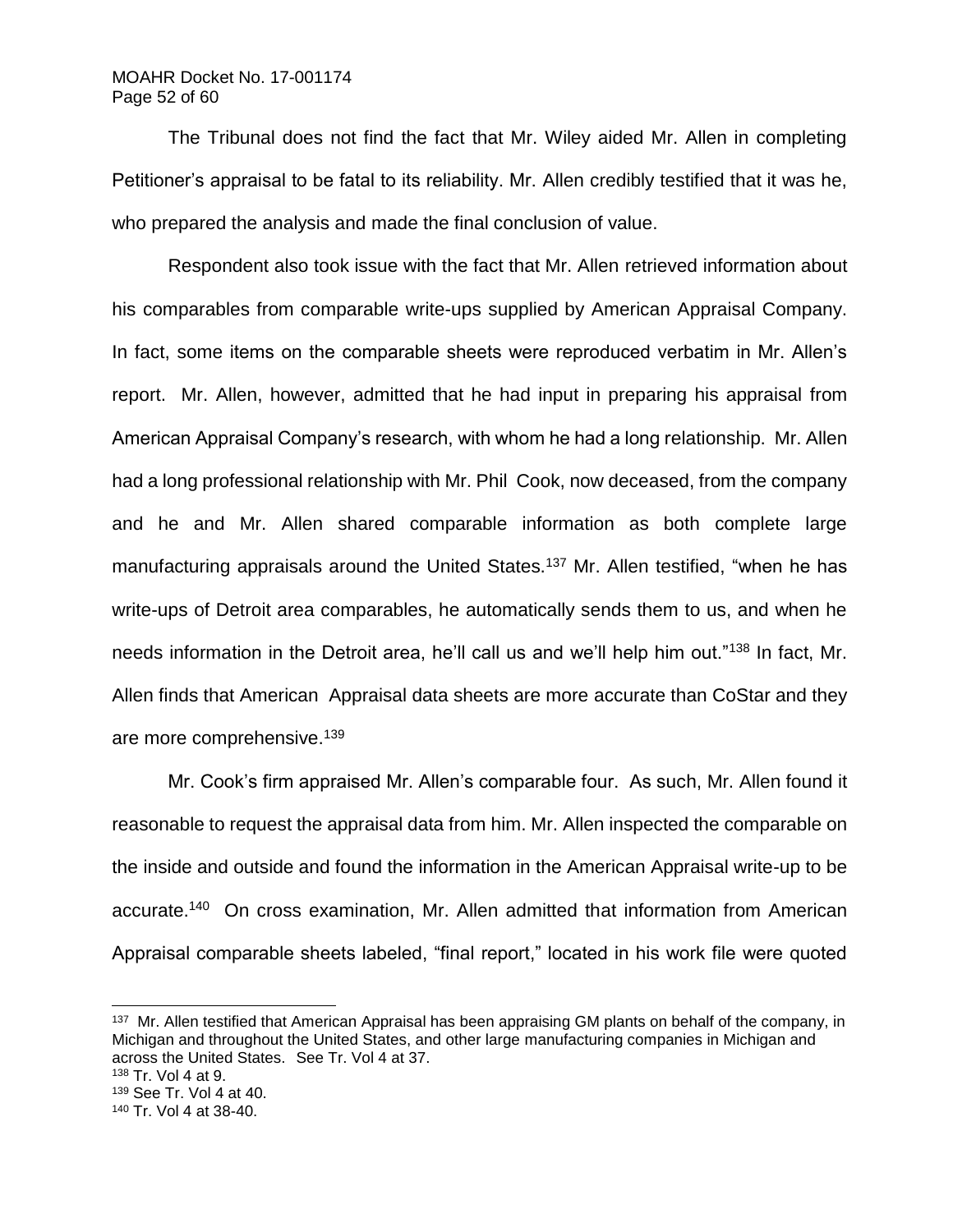## MOAHR Docket No. 17-001174 Page 52 of 60

The Tribunal does not find the fact that Mr. Wiley aided Mr. Allen in completing Petitioner's appraisal to be fatal to its reliability. Mr. Allen credibly testified that it was he, who prepared the analysis and made the final conclusion of value.

Respondent also took issue with the fact that Mr. Allen retrieved information about his comparables from comparable write-ups supplied by American Appraisal Company. In fact, some items on the comparable sheets were reproduced verbatim in Mr. Allen's report. Mr. Allen, however, admitted that he had input in preparing his appraisal from American Appraisal Company's research, with whom he had a long relationship. Mr. Allen had a long professional relationship with Mr. Phil Cook, now deceased, from the company and he and Mr. Allen shared comparable information as both complete large manufacturing appraisals around the United States.<sup>137</sup> Mr. Allen testified, "when he has write-ups of Detroit area comparables, he automatically sends them to us, and when he needs information in the Detroit area, he'll call us and we'll help him out."<sup>138</sup> In fact, Mr. Allen finds that American Appraisal data sheets are more accurate than CoStar and they are more comprehensive.<sup>139</sup>

Mr. Cook's firm appraised Mr. Allen's comparable four. As such, Mr. Allen found it reasonable to request the appraisal data from him. Mr. Allen inspected the comparable on the inside and outside and found the information in the American Appraisal write-up to be accurate.<sup>140</sup> On cross examination, Mr. Allen admitted that information from American Appraisal comparable sheets labeled, "final report," located in his work file were quoted

<sup>&</sup>lt;sup>137</sup> Mr. Allen testified that American Appraisal has been appraising GM plants on behalf of the company, in Michigan and throughout the United States, and other large manufacturing companies in Michigan and across the United States. See Tr. Vol 4 at 37.

<sup>138</sup> Tr. Vol 4 at 9.

<sup>139</sup> See Tr. Vol 4 at 40.

<sup>140</sup> Tr. Vol 4 at 38-40.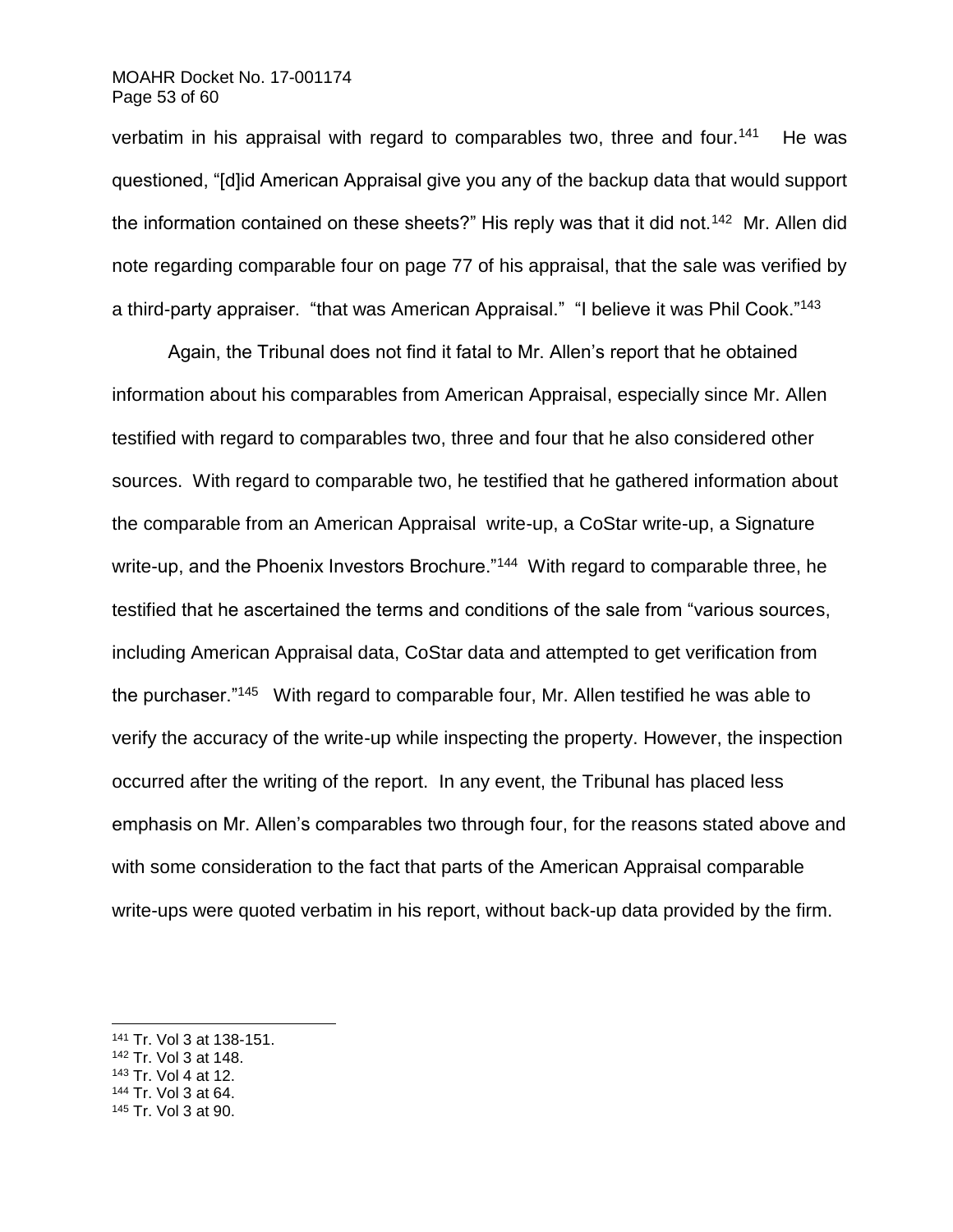### MOAHR Docket No. 17-001174 Page 53 of 60

verbatim in his appraisal with regard to comparables two, three and four.<sup>141</sup> He was questioned, "[d]id American Appraisal give you any of the backup data that would support the information contained on these sheets?" His reply was that it did not.<sup>142</sup> Mr. Allen did note regarding comparable four on page 77 of his appraisal, that the sale was verified by a third-party appraiser. "that was American Appraisal." "I believe it was Phil Cook."<sup>143</sup>

Again, the Tribunal does not find it fatal to Mr. Allen's report that he obtained information about his comparables from American Appraisal, especially since Mr. Allen testified with regard to comparables two, three and four that he also considered other sources. With regard to comparable two, he testified that he gathered information about the comparable from an American Appraisal write-up, a CoStar write-up, a Signature write-up, and the Phoenix Investors Brochure."<sup>144</sup> With regard to comparable three, he testified that he ascertained the terms and conditions of the sale from "various sources, including American Appraisal data, CoStar data and attempted to get verification from the purchaser."<sup>145</sup> With regard to comparable four, Mr. Allen testified he was able to verify the accuracy of the write-up while inspecting the property. However, the inspection occurred after the writing of the report. In any event, the Tribunal has placed less emphasis on Mr. Allen's comparables two through four, for the reasons stated above and with some consideration to the fact that parts of the American Appraisal comparable write-ups were quoted verbatim in his report, without back-up data provided by the firm.

<sup>141</sup> Tr. Vol 3 at 138-151.

<sup>142</sup> Tr. Vol 3 at 148.

<sup>143</sup> Tr. Vol 4 at 12.

<sup>144</sup> Tr. Vol 3 at 64.

<sup>145</sup> Tr. Vol 3 at 90.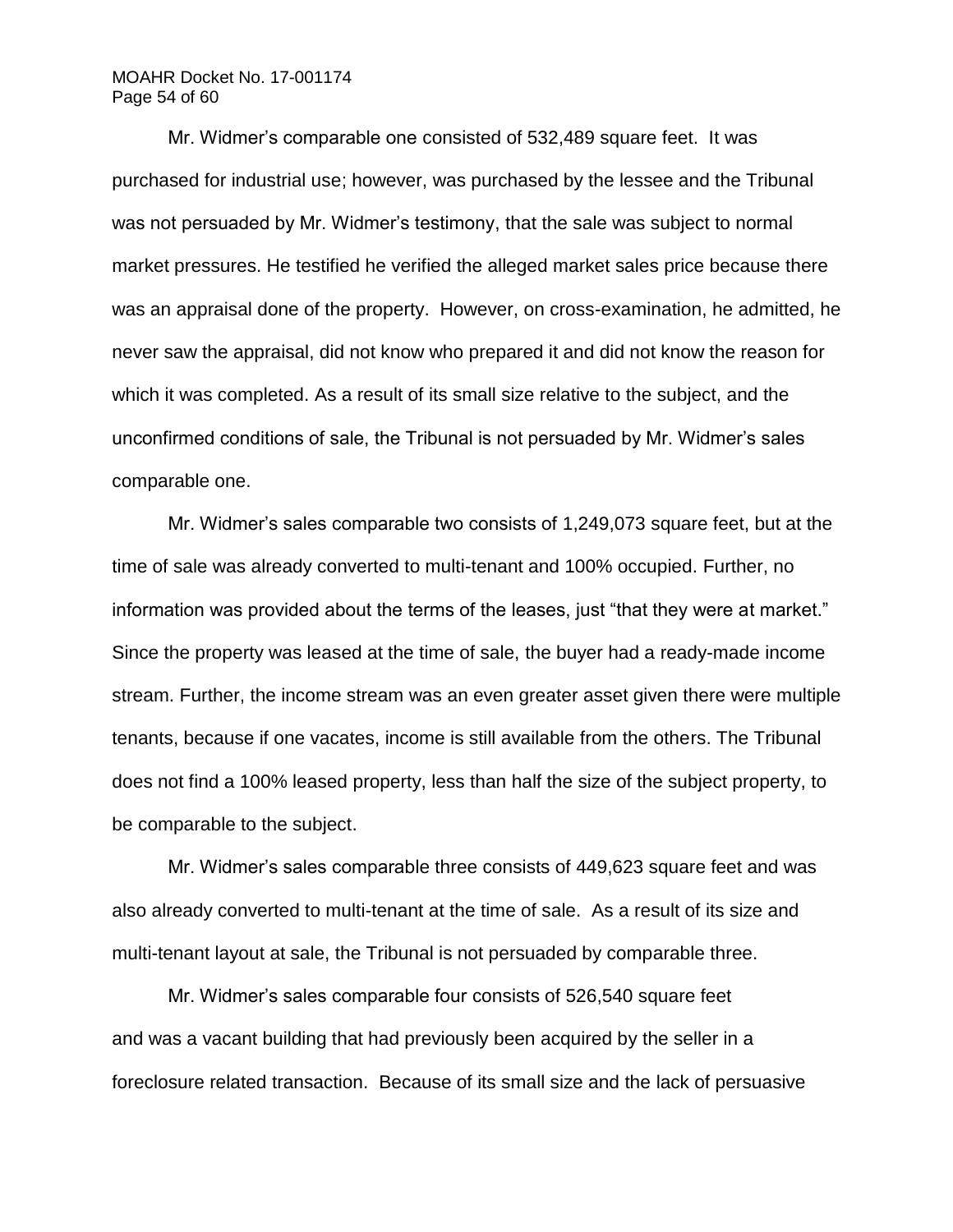# MOAHR Docket No. 17-001174 Page 54 of 60

Mr. Widmer's comparable one consisted of 532,489 square feet. It was purchased for industrial use; however, was purchased by the lessee and the Tribunal was not persuaded by Mr. Widmer's testimony, that the sale was subject to normal market pressures. He testified he verified the alleged market sales price because there was an appraisal done of the property. However, on cross-examination, he admitted, he never saw the appraisal, did not know who prepared it and did not know the reason for which it was completed. As a result of its small size relative to the subject, and the unconfirmed conditions of sale, the Tribunal is not persuaded by Mr. Widmer's sales comparable one.

Mr. Widmer's sales comparable two consists of 1,249,073 square feet, but at the time of sale was already converted to multi-tenant and 100% occupied. Further, no information was provided about the terms of the leases, just "that they were at market." Since the property was leased at the time of sale, the buyer had a ready-made income stream. Further, the income stream was an even greater asset given there were multiple tenants, because if one vacates, income is still available from the others. The Tribunal does not find a 100% leased property, less than half the size of the subject property, to be comparable to the subject.

Mr. Widmer's sales comparable three consists of 449,623 square feet and was also already converted to multi-tenant at the time of sale. As a result of its size and multi-tenant layout at sale, the Tribunal is not persuaded by comparable three.

Mr. Widmer's sales comparable four consists of 526,540 square feet and was a vacant building that had previously been acquired by the seller in a foreclosure related transaction. Because of its small size and the lack of persuasive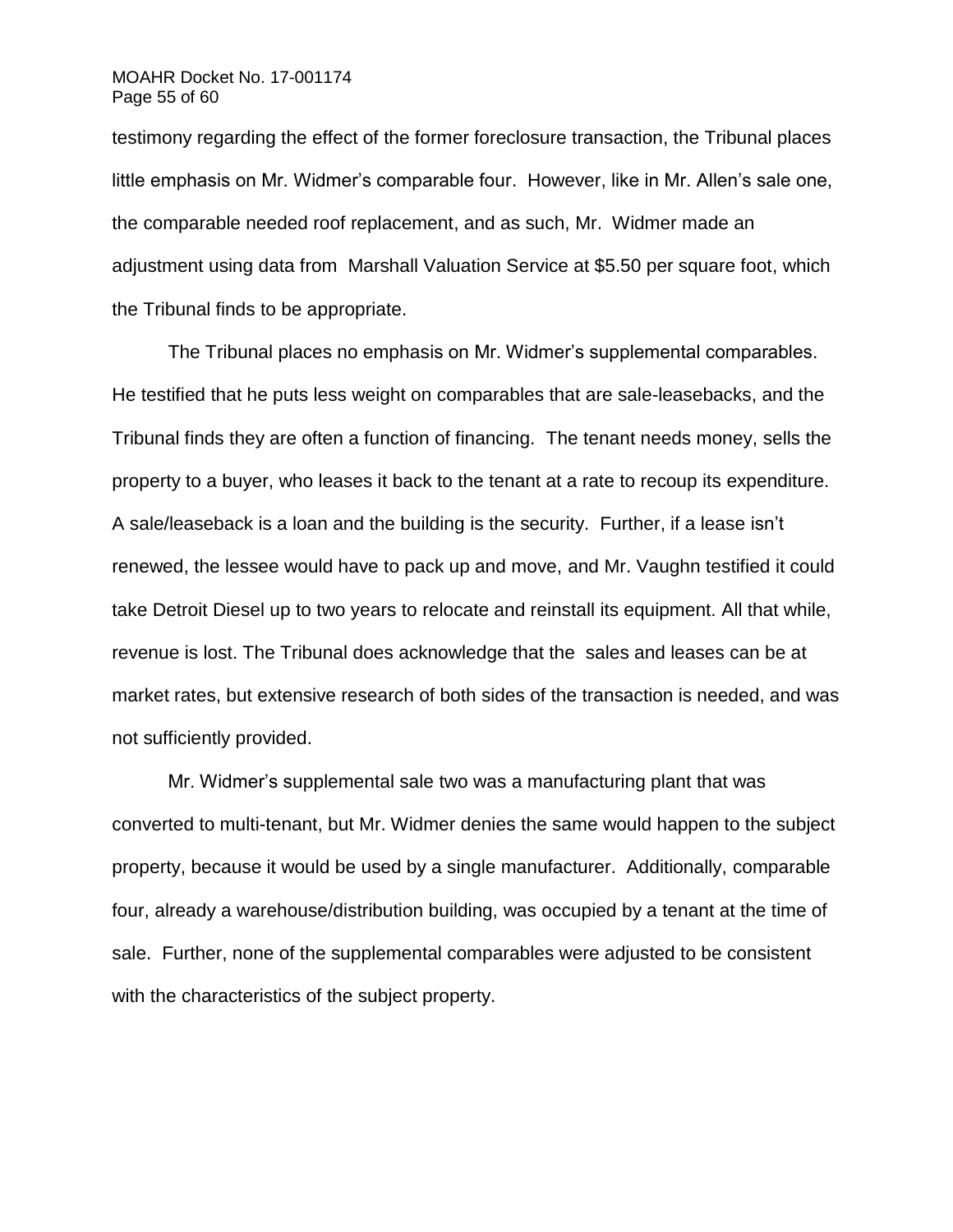## MOAHR Docket No. 17-001174 Page 55 of 60

testimony regarding the effect of the former foreclosure transaction, the Tribunal places little emphasis on Mr. Widmer's comparable four. However, like in Mr. Allen's sale one, the comparable needed roof replacement, and as such, Mr. Widmer made an adjustment using data from Marshall Valuation Service at \$5.50 per square foot, which the Tribunal finds to be appropriate.

The Tribunal places no emphasis on Mr. Widmer's supplemental comparables. He testified that he puts less weight on comparables that are sale-leasebacks, and the Tribunal finds they are often a function of financing. The tenant needs money, sells the property to a buyer, who leases it back to the tenant at a rate to recoup its expenditure. A sale/leaseback is a loan and the building is the security. Further, if a lease isn't renewed, the lessee would have to pack up and move, and Mr. Vaughn testified it could take Detroit Diesel up to two years to relocate and reinstall its equipment. All that while, revenue is lost. The Tribunal does acknowledge that the sales and leases can be at market rates, but extensive research of both sides of the transaction is needed, and was not sufficiently provided.

Mr. Widmer's supplemental sale two was a manufacturing plant that was converted to multi-tenant, but Mr. Widmer denies the same would happen to the subject property, because it would be used by a single manufacturer. Additionally, comparable four, already a warehouse/distribution building, was occupied by a tenant at the time of sale. Further, none of the supplemental comparables were adjusted to be consistent with the characteristics of the subject property.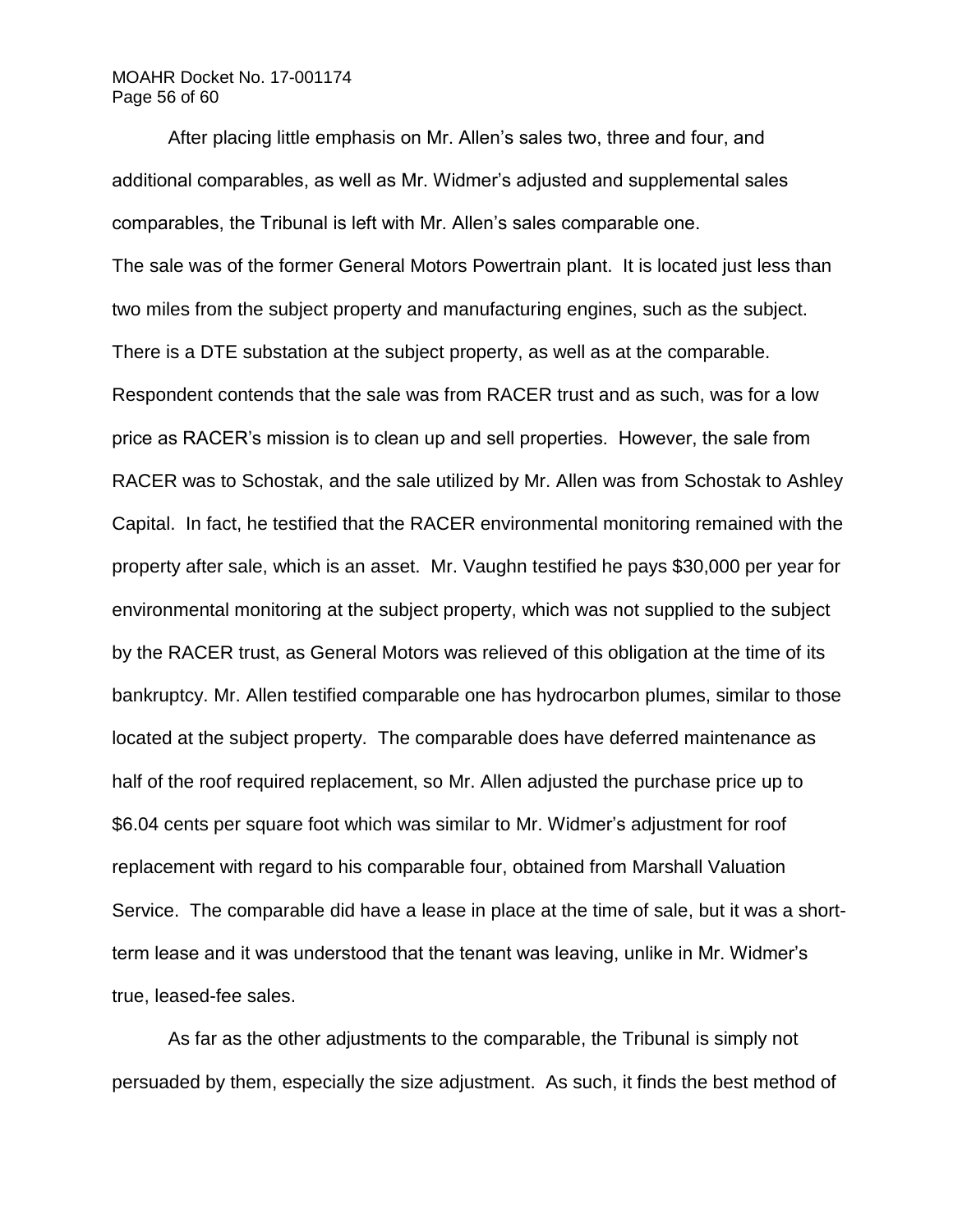# MOAHR Docket No. 17-001174 Page 56 of 60

After placing little emphasis on Mr. Allen's sales two, three and four, and additional comparables, as well as Mr. Widmer's adjusted and supplemental sales comparables, the Tribunal is left with Mr. Allen's sales comparable one. The sale was of the former General Motors Powertrain plant. It is located just less than two miles from the subject property and manufacturing engines, such as the subject. There is a DTE substation at the subject property, as well as at the comparable. Respondent contends that the sale was from RACER trust and as such, was for a low price as RACER's mission is to clean up and sell properties. However, the sale from RACER was to Schostak, and the sale utilized by Mr. Allen was from Schostak to Ashley Capital. In fact, he testified that the RACER environmental monitoring remained with the property after sale, which is an asset. Mr. Vaughn testified he pays \$30,000 per year for environmental monitoring at the subject property, which was not supplied to the subject by the RACER trust, as General Motors was relieved of this obligation at the time of its bankruptcy. Mr. Allen testified comparable one has hydrocarbon plumes, similar to those located at the subject property. The comparable does have deferred maintenance as half of the roof required replacement, so Mr. Allen adjusted the purchase price up to \$6.04 cents per square foot which was similar to Mr. Widmer's adjustment for roof replacement with regard to his comparable four, obtained from Marshall Valuation Service. The comparable did have a lease in place at the time of sale, but it was a shortterm lease and it was understood that the tenant was leaving, unlike in Mr. Widmer's true, leased-fee sales.

As far as the other adjustments to the comparable, the Tribunal is simply not persuaded by them, especially the size adjustment. As such, it finds the best method of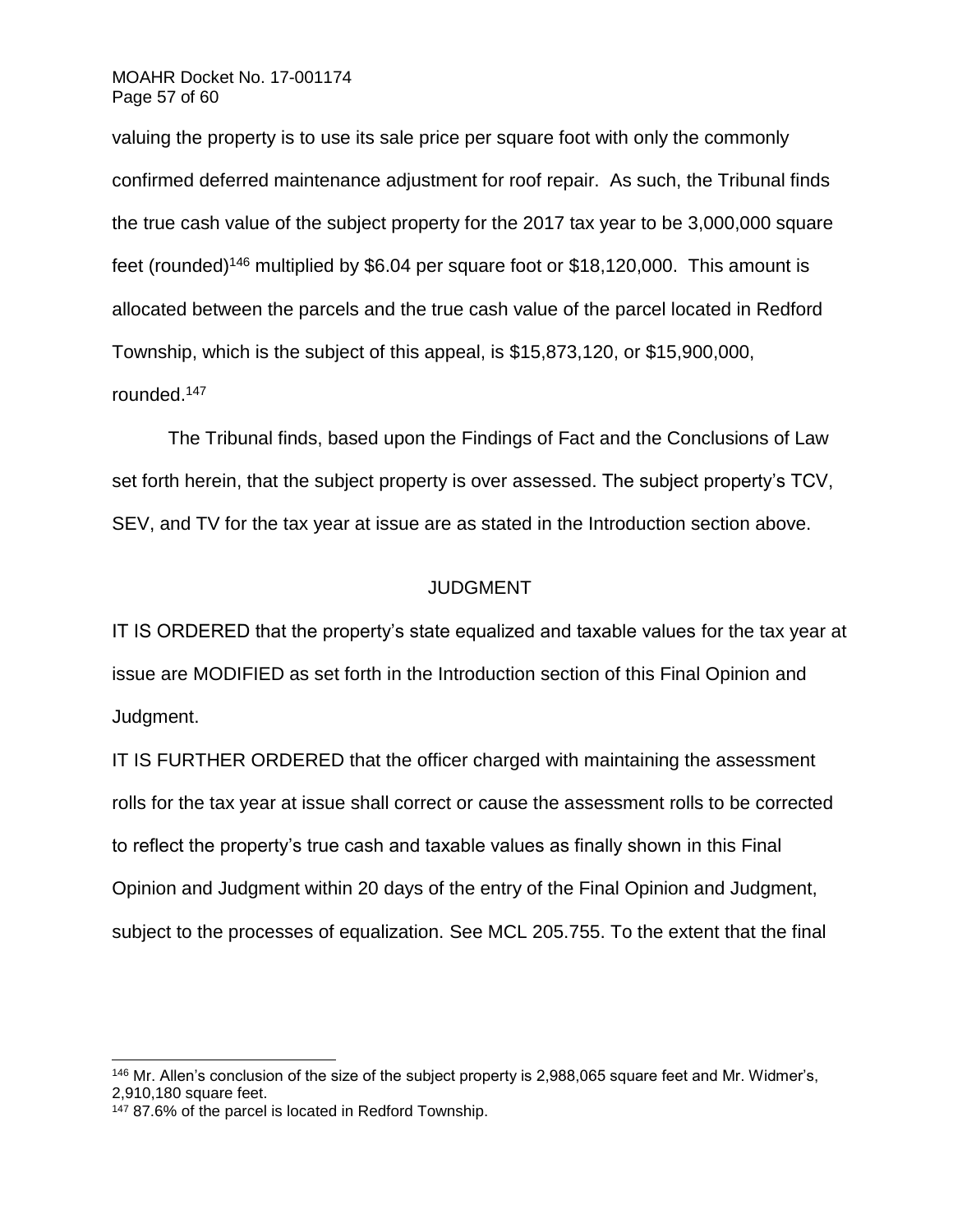valuing the property is to use its sale price per square foot with only the commonly confirmed deferred maintenance adjustment for roof repair. As such, the Tribunal finds the true cash value of the subject property for the 2017 tax year to be 3,000,000 square feet (rounded)<sup>146</sup> multiplied by \$6.04 per square foot or \$18,120,000. This amount is allocated between the parcels and the true cash value of the parcel located in Redford Township, which is the subject of this appeal, is \$15,873,120, or \$15,900,000, rounded.<sup>147</sup>

The Tribunal finds, based upon the Findings of Fact and the Conclusions of Law set forth herein, that the subject property is over assessed. The subject property's TCV, SEV, and TV for the tax year at issue are as stated in the Introduction section above.

# JUDGMENT

IT IS ORDERED that the property's state equalized and taxable values for the tax year at issue are MODIFIED as set forth in the Introduction section of this Final Opinion and Judgment.

IT IS FURTHER ORDERED that the officer charged with maintaining the assessment rolls for the tax year at issue shall correct or cause the assessment rolls to be corrected to reflect the property's true cash and taxable values as finally shown in this Final Opinion and Judgment within 20 days of the entry of the Final Opinion and Judgment, subject to the processes of equalization. See MCL 205.755. To the extent that the final

<sup>&</sup>lt;sup>146</sup> Mr. Allen's conclusion of the size of the subject property is 2,988,065 square feet and Mr. Widmer's, 2,910,180 square feet.

<sup>147</sup> 87.6% of the parcel is located in Redford Township.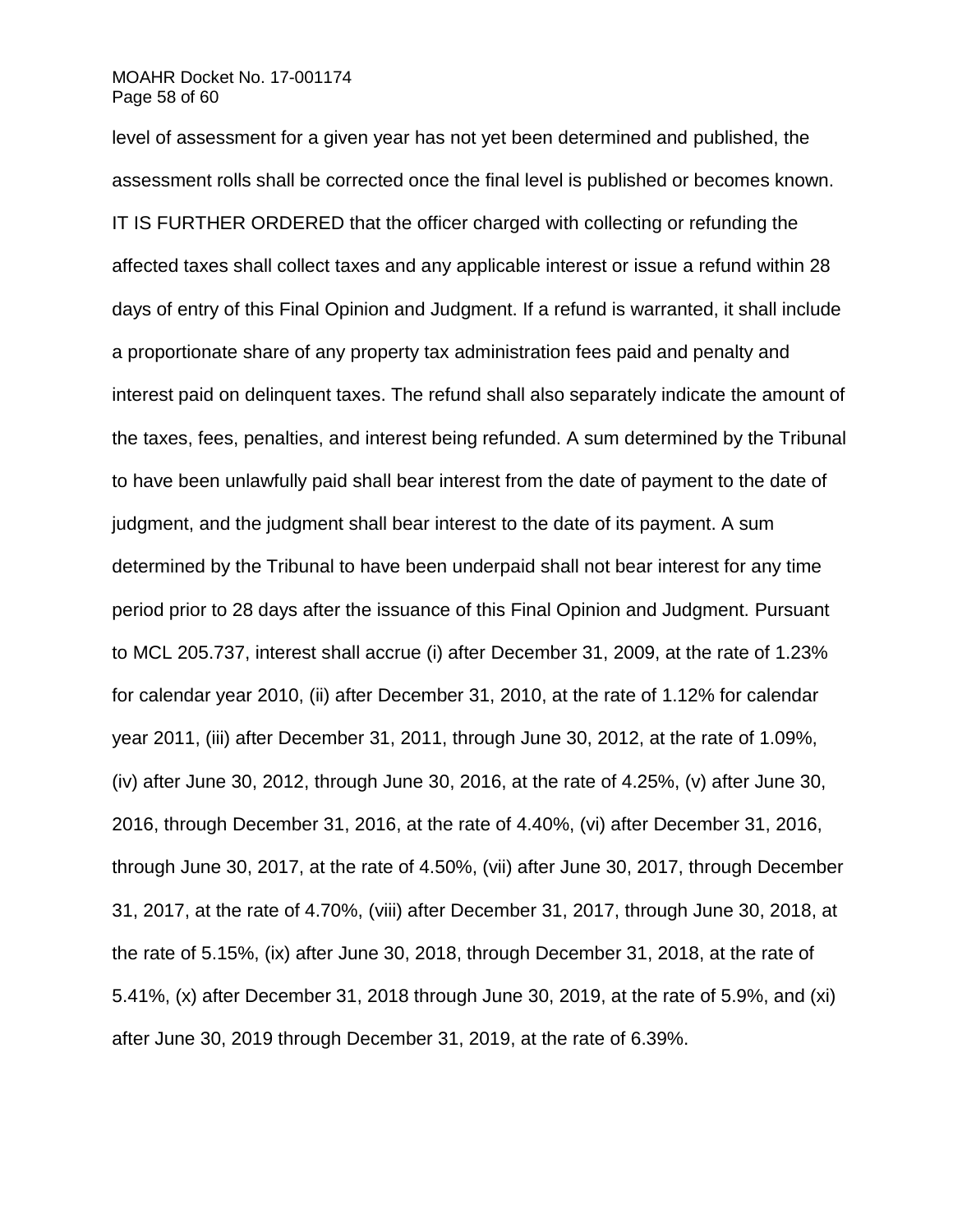# MOAHR Docket No. 17-001174 Page 58 of 60

level of assessment for a given year has not yet been determined and published, the assessment rolls shall be corrected once the final level is published or becomes known. IT IS FURTHER ORDERED that the officer charged with collecting or refunding the affected taxes shall collect taxes and any applicable interest or issue a refund within 28 days of entry of this Final Opinion and Judgment. If a refund is warranted, it shall include a proportionate share of any property tax administration fees paid and penalty and interest paid on delinquent taxes. The refund shall also separately indicate the amount of the taxes, fees, penalties, and interest being refunded. A sum determined by the Tribunal to have been unlawfully paid shall bear interest from the date of payment to the date of judgment, and the judgment shall bear interest to the date of its payment. A sum determined by the Tribunal to have been underpaid shall not bear interest for any time period prior to 28 days after the issuance of this Final Opinion and Judgment. Pursuant to MCL 205.737, interest shall accrue (i) after December 31, 2009, at the rate of 1.23% for calendar year 2010, (ii) after December 31, 2010, at the rate of 1.12% for calendar year 2011, (iii) after December 31, 2011, through June 30, 2012, at the rate of 1.09%, (iv) after June 30, 2012, through June 30, 2016, at the rate of 4.25%, (v) after June 30, 2016, through December 31, 2016, at the rate of 4.40%, (vi) after December 31, 2016, through June 30, 2017, at the rate of 4.50%, (vii) after June 30, 2017, through December 31, 2017, at the rate of 4.70%, (viii) after December 31, 2017, through June 30, 2018, at the rate of 5.15%, (ix) after June 30, 2018, through December 31, 2018, at the rate of 5.41%, (x) after December 31, 2018 through June 30, 2019, at the rate of 5.9%, and (xi) after June 30, 2019 through December 31, 2019, at the rate of 6.39%.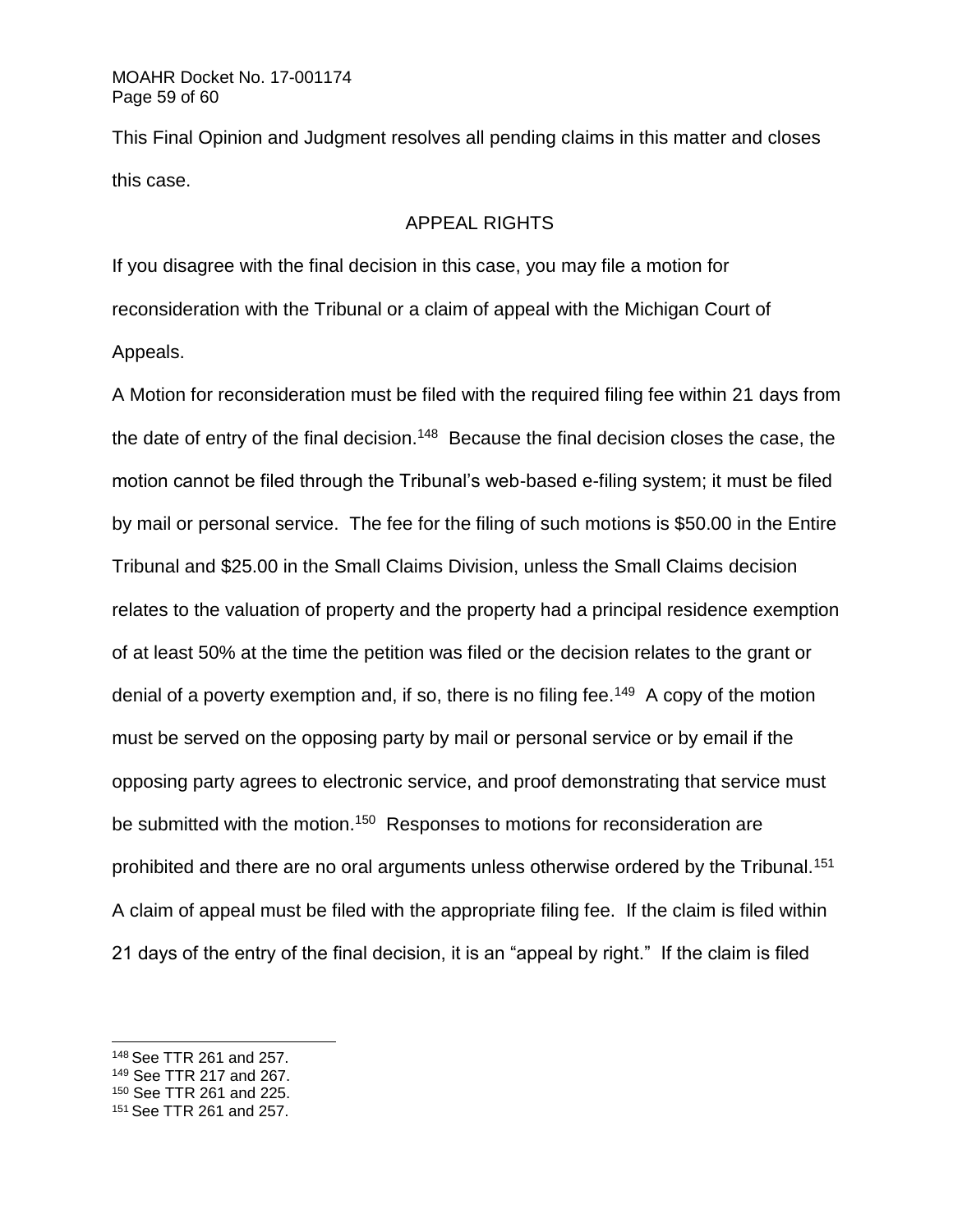This Final Opinion and Judgment resolves all pending claims in this matter and closes this case.

# APPEAL RIGHTS

If you disagree with the final decision in this case, you may file a motion for reconsideration with the Tribunal or a claim of appeal with the Michigan Court of Appeals.

A Motion for reconsideration must be filed with the required filing fee within 21 days from the date of entry of the final decision.<sup>148</sup> Because the final decision closes the case, the motion cannot be filed through the Tribunal's web-based e-filing system; it must be filed by mail or personal service. The fee for the filing of such motions is \$50.00 in the Entire Tribunal and \$25.00 in the Small Claims Division, unless the Small Claims decision relates to the valuation of property and the property had a principal residence exemption of at least 50% at the time the petition was filed or the decision relates to the grant or denial of a poverty exemption and, if so, there is no filing fee.<sup>149</sup> A copy of the motion must be served on the opposing party by mail or personal service or by email if the opposing party agrees to electronic service, and proof demonstrating that service must be submitted with the motion.<sup>150</sup> Responses to motions for reconsideration are prohibited and there are no oral arguments unless otherwise ordered by the Tribunal.<sup>151</sup> A claim of appeal must be filed with the appropriate filing fee. If the claim is filed within 21 days of the entry of the final decision, it is an "appeal by right." If the claim is filed

<sup>148</sup> See TTR 261 and 257.

<sup>149</sup> See TTR 217 and 267.

<sup>150</sup> See TTR 261 and 225.

<sup>151</sup> See TTR 261 and 257.